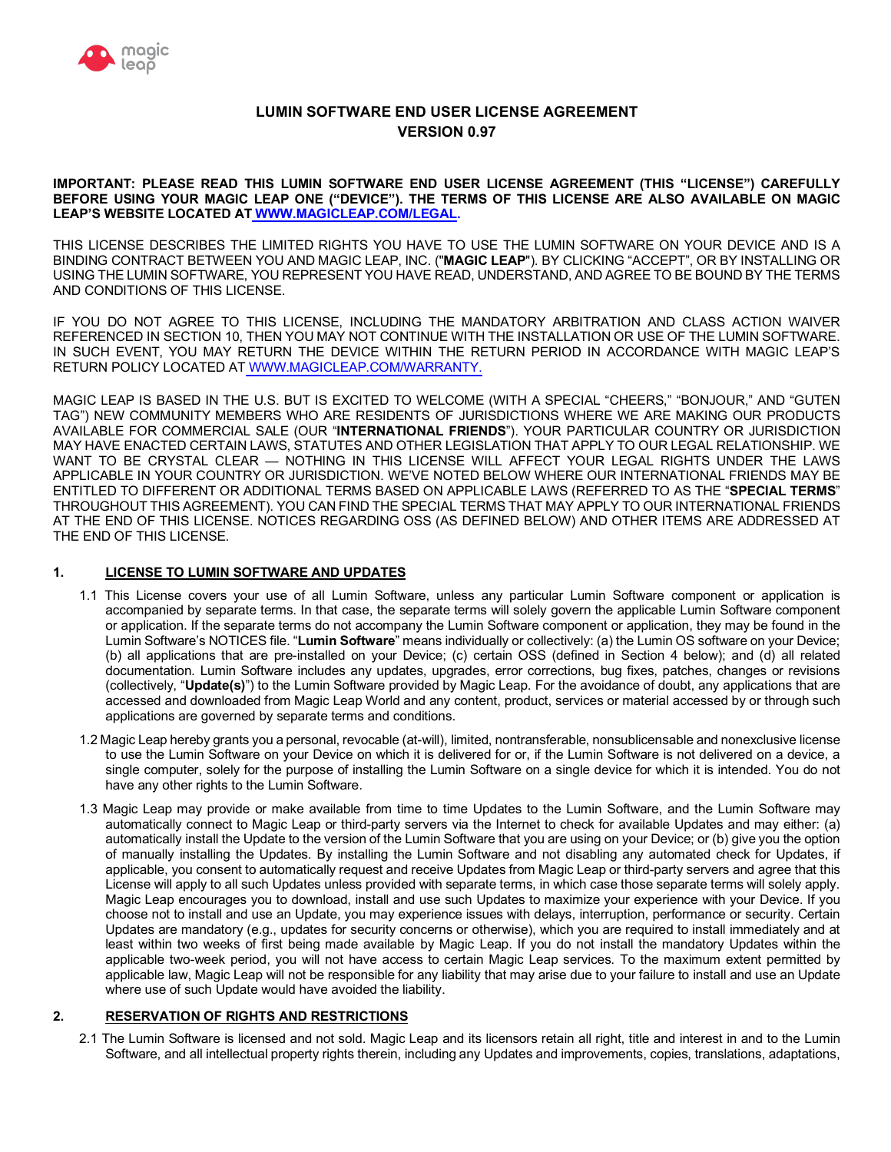

# **LUMIN SOFTWARE END USER LICENSE AGREEMENT VERSION 0.97**

 **IMPORTANT: PLEASE READ THIS LUMIN SOFTWARE END USER LICENSE AGREEMENT (THIS "LICENSE") CAREFULLY BEFORE USING YOUR MAGIC LEAP ONE ("DEVICE"). THE TERMS OF THIS LICENSE ARE ALSO AVAILABLE ON MAGIC LEAP'S WEBSITE LOCATED AT<WWW.MAGICLEAP.COM/LEGAL>.** 

 THIS LICENSE DESCRIBES THE LIMITED RIGHTS YOU HAVE TO USE THE LUMIN SOFTWARE ON YOUR DEVICE AND IS A BINDING CONTRACT BETWEEN YOU AND MAGIC LEAP, INC. ("**MAGIC LEAP**"). BY CLICKING "ACCEPT", OR BY INSTALLING OR USING THE LUMIN SOFTWARE, YOU REPRESENT YOU HAVE READ, UNDERSTAND, AND AGREE TO BE BOUND BY THE TERMS AND CONDITIONS OF THIS LICENSE.

 IF YOU DO NOT AGREE TO THIS LICENSE, INCLUDING THE MANDATORY ARBITRATION AND CLASS ACTION WAIVER REFERENCED IN SECTION 10, THEN YOU MAY NOT CONTINUE WITH THE INSTALLATION OR USE OF THE LUMIN SOFTWARE. IN SUCH EVENT, YOU MAY RETURN THE DEVICE WITHIN THE RETURN PERIOD IN ACCORDANCE WITH MAGIC LEAP'S RETURN POLICY LOCATED AT<WWW.MAGICLEAP.COM/WARRANTY>.

 MAGIC LEAP IS BASED IN THE U.S. BUT IS EXCITED TO WELCOME (WITH A SPECIAL "CHEERS," "BONJOUR," AND "GUTEN TAG") NEW COMMUNITY MEMBERS WHO ARE RESIDENTS OF JURISDICTIONS WHERE WE ARE MAKING OUR PRODUCTS AVAILABLE FOR COMMERCIAL SALE (OUR "**INTERNATIONAL FRIENDS**"). YOUR PARTICULAR COUNTRY OR JURISDICTION MAY HAVE ENACTED CERTAIN LAWS, STATUTES AND OTHER LEGISLATION THAT APPLY TO OUR LEGAL RELATIONSHIP. WE WANT TO BE CRYSTAL CLEAR — NOTHING IN THIS LICENSE WILL AFFECT YOUR LEGAL RIGHTS UNDER THE LAWS APPLICABLE IN YOUR COUNTRY OR JURISDICTION. WE'VE NOTED BELOW WHERE OUR INTERNATIONAL FRIENDS MAY BE ENTITLED TO DIFFERENT OR ADDITIONAL TERMS BASED ON APPLICABLE LAWS (REFERRED TO AS THE "**SPECIAL TERMS**" THROUGHOUT THIS AGREEMENT). YOU CAN FIND THE SPECIAL TERMS THAT MAY APPLY TO OUR INTERNATIONAL FRIENDS AT THE END OF THIS LICENSE. NOTICES REGARDING OSS (AS DEFINED BELOW) AND OTHER ITEMS ARE ADDRESSED AT THE END OF THIS LICENSE.

# **1. LICENSE TO LUMIN SOFTWARE AND UPDATES**

- 1.1 This License covers your use of all Lumin Software, unless any particular Lumin Software component or application is accompanied by separate terms. In that case, the separate terms will solely govern the applicable Lumin Software component or application. If the separate terms do not accompany the Lumin Software component or application, they may be found in the Lumin Software's NOTICES file. "**Lumin Software**" means individually or collectively: (a) the Lumin OS software on your Device; (b) all applications that are pre-installed on your Device; (c) certain OSS (defined in Section 4 below); and (d) all related documentation. Lumin Software includes any updates, upgrades, error corrections, bug fixes, patches, changes or revisions (collectively, "**Update(s)**") to the Lumin Software provided by Magic Leap. For the avoidance of doubt, any applications that are accessed and downloaded from Magic Leap World and any content, product, services or material accessed by or through such applications are governed by separate terms and conditions.
- 1.2 Magic Leap hereby grants you a personal, revocable (at-will), limited, nontransferable, nonsublicensable and nonexclusive license to use the Lumin Software on your Device on which it is delivered for or, if the Lumin Software is not delivered on a device, a single computer, solely for the purpose of installing the Lumin Software on a single device for which it is intended. You do not have any other rights to the Lumin Software.
- 1.3 Magic Leap may provide or make available from time to time Updates to the Lumin Software, and the Lumin Software may automatically connect to Magic Leap or third-party servers via the Internet to check for available Updates and may either: (a) automatically install the Update to the version of the Lumin Software that you are using on your Device; or (b) give you the option of manually installing the Updates. By installing the Lumin Software and not disabling any automated check for Updates, if applicable, you consent to automatically request and receive Updates from Magic Leap or third-party servers and agree that this License will apply to all such Updates unless provided with separate terms, in which case those separate terms will solely apply. Magic Leap encourages you to download, install and use such Updates to maximize your experience with your Device. If you choose not to install and use an Update, you may experience issues with delays, interruption, performance or security. Certain Updates are mandatory (e.g., updates for security concerns or otherwise), which you are required to install immediately and at least within two weeks of first being made available by Magic Leap. If you do not install the mandatory Updates within the applicable two-week period, you will not have access to certain Magic Leap services. To the maximum extent permitted by applicable law, Magic Leap will not be responsible for any liability that may arise due to your failure to install and use an Update where use of such Update would have avoided the liability.

## **2. RESERVATION OF RIGHTS AND RESTRICTIONS**

 2.1 The Lumin Software is licensed and not sold. Magic Leap and its licensors retain all right, title and interest in and to the Lumin Software, and all intellectual property rights therein, including any Updates and improvements, copies, translations, adaptations,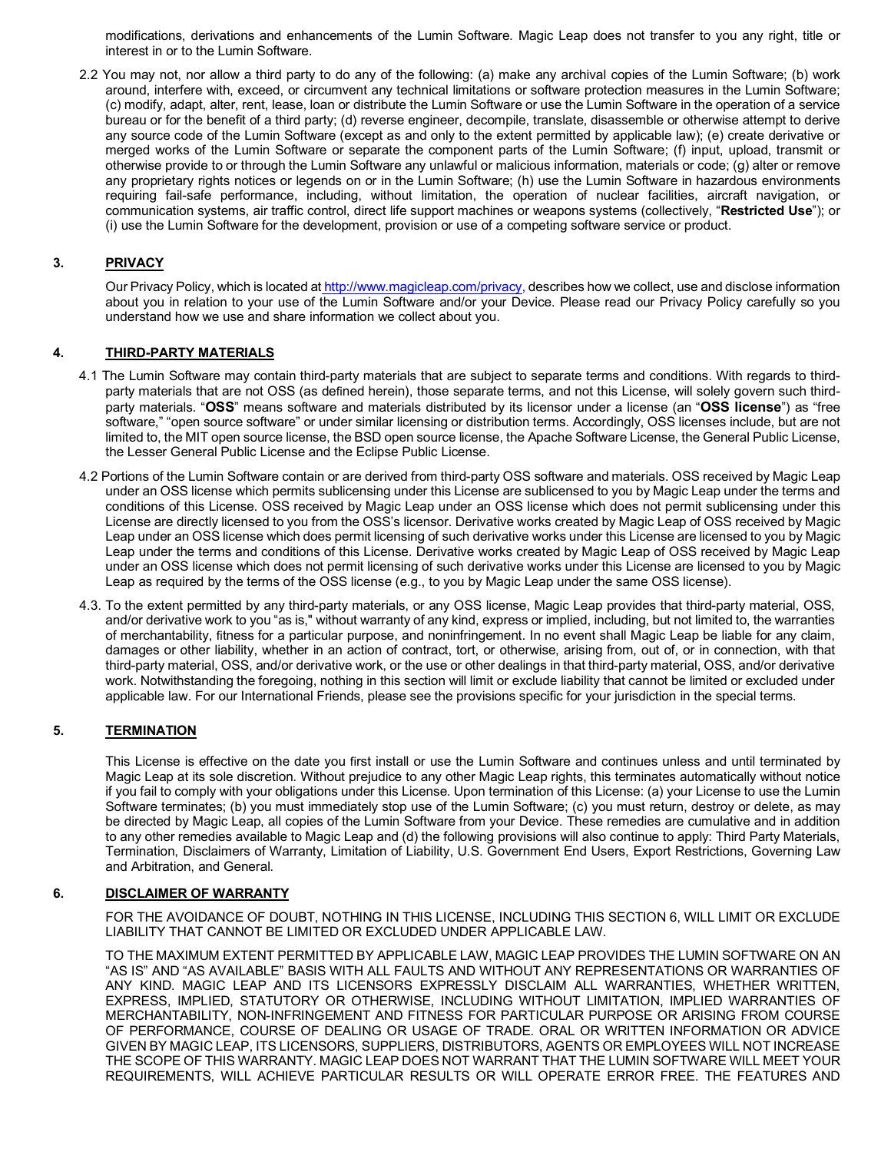modifications, derivations and enhancements of the Lumin Software. Magic Leap does not transfer to you any right, title or interest in or to the Lumin Software.

 2.2 You may not, nor allow a third party to do any of the following: (a) make any archival copies of the Lumin Software; (b) work around, interfere with, exceed, or circumvent any technical limitations or software protection measures in the Lumin Software; (c) modify, adapt, alter, rent, lease, loan or distribute the Lumin Software or use the Lumin Software in the operation of a service bureau or for the benefit of a third party; (d) reverse engineer, decompile, translate, disassemble or otherwise attempt to derive any source code of the Lumin Software (except as and only to the extent permitted by applicable law); (e) create derivative or merged works of the Lumin Software or separate the component parts of the Lumin Software; (f) input, upload, transmit or otherwise provide to or through the Lumin Software any unlawful or malicious information, materials or code; (g) alter or remove any proprietary rights notices or legends on or in the Lumin Software; (h) use the Lumin Software in hazardous environments requiring fail-safe performance, including, without limitation, the operation of nuclear facilities, aircraft navigation, or communication systems, air traffic control, direct life support machines or weapons systems (collectively, "**Restricted Use**"); or (i) use the Lumin Software for the development, provision or use of a competing software service or product.

# **3. PRIVACY**

Our Privacy Policy, which is located at [http://www.magicleap.com/privacy,](http://www.magicleap.com/privacy) describes how we collect, use and disclose information about you in relation to your use of the Lumin Software and/or your Device. Please read our Privacy Policy carefully so you understand how we use and share information we collect about you.

# **4. THIRD-PARTY MATERIALS**

- 4.1 The Lumin Software may contain third-party materials that are subject to separate terms and conditions. With regards to third- party materials that are not OSS (as defined herein), those separate terms, and not this License, will solely govern such third- party materials. "**OSS**" means software and materials distributed by its licensor under a license (an "**OSS license**") as "free software," "open source software" or under similar licensing or distribution terms. Accordingly, OSS licenses include, but are not limited to, the MIT open source license, the BSD open source license, the Apache Software License, the General Public License, the Lesser General Public License and the Eclipse Public License.
- 4.2 Portions of the Lumin Software contain or are derived from third-party OSS software and materials. OSS received by Magic Leap under an OSS license which permits sublicensing under this License are sublicensed to you by Magic Leap under the terms and conditions of this License. OSS received by Magic Leap under an OSS license which does not permit sublicensing under this License are directly licensed to you from the OSS's licensor. Derivative works created by Magic Leap of OSS received by Magic Leap under an OSS license which does permit licensing of such derivative works under this License are licensed to you by Magic Leap under the terms and conditions of this License. Derivative works created by Magic Leap of OSS received by Magic Leap under an OSS license which does not permit licensing of such derivative works under this License are licensed to you by Magic Leap as required by the terms of the OSS license (e.g., to you by Magic Leap under the same OSS license).
- 4.3. To the extent permitted by any third-party materials, or any OSS license, Magic Leap provides that third-party material, OSS, and/or derivative work to you "as is," without warranty of any kind, express or implied, including, but not limited to, the warranties of merchantability, fitness for a particular purpose, and noninfringement. In no event shall Magic Leap be liable for any claim, damages or other liability, whether in an action of contract, tort, or otherwise, arising from, out of, or in connection, with that third-party material, OSS, and/or derivative work, or the use or other dealings in that third-party material, OSS, and/or derivative work. Notwithstanding the foregoing, nothing in this section will limit or exclude liability that cannot be limited or excluded under applicable law. For our International Friends, please see the provisions specific for your jurisdiction in the special terms.

# **5. TERMINATION**

 This License is effective on the date you first install or use the Lumin Software and continues unless and until terminated by Magic Leap at its sole discretion. Without prejudice to any other Magic Leap rights, this terminates automatically without notice if you fail to comply with your obligations under this License. Upon termination of this License: (a) your License to use the Lumin Software terminates; (b) you must immediately stop use of the Lumin Software; (c) you must return, destroy or delete, as may be directed by Magic Leap, all copies of the Lumin Software from your Device. These remedies are cumulative and in addition to any other remedies available to Magic Leap and (d) the following provisions will also continue to apply: Third Party Materials, Termination, Disclaimers of Warranty, Limitation of Liability, U.S. Government End Users, Export Restrictions, Governing Law and Arbitration, and General.

# **6. DISCLAIMER OF WARRANTY**

 FOR THE AVOIDANCE OF DOUBT, NOTHING IN THIS LICENSE, INCLUDING THIS SECTION 6, WILL LIMIT OR EXCLUDE LIABILITY THAT CANNOT BE LIMITED OR EXCLUDED UNDER APPLICABLE LAW.

 TO THE MAXIMUM EXTENT PERMITTED BY APPLICABLE LAW, MAGIC LEAP PROVIDES THE LUMIN SOFTWARE ON AN "AS IS" AND "AS AVAILABLE" BASIS WITH ALL FAULTS AND WITHOUT ANY REPRESENTATIONS OR WARRANTIES OF ANY KIND. MAGIC LEAP AND ITS LICENSORS EXPRESSLY DISCLAIM ALL WARRANTIES, WHETHER WRITTEN, EXPRESS, IMPLIED, STATUTORY OR OTHERWISE, INCLUDING WITHOUT LIMITATION, IMPLIED WARRANTIES OF MERCHANTABILITY, NON-INFRINGEMENT AND FITNESS FOR PARTICULAR PURPOSE OR ARISING FROM COURSE OF PERFORMANCE, COURSE OF DEALING OR USAGE OF TRADE. ORAL OR WRITTEN INFORMATION OR ADVICE GIVEN BY MAGIC LEAP, ITS LICENSORS, SUPPLIERS, DISTRIBUTORS, AGENTS OR EMPLOYEES WILL NOT INCREASE THE SCOPE OF THIS WARRANTY. MAGIC LEAP DOES NOT WARRANT THAT THE LUMIN SOFTWARE WILL MEET YOUR REQUIREMENTS, WILL ACHIEVE PARTICULAR RESULTS OR WILL OPERATE ERROR FREE. THE FEATURES AND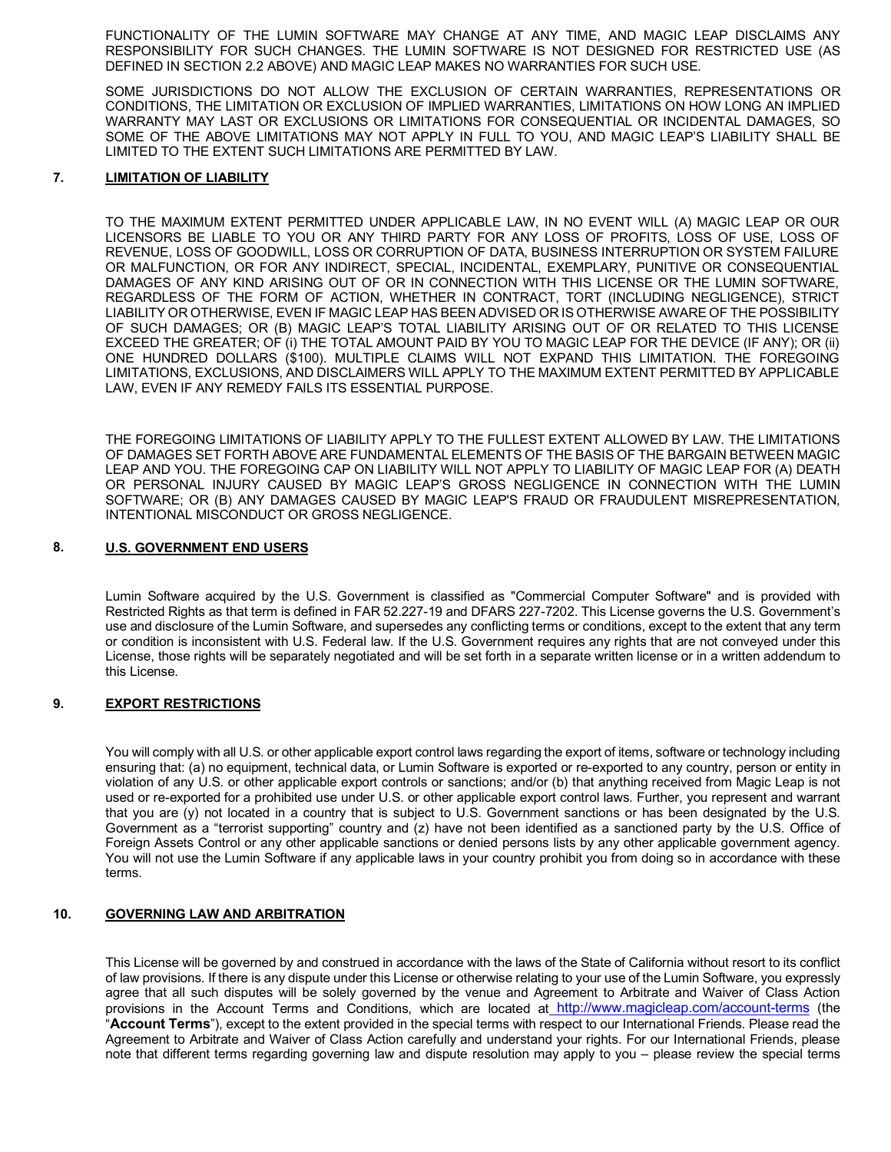FUNCTIONALITY OF THE LUMIN SOFTWARE MAY CHANGE AT ANY TIME, AND MAGIC LEAP DISCLAIMS ANY RESPONSIBILITY FOR SUCH CHANGES. THE LUMIN SOFTWARE IS NOT DESIGNED FOR RESTRICTED USE (AS DEFINED IN SECTION 2.2 ABOVE) AND MAGIC LEAP MAKES NO WARRANTIES FOR SUCH USE.

 SOME JURISDICTIONS DO NOT ALLOW THE EXCLUSION OF CERTAIN WARRANTIES, REPRESENTATIONS OR CONDITIONS, THE LIMITATION OR EXCLUSION OF IMPLIED WARRANTIES, LIMITATIONS ON HOW LONG AN IMPLIED WARRANTY MAY LAST OR EXCLUSIONS OR LIMITATIONS FOR CONSEQUENTIAL OR INCIDENTAL DAMAGES, SO SOME OF THE ABOVE LIMITATIONS MAY NOT APPLY IN FULL TO YOU, AND MAGIC LEAP'S LIABILITY SHALL BE LIMITED TO THE EXTENT SUCH LIMITATIONS ARE PERMITTED BY LAW.

#### **LIMITATION OF LIABILITY 7.**

 TO THE MAXIMUM EXTENT PERMITTED UNDER APPLICABLE LAW, IN NO EVENT WILL (A) MAGIC LEAP OR OUR LICENSORS BE LIABLE TO YOU OR ANY THIRD PARTY FOR ANY LOSS OF PROFITS, LOSS OF USE, LOSS OF REVENUE, LOSS OF GOODWILL, LOSS OR CORRUPTION OF DATA, BUSINESS INTERRUPTION OR SYSTEM FAILURE OR MALFUNCTION, OR FOR ANY INDIRECT, SPECIAL, INCIDENTAL, EXEMPLARY, PUNITIVE OR CONSEQUENTIAL DAMAGES OF ANY KIND ARISING OUT OF OR IN CONNECTION WITH THIS LICENSE OR THE LUMIN SOFTWARE, REGARDLESS OF THE FORM OF ACTION, WHETHER IN CONTRACT, TORT (INCLUDING NEGLIGENCE), STRICT LIABILITY OR OTHERWISE, EVEN IF MAGIC LEAP HAS BEEN ADVISED OR IS OTHERWISE AWARE OF THE POSSIBILITY OF SUCH DAMAGES; OR (B) MAGIC LEAP'S TOTAL LIABILITY ARISING OUT OF OR RELATED TO THIS LICENSE EXCEED THE GREATER; OF (i) THE TOTAL AMOUNT PAID BY YOU TO MAGIC LEAP FOR THE DEVICE (IF ANY); OR (ii) ONE HUNDRED DOLLARS (\$100). MULTIPLE CLAIMS WILL NOT EXPAND THIS LIMITATION. THE FOREGOING LIMITATIONS, EXCLUSIONS, AND DISCLAIMERS WILL APPLY TO THE MAXIMUM EXTENT PERMITTED BY APPLICABLE LAW, EVEN IF ANY REMEDY FAILS ITS ESSENTIAL PURPOSE.

 THE FOREGOING LIMITATIONS OF LIABILITY APPLY TO THE FULLEST EXTENT ALLOWED BY LAW. THE LIMITATIONS OF DAMAGES SET FORTH ABOVE ARE FUNDAMENTAL ELEMENTS OF THE BASIS OF THE BARGAIN BETWEEN MAGIC LEAP AND YOU. THE FOREGOING CAP ON LIABILITY WILL NOT APPLY TO LIABILITY OF MAGIC LEAP FOR (A) DEATH OR PERSONAL INJURY CAUSED BY MAGIC LEAP'S GROSS NEGLIGENCE IN CONNECTION WITH THE LUMIN SOFTWARE; OR (B) ANY DAMAGES CAUSED BY MAGIC LEAP'S FRAUD OR FRAUDULENT MISREPRESENTATION, INTENTIONAL MISCONDUCT OR GROSS NEGLIGENCE.

#### **8. U.S. GOVERNMENT END USERS**

 Lumin Software acquired by the U.S. Government is classified as "Commercial Computer Software" and is provided with Restricted Rights as that term is defined in FAR 52.227-19 and DFARS 227-7202. This License governs the U.S. Government's use and disclosure of the Lumin Software, and supersedes any conflicting terms or conditions, except to the extent that any term or condition is inconsistent with U.S. Federal law. If the U.S. Government requires any rights that are not conveyed under this License, those rights will be separately negotiated and will be set forth in a separate written license or in a written addendum to this License.

#### **9. EXPORT RESTRICTIONS**

 You will comply with all U.S. or other applicable export control laws regarding the export of items, software or technology including ensuring that: (a) no equipment, technical data, or Lumin Software is exported or re-exported to any country, person or entity in violation of any U.S. or other applicable export controls or sanctions; and/or (b) that anything received from Magic Leap is not used or re-exported for a prohibited use under U.S. or other applicable export control laws. Further, you represent and warrant that you are (y) not located in a country that is subject to U.S. Government sanctions or has been designated by the U.S. Government as a "terrorist supporting" country and (z) have not been identified as a sanctioned party by the U.S. Office of Foreign Assets Control or any other applicable sanctions or denied persons lists by any other applicable government agency. You will not use the Lumin Software if any applicable laws in your country prohibit you from doing so in accordance with these terms.

#### **GOVERNING LAW AND ARBITRATION 10.**

 This License will be governed by and construed in accordance with the laws of the State of California without resort to its conflict of law provisions. If there is any dispute under this License or otherwise relating to your use of the Lumin Software, you expressly agree that all such disputes will be solely governed by the venue and Agreement to Arbitrate and Waiver of Class Action provisions in the Account Terms and Conditions, which are located at <http://www.magicleap.com/account-terms>(the "**Account Terms**"), except to the extent provided in the special terms with respect to our International Friends. Please read the Agreement to Arbitrate and Waiver of Class Action carefully and understand your rights. For our International Friends, please note that different terms regarding governing law and dispute resolution may apply to you – please review the special terms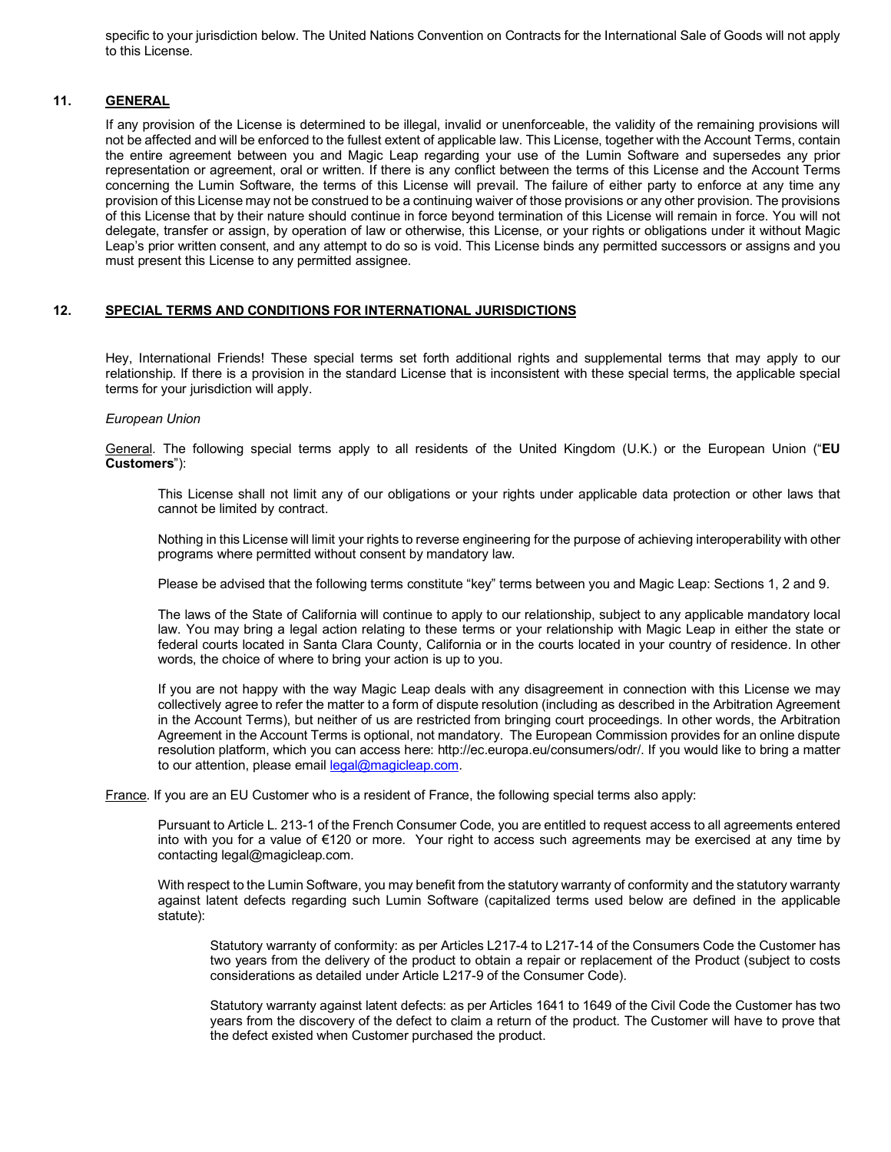specific to your jurisdiction below. The United Nations Convention on Contracts for the International Sale of Goods will not apply to this License.

# **11. GENERAL**

 If any provision of the License is determined to be illegal, invalid or unenforceable, the validity of the remaining provisions will not be affected and will be enforced to the fullest extent of applicable law. This License, together with the Account Terms, contain the entire agreement between you and Magic Leap regarding your use of the Lumin Software and supersedes any prior representation or agreement, oral or written. If there is any conflict between the terms of this License and the Account Terms concerning the Lumin Software, the terms of this License will prevail. The failure of either party to enforce at any time any provision of this License may not be construed to be a continuing waiver of those provisions or any other provision. The provisions of this License that by their nature should continue in force beyond termination of this License will remain in force. You will not delegate, transfer or assign, by operation of law or otherwise, this License, or your rights or obligations under it without Magic Leap's prior written consent, and any attempt to do so is void. This License binds any permitted successors or assigns and you must present this License to any permitted assignee.

# **12. SPECIAL TERMS AND CONDITIONS FOR INTERNATIONAL JURISDICTIONS**

 Hey, International Friends! These special terms set forth additional rights and supplemental terms that may apply to our relationship. If there is a provision in the standard License that is inconsistent with these special terms, the applicable special terms for your jurisdiction will apply.

## *European Union*

 General. The following special terms apply to all residents of the United Kingdom (U.K.) or the European Union ("**EU Customers**"):

 This License shall not limit any of our obligations or your rights under applicable data protection or other laws that cannot be limited by contract.

 Nothing in this License will limit your rights to reverse engineering for the purpose of achieving interoperability with other programs where permitted without consent by mandatory law.

Please be advised that the following terms constitute "key" terms between you and Magic Leap: Sections 1, 2 and 9.

 The laws of the State of California will continue to apply to our relationship, subject to any applicable mandatory local law. You may bring a legal action relating to these terms or your relationship with Magic Leap in either the state or federal courts located in Santa Clara County, California or in the courts located in your country of residence. In other words, the choice of where to bring your action is up to you.

 If you are not happy with the way Magic Leap deals with any disagreement in connection with this License we may collectively agree to refer the matter to a form of dispute resolution (including as described in the Arbitration Agreement in the Account Terms), but neither of us are restricted from bringing court proceedings. In other words, the Arbitration Agreement in the Account Terms is optional, not mandatory. The European Commission provides for an online dispute resolution platform, which you can access here: <http://ec.europa.eu/consumers/odr>/. If you would like to bring a matter to our attention, please email [legal@magicleap.com](mailto:legal@magicleap.com).

France. If you are an EU Customer who is a resident of France, the following special terms also apply:

 Pursuant to Article L. 213-1 of the French Consumer Code, you are entitled to request access to all agreements entered into with you for a value of €120 or more. Your right to access such agreements may be exercised at any time by contacting [legal@magicleap.com.](mailto:legal@magicleap.com)

 With respect to the Lumin Software, you may benefit from the statutory warranty of conformity and the statutory warranty against latent defects regarding such Lumin Software (capitalized terms used below are defined in the applicable statute):

 Statutory warranty of conformity: as per Articles L217-4 to L217-14 of the Consumers Code the Customer has two years from the delivery of the product to obtain a repair or replacement of the Product (subject to costs considerations as detailed under Article L217-9 of the Consumer Code).

 Statutory warranty against latent defects: as per Articles 1641 to 1649 of the Civil Code the Customer has two years from the discovery of the defect to claim a return of the product. The Customer will have to prove that the defect existed when Customer purchased the product.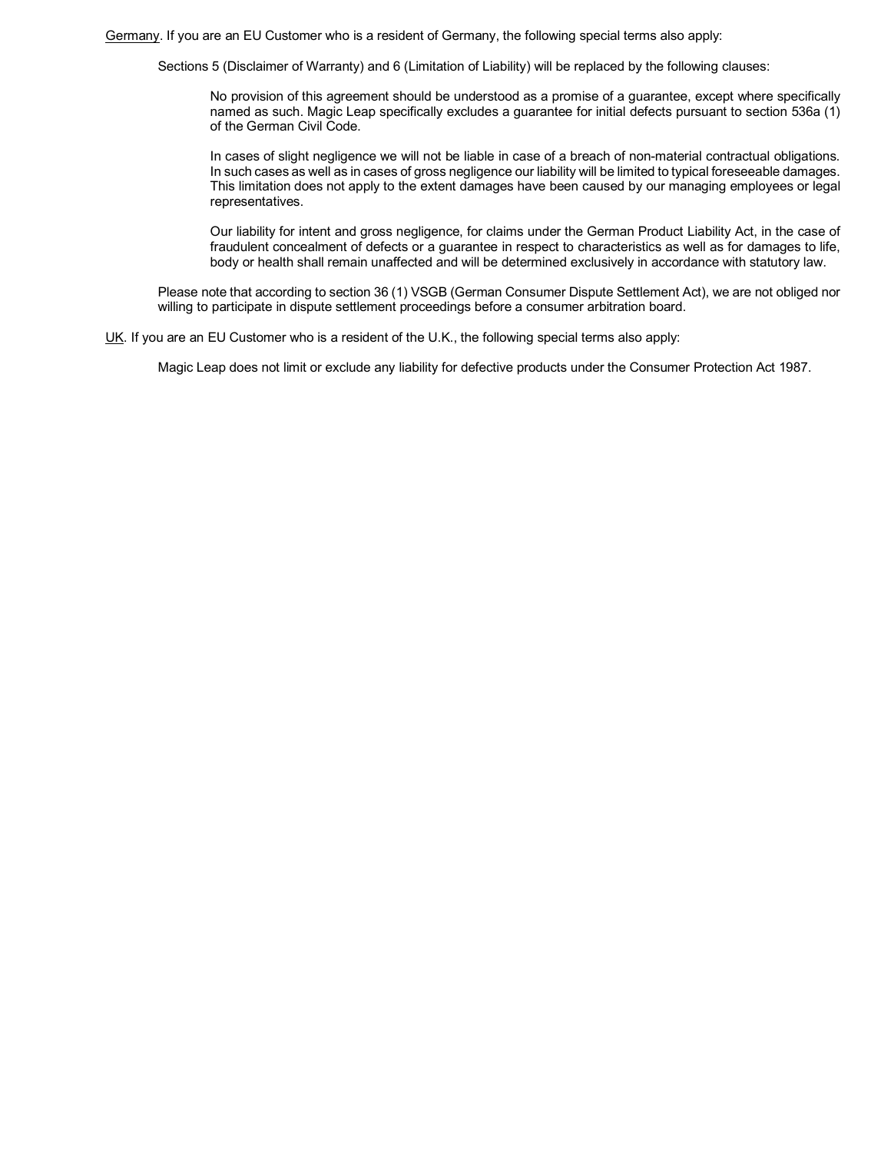Germany. If you are an EU Customer who is a resident of Germany, the following special terms also apply:

Sections 5 (Disclaimer of Warranty) and 6 (Limitation of Liability) will be replaced by the following clauses:

 No provision of this agreement should be understood as a promise of a guarantee, except where specifically named as such. Magic Leap specifically excludes a guarantee for initial defects pursuant to section 536a (1) of the German Civil Code.

 In cases of slight negligence we will not be liable in case of a breach of non-material contractual obligations. In such cases as well as in cases of gross negligence our liability will be limited to typical foreseeable damages. This limitation does not apply to the extent damages have been caused by our managing employees or legal representatives.

 Our liability for intent and gross negligence, for claims under the German Product Liability Act, in the case of fraudulent concealment of defects or a guarantee in respect to characteristics as well as for damages to life, body or health shall remain unaffected and will be determined exclusively in accordance with statutory law.

 Please note that according to section 36 (1) VSGB (German Consumer Dispute Settlement Act), we are not obliged nor willing to participate in dispute settlement proceedings before a consumer arbitration board.

UK. If you are an EU Customer who is a resident of the U.K., the following special terms also apply:

Magic Leap does not limit or exclude any liability for defective products under the Consumer Protection Act 1987.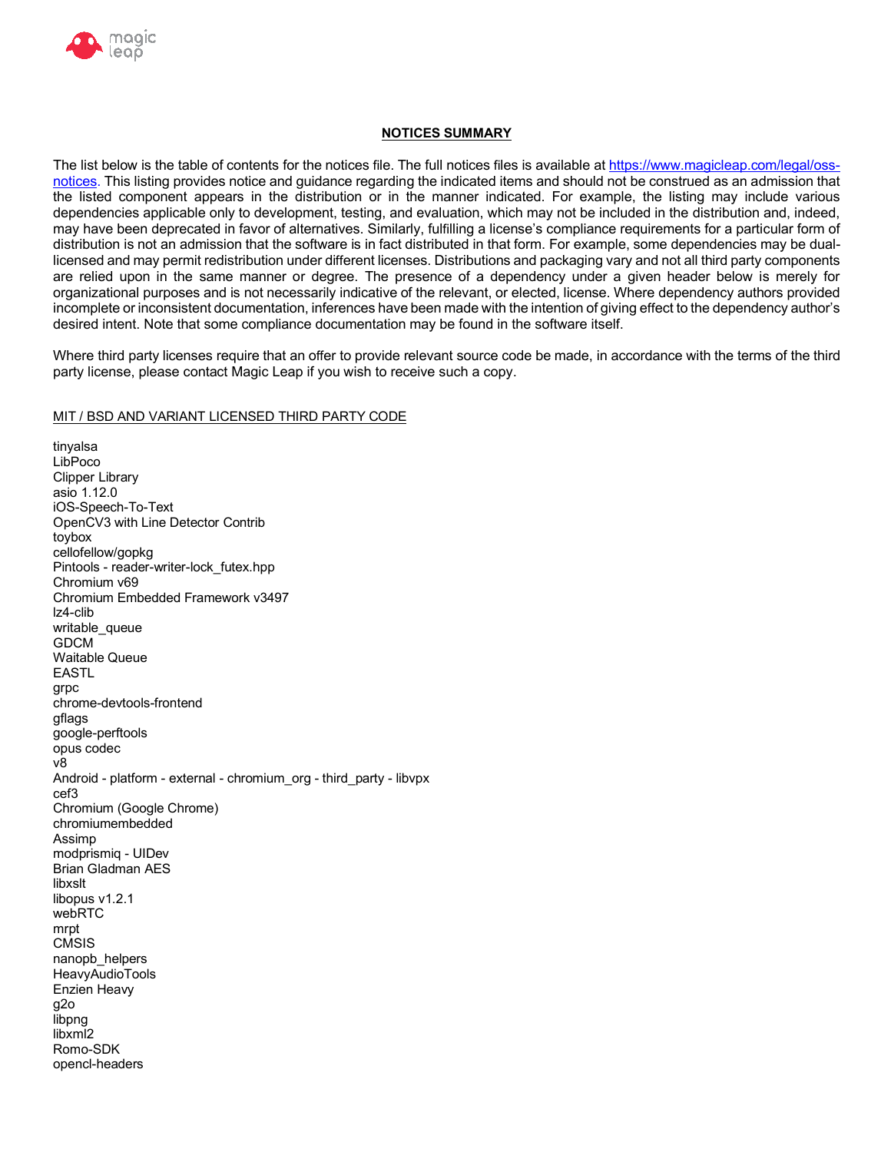

# **NOTICES SUMMARY**

The list below is the table of contents for the notices file. The full notices files is available at <https://www.magicleap.com/legal/oss>notices. This listing provides notice and guidance regarding the indicated items and should not be construed as an admission that the listed component appears in the distribution or in the manner indicated. For example, the listing may include various dependencies applicable only to development, testing, and evaluation, which may not be included in the distribution and, indeed, may have been deprecated in favor of alternatives. Similarly, fulfilling a license's compliance requirements for a particular form of distribution is not an admission that the software is in fact distributed in that form. For example, some dependencies may be dual- licensed and may permit redistribution under different licenses. Distributions and packaging vary and not all third party components are relied upon in the same manner or degree. The presence of a dependency under a given header below is merely for organizational purposes and is not necessarily indicative of the relevant, or elected, license. Where dependency authors provided incomplete or inconsistent documentation, inferences have been made with the intention of giving effect to the dependency author's desired intent. Note that some compliance documentation may be found in the software itself.

 Where third party licenses require that an offer to provide relevant source code be made, in accordance with the terms of the third party license, please contact Magic Leap if you wish to receive such a copy.

# MIT / BSD AND VARIANT LICENSED THIRD PARTY CODE

 asio 1.12.0 OpenCV3 with Line Detector Contrib Chromium v69 Chromium Embedded Framework v3497 Android - platform - external - chromium\_org - third\_party - libvpx Chromium (Google Chrome) modprismiq - UIDev Brian Gladman AES Enzien Heavy tinyalsa LibPoco Clipper Library iOS-Speech-To-Text toybox cellofellow/gopkg Pintools - reader-writer-lock\_futex.hpp lz4-clib writable queue GDCM Waitable Queue EASTL grpc chrome-devtools-frontend gflags google-perftools opus codec v8 cef3 chromiumembedded Assimp libxslt libopus v1.2.1 webRTC mrpt **CMSIS** nanopb\_helpers HeavyAudioTools g2o libpng libxml2 Romo-SDK opencl-headers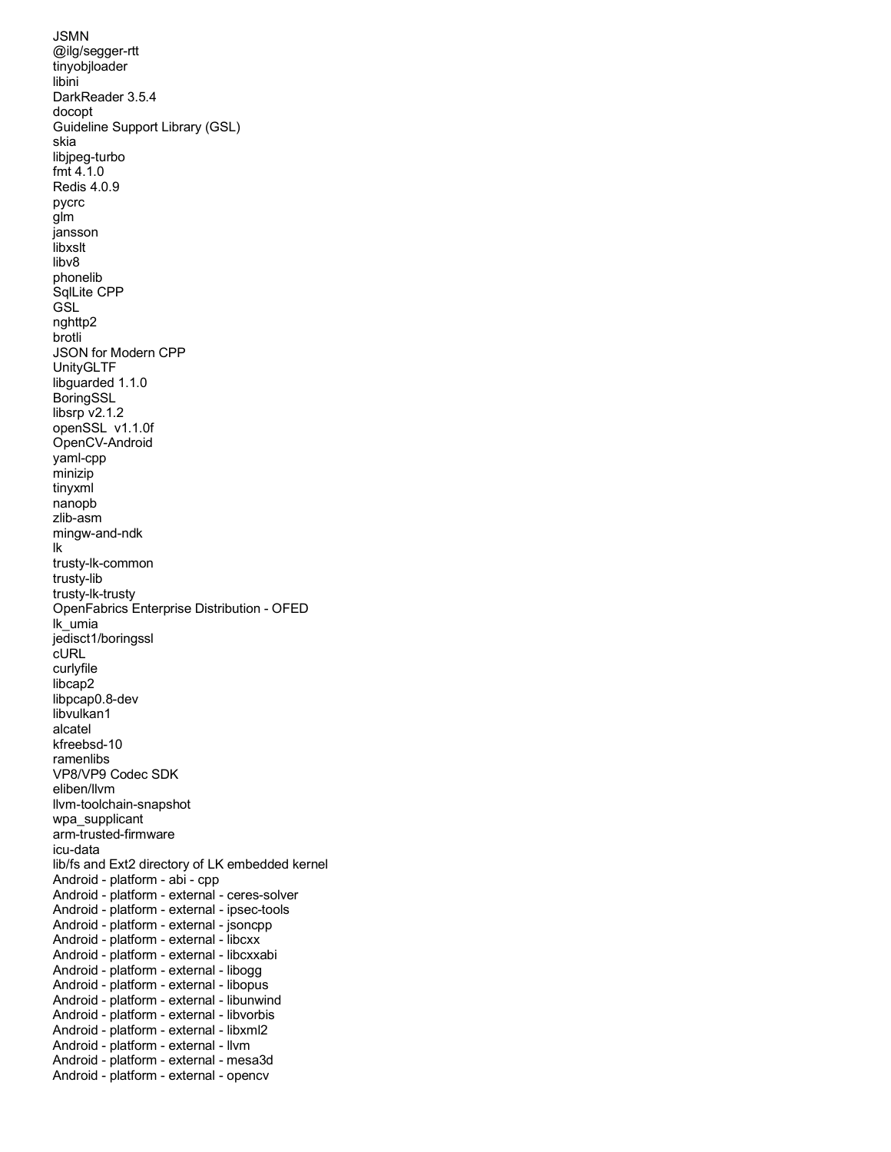DarkReader 3.5.4 Guideline Support Library (GSL) JSON for Modern CPP libsrp v2.1.2 openSSL v1.1.0f OpenFabrics Enterprise Distribution - OFED VP8/VP9 Codec SDK lib/fs and Ext2 directory of LK embedded kernel Android - platform - abi - cpp Android - platform - external - ipsec-tools Android - platform - external - jsoncpp Android - platform - external - libcxx Android - platform - external - libcxxabi Android - platform - external - libogg Android - platform - external - libopus Android - platform - external - libunwind Android - platform - external - libvorbis Android - platform - external - libxml2 Android - platform - external - llvm Android - platform - external - mesa3d Android - platform - external - opencv JSMN @ilg/segger-rtt tinyobjloader libini docopt skia libjpeg-turbo fmt 4.1.0 Redis 4.0.9 pycrc glm jansson libxslt libv8 phonelib SqlLite CPP **GSL** nghttp2 brotli UnityGLTF libguarded 1.1.0 BoringSSL OpenCV-Android yaml-cpp minizip tinyxml nanopb zlib-asm mingw-and-ndk lk trusty-lk-common trusty-lib trusty-lk-trusty lk\_umia jedisct1/boringssl cURL curlyfile libca<sub>p2</sub> libpcap0.8-dev libvulkan1 alcatel kfreebsd-10 ramenlibs eliben/llvm llvm-toolchain-snapshot wpa\_supplicant arm-trusted-firmware icu-data Android - platform - external - ceres-solver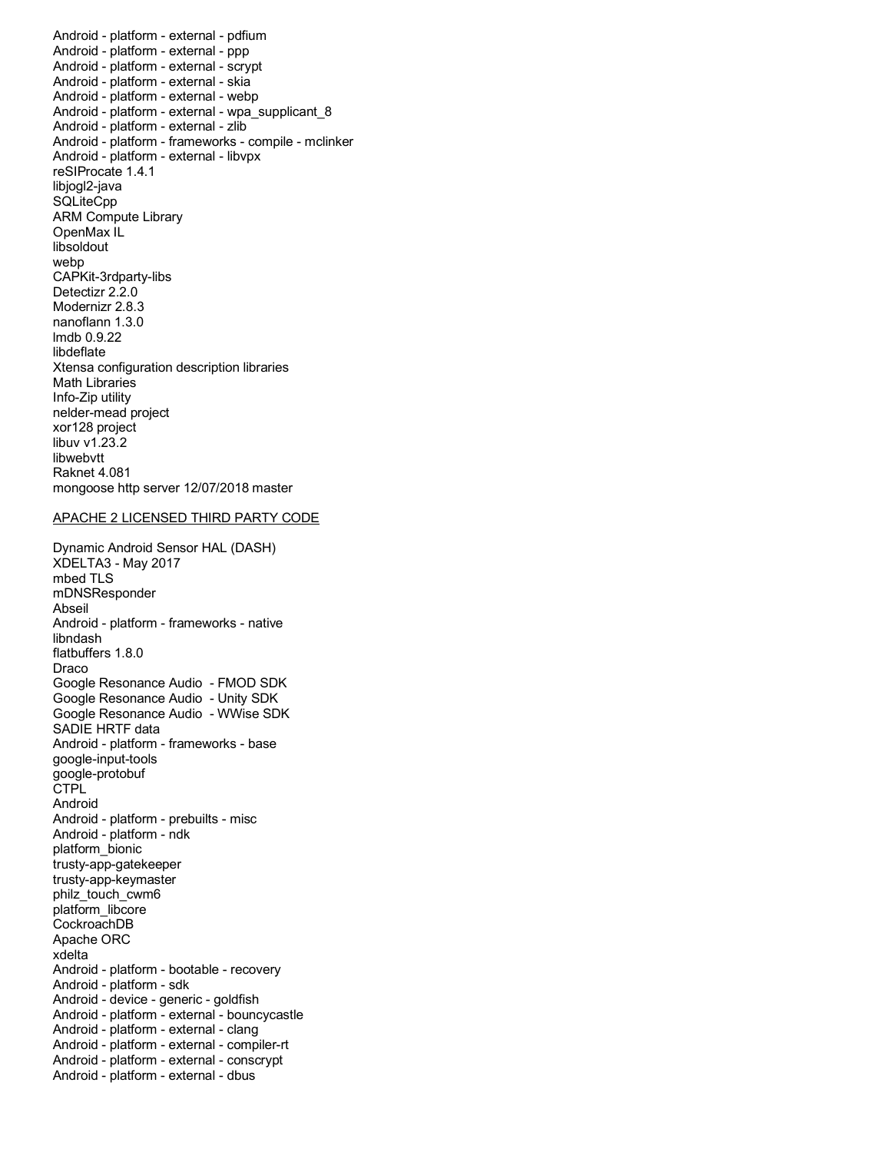Android - platform - external - pdfium Android - platform - external - ppp Android - platform - external - scrypt Android - platform - external - skia Android - platform - external - webp Android - platform - external - zlib Android - platform - frameworks - compile - mclinker Android - platform - external - libvpx reSIProcate 1.4.1 ARM Compute Library Detectizr 2.2.0 Modernizr 2.8.3 Xtensa configuration description libraries xor128 project Raknet 4.081 mongoose http server 12/07/2018 master Android - platform - external - wpa\_supplicant\_8 libjogl2-java **SQLiteCpp** OpenMax IL libsoldout webp CAPKit-3rdparty-libs nanoflann 1.3.0 lmdb 0.9.22 libdeflate Math Libraries Info-Zip utility nelder-mead project libuv v1.23.2 libwebvtt

### APACHE 2 LICENSED THIRD PARTY CODE

 Dynamic Android Sensor HAL (DASH) Android - platform - frameworks - native Google Resonance Audio - FMOD SDK Google Resonance Audio - Unity SDK Google Resonance Audio - WWise SDK Android - platform - frameworks - base Android - platform - prebuilts - misc Android - platform - ndk Apache ORC Android - platform - bootable - recovery Android - platform - sdk Android - device - generic - goldfish Android - platform - external - clang Android - platform - external - compiler-rt Android - platform - external - conscrypt Android - platform - external - dbus XDELTA3 - May 2017 mbed TLS mDNSResponder Abseil libndash flatbuffers 1.8.0 Draco SADIE HRTF data google-input-tools google-protobuf CTPL Android platform\_bionic trusty-app-gatekeeper trusty-app-keymaster philz\_touch\_cwm6 platform\_libcore CockroachDB xdelta Android - platform - external - bouncycastle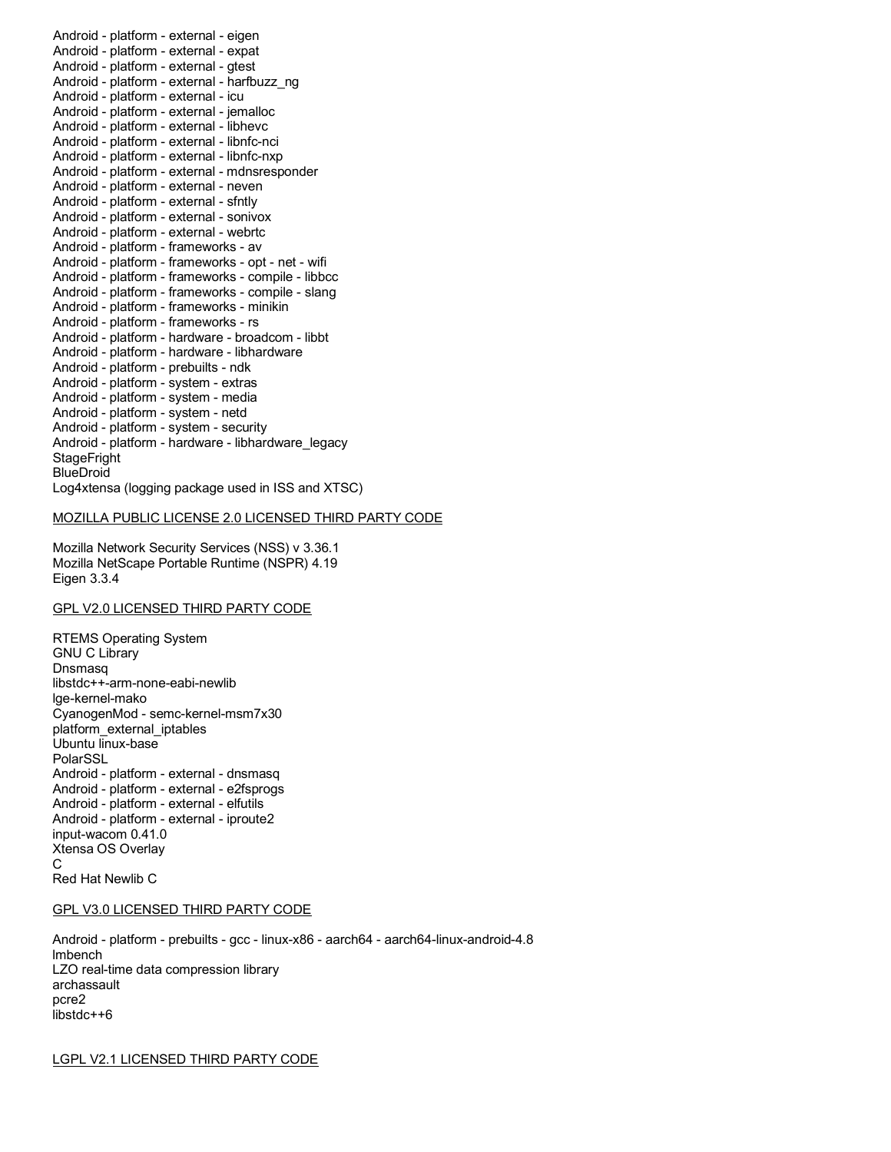Android - platform - external - eigen Android - platform - external - expat Android - platform - external - gtest Android - platform - external - icu Android - platform - external - jemalloc Android - platform - external - libhevc Android - platform - external - libnfc-nci Android - platform - external - libnfc-nxp Android - platform - external - neven Android - platform - external - sfntly Android - platform - external - sonivox Android - platform - external - webrtc Android - platform - frameworks - av Android - platform - frameworks - opt - net - wifi Android - platform - frameworks - compile - libbcc Android - platform - frameworks - compile - slang Android - platform - frameworks - minikin Android - platform - frameworks - rs Android - platform - hardware - broadcom - libbt Android - platform - prebuilts - ndk Android - platform - system - extras Android - platform - system - media Android - platform - system - netd Android - platform - system - security Log4xtensa (logging package used in ISS and XTSC) Android - platform - external - harfbuzz\_ng Android - platform - external - mdnsresponder Android - platform - hardware - libhardware Android - platform - hardware - libhardware\_legacy **StageFright BlueDroid** 

### MOZILLA PUBLIC LICENSE 2.0 LICENSED THIRD PARTY CODE

 Mozilla Network Security Services (NSS) v 3.36.1 Mozilla NetScape Portable Runtime (NSPR) 4.19 Eigen 3.3.4

# GPL V2.0 LICENSED THIRD PARTY CODE

 RTEMS Operating System CyanogenMod - semc-kernel-msm7x30 Android - platform - external - dnsmasq Android - platform - external - e2fsprogs Android - platform - external - elfutils Android - platform - external - iproute2 input-wacom 0.41.0 Xtensa OS Overlay Red Hat Newlib C GNU C Library Dnsmasq libstdc++-arm-none-eabi-newlib lge-kernel-mako platform\_external\_iptables Ubuntu linux-base PolarSSL C

### GPL V3.0 LICENSED THIRD PARTY CODE

 Android - platform - prebuilts - gcc - linux-x86 - aarch64 - aarch64-linux-android-4.8 LZO real-time data compression library lmbench archassault pcre2 libstdc++6

LGPL V2.1 LICENSED THIRD PARTY CODE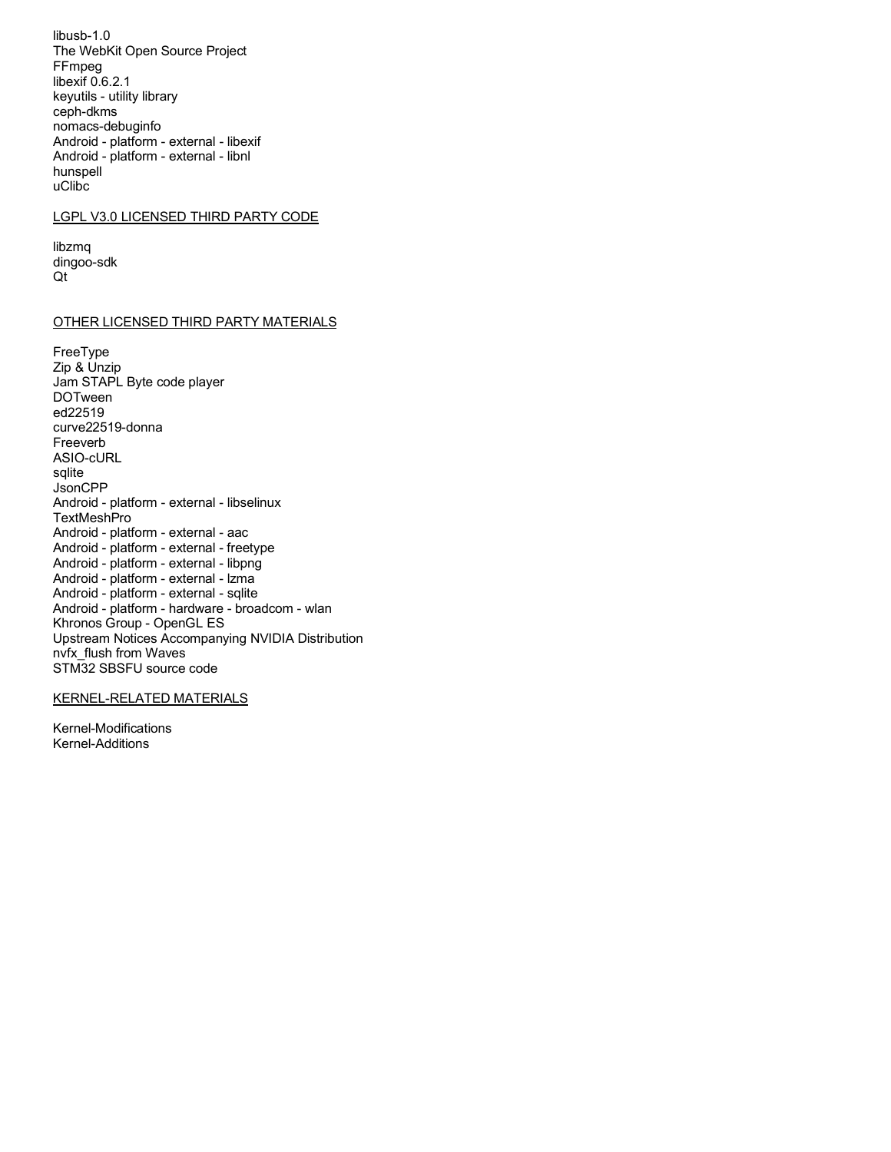$libusb-1.0$ The WebKit Open Source Project FFmpeg libexif 0.6.2.1 keyutils - utility library ceph-dkms nomacs-debuginfo Android - platform - external - libexif Android - platform - external - libnl hunspell uClibc

## LGPL V3.0 LICENSED THIRD PARTY CODE

libzmq dingoo-sdk Qt

### OTHER LICENSED THIRD PARTY MATERIALS

FreeType Zip & Unzip Jam STAPL Byte code player **DOTween** ed22519 curve22519-donna Freeverb ASIO-cURL sqlite **JsonCPP** Android - platform - external - libselinux TextMeshPro Android - platform - external - aac Android - platform - external - freetype Android - platform - external - libpng Android - platform - external - Izma Android - platform - external - sqlite Android - platform - hardware - broadcom - wlan Khronos Group - OpenGL ES Upstream Notices Accompanying NVIDIA Distribution nyfx flush from Waves STM32 SBSFU source code

# **KERNEL-RELATED MATERIALS**

Kernel-Modifications Kernel-Additions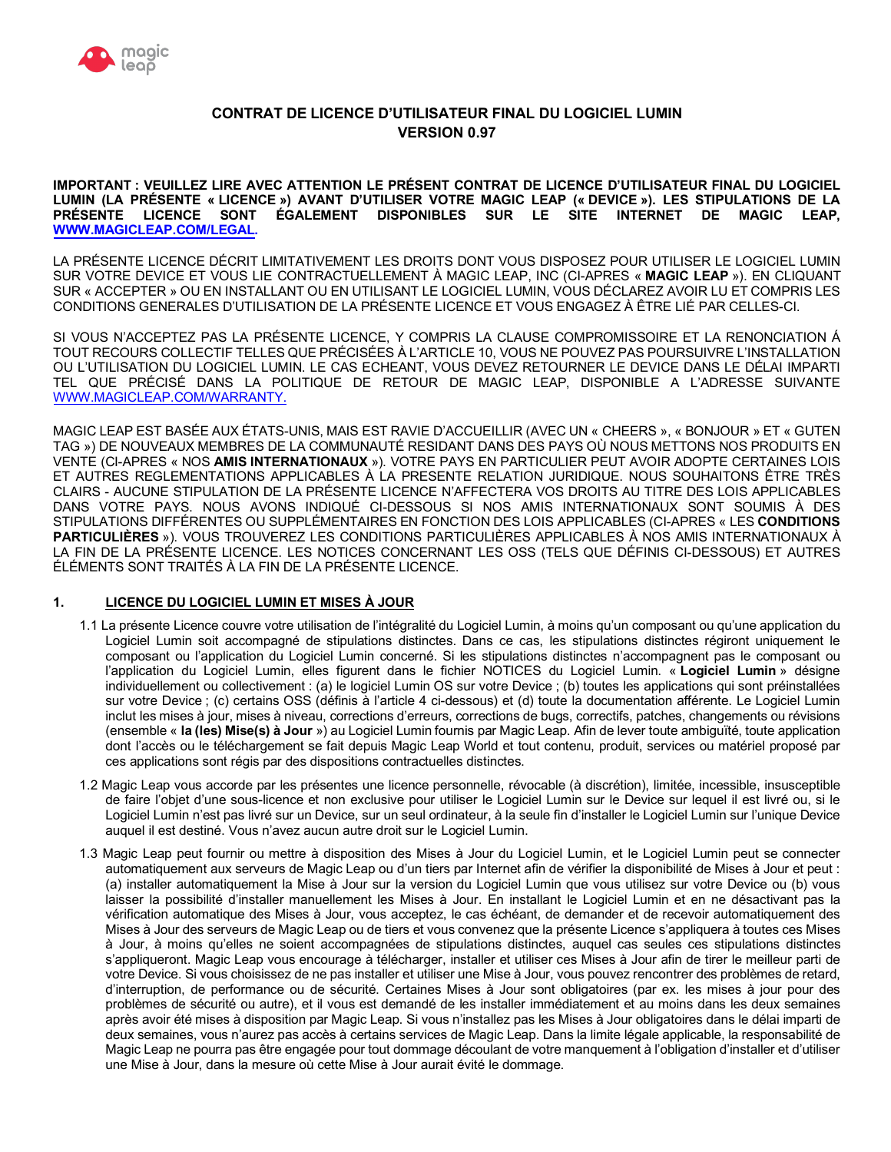

# **CONTRAT DE LICENCE D'UTILISATEUR FINAL DU LOGICIEL LUMIN VERSION 0.97**

 **IMPORTANT : VEUILLEZ LIRE AVEC ATTENTION LE PRÉSENT CONTRAT DE LICENCE D'UTILISATEUR FINAL DU LOGICIEL LUMIN (LA PRÉSENTE « LICENCE ») AVANT D'UTILISER VOTRE MAGIC LEAP (« DEVICE »). LES STIPULATIONS DE LA PRÉSENTE LICENCE SONT ÉGALEMENT DISPONIBLES SUR LE SITE INTERNET DE MAGIC LEAP, [WWW.MAGICLEAP.COM/LEGAL.](WWW.MAGICLEAP.COM/LEGAL)** 

 LA PRÉSENTE LICENCE DÉCRIT LIMITATIVEMENT LES DROITS DONT VOUS DISPOSEZ POUR UTILISER LE LOGICIEL LUMIN SUR VOTRE DEVICE ET VOUS LIE CONTRACTUELLEMENT À MAGIC LEAP, INC (CI-APRES « **MAGIC LEAP** »). EN CLIQUANT SUR « ACCEPTER » OU EN INSTALLANT OU EN UTILISANT LE LOGICIEL LUMIN, VOUS DÉCLAREZ AVOIR LU ET COMPRIS LES CONDITIONS GENERALES D'UTILISATION DE LA PRÉSENTE LICENCE ET VOUS ENGAGEZ À ÊTRE LIÉ PAR CELLES-CI.

 SI VOUS N'ACCEPTEZ PAS LA PRÉSENTE LICENCE, Y COMPRIS LA CLAUSE COMPROMISSOIRE ET LA RENONCIATION Á TOUT RECOURS COLLECTIF TELLES QUE PRÉCISÉES À L'ARTICLE 10, VOUS NE POUVEZ PAS POURSUIVRE L'INSTALLATION OU L'UTILISATION DU LOGICIEL LUMIN. LE CAS ECHEANT, VOUS DEVEZ RETOURNER LE DEVICE DANS LE DÉLAI IMPARTI TEL QUE PRÉCISÉ DANS LA POLITIQUE DE RETOUR DE MAGIC LEAP, DISPONIBLE A L'ADRESSE SUIVANTE [WWW.MAGICLEAP.COM/WARRANTY.](WWW.MAGICLEAP.COM/WARRANTY)

 MAGIC LEAP EST BASÉE AUX ÉTATS-UNIS, MAIS EST RAVIE D'ACCUEILLIR (AVEC UN « CHEERS », « BONJOUR » ET « GUTEN TAG ») DE NOUVEAUX MEMBRES DE LA COMMUNAUTÉ RESIDANT DANS DES PAYS OÙ NOUS METTONS NOS PRODUITS EN VENTE (CI-APRES « NOS **AMIS INTERNATIONAUX** »). VOTRE PAYS EN PARTICULIER PEUT AVOIR ADOPTE CERTAINES LOIS CLAIRS - AUCUNE STIPULATION DE LA PRÉSENTE LICENCE N'AFFECTERA VOS DROITS AU TITRE DES LOIS APPLICABLES DANS VOTRE PAYS. NOUS AVONS INDIQUÉ CI-DESSOUS SI NOS AMIS INTERNATIONAUX SONT SOUMIS À DES STIPULATIONS DIFFÉRENTES OU SUPPLÉMENTAIRES EN FONCTION DES LOIS APPLICABLES (CI-APRES « LES **CONDITIONS PARTICULIÈRES** »). VOUS TROUVEREZ LES CONDITIONS PARTICULIÈRES APPLICABLES À NOS AMIS INTERNATIONAUX À LA FIN DE LA PRÉSENTE LICENCE. LES NOTICES CONCERNANT LES OSS (TELS QUE DÉFINIS CI-DESSOUS) ET AUTRES ÉLÉMENTS SONT TRAITÉS À LA FIN DE LA PRÉSENTE LICENCE. ET AUTRES REGLEMENTATIONS APPLICABLES À LA PRESENTE RELATION JURIDIQUE. NOUS SOUHAITONS ÊTRE TRÈS

## **1. LICENCE DU LOGICIEL LUMIN ET MISES À JOUR**

- 1.1 La présente Licence couvre votre utilisation de l'intégralité du Logiciel Lumin, à moins qu'un composant ou qu'une application du Logiciel Lumin soit accompagné de stipulations distinctes. Dans ce cas, les stipulations distinctes régiront uniquement le composant ou l'application du Logiciel Lumin concerné. Si les stipulations distinctes n'accompagnent pas le composant ou l'application du Logiciel Lumin, elles figurent dans le fichier NOTICES du Logiciel Lumin. « **Logiciel Lumin** » désigne individuellement ou collectivement : (a) le logiciel Lumin OS sur votre Device ; (b) toutes les applications qui sont préinstallées sur votre Device ; (c) certains OSS (définis à l'article 4 ci-dessous) et (d) toute la documentation afférente. Le Logiciel Lumin inclut les mises à jour, mises à niveau, corrections d'erreurs, corrections de bugs, correctifs, patches, changements ou révisions (ensemble « **la (les) Mise(s) à Jour** ») au Logiciel Lumin fournis par Magic Leap. Afin de lever toute ambiguïté, toute application dont l'accès ou le téléchargement se fait depuis Magic Leap World et tout contenu, produit, services ou matériel proposé par ces applications sont régis par des dispositions contractuelles distinctes.
- 1.2 Magic Leap vous accorde par les présentes une licence personnelle, révocable (à discrétion), limitée, incessible, insusceptible de faire l'objet d'une sous-licence et non exclusive pour utiliser le Logiciel Lumin sur le Device sur lequel il est livré ou, si le Logiciel Lumin n'est pas livré sur un Device, sur un seul ordinateur, à la seule fin d'installer le Logiciel Lumin sur l'unique Device auquel il est destiné. Vous n'avez aucun autre droit sur le Logiciel Lumin.
- 1.3 Magic Leap peut fournir ou mettre à disposition des Mises à Jour du Logiciel Lumin, et le Logiciel Lumin peut se connecter automatiquement aux serveurs de Magic Leap ou d'un tiers par Internet afin de vérifier la disponibilité de Mises à Jour et peut : (a) installer automatiquement la Mise à Jour sur la version du Logiciel Lumin que vous utilisez sur votre Device ou (b) vous laisser la possibilité d'installer manuellement les Mises à Jour. En installant le Logiciel Lumin et en ne désactivant pas la vérification automatique des Mises à Jour, vous acceptez, le cas échéant, de demander et de recevoir automatiquement des Mises à Jour des serveurs de Magic Leap ou de tiers et vous convenez que la présente Licence s'appliquera à toutes ces Mises à Jour, à moins qu'elles ne soient accompagnées de stipulations distinctes, auquel cas seules ces stipulations distinctes s'appliqueront. Magic Leap vous encourage à télécharger, installer et utiliser ces Mises à Jour afin de tirer le meilleur parti de votre Device. Si vous choisissez de ne pas installer et utiliser une Mise à Jour, vous pouvez rencontrer des problèmes de retard, d'interruption, de performance ou de sécurité. Certaines Mises à Jour sont obligatoires (par ex. les mises à jour pour des problèmes de sécurité ou autre), et il vous est demandé de les installer immédiatement et au moins dans les deux semaines après avoir été mises à disposition par Magic Leap. Si vous n'installez pas les Mises à Jour obligatoires dans le délai imparti de deux semaines, vous n'aurez pas accès à certains services de Magic Leap. Dans la limite légale applicable, la responsabilité de Magic Leap ne pourra pas être engagée pour tout dommage découlant de votre manquement à l'obligation d'installer et d'utiliser une Mise à Jour, dans la mesure où cette Mise à Jour aurait évité le dommage.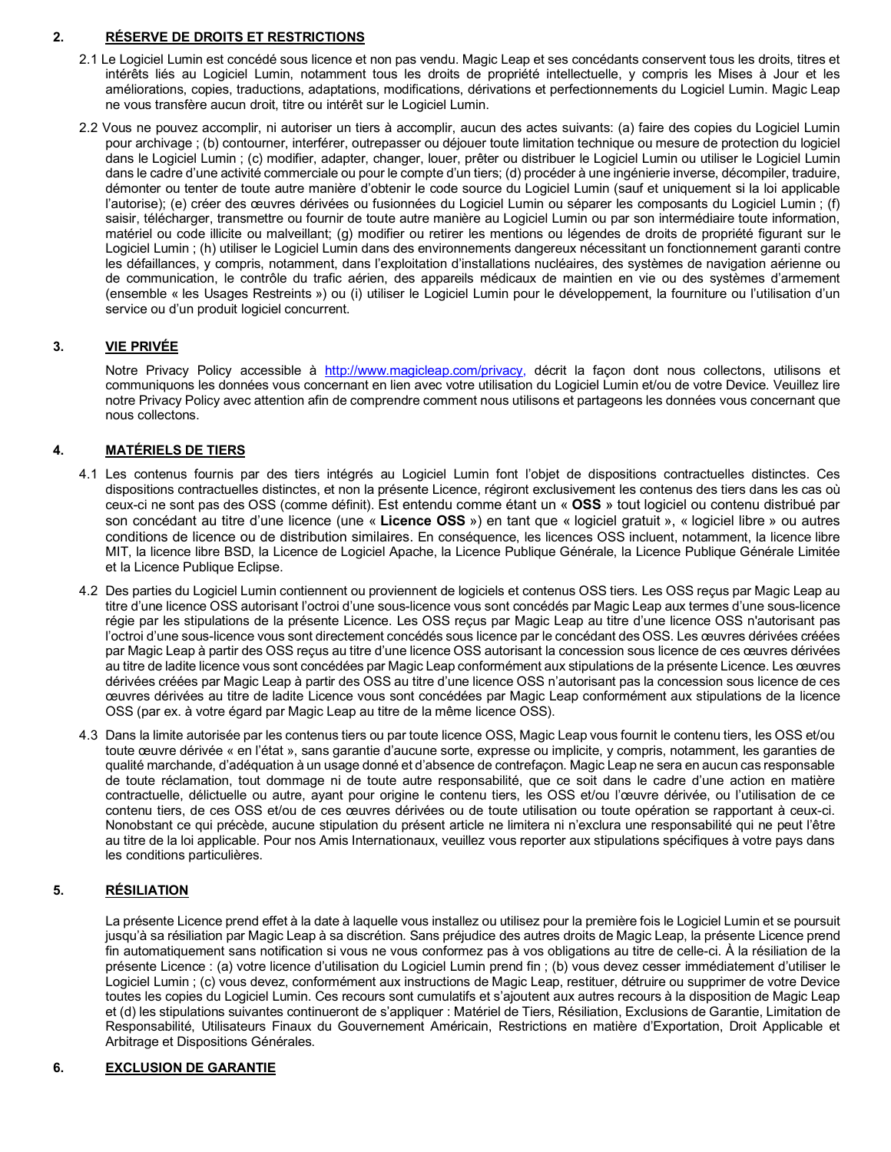# **2. RÉSERVE DE DROITS ET RESTRICTIONS**

- 2.1 Le Logiciel Lumin est concédé sous licence et non pas vendu. Magic Leap et ses concédants conservent tous les droits, titres et intérêts liés au Logiciel Lumin, notamment tous les droits de propriété intellectuelle, y compris les Mises à Jour et les améliorations, copies, traductions, adaptations, modifications, dérivations et perfectionnements du Logiciel Lumin. Magic Leap ne vous transfère aucun droit, titre ou intérêt sur le Logiciel Lumin.
- 2.2 Vous ne pouvez accomplir, ni autoriser un tiers à accomplir, aucun des actes suivants: (a) faire des copies du Logiciel Lumin pour archivage ; (b) contourner, interférer, outrepasser ou déjouer toute limitation technique ou mesure de protection du logiciel dans le Logiciel Lumin ; (c) modifier, adapter, changer, louer, prêter ou distribuer le Logiciel Lumin ou utiliser le Logiciel Lumin dans le cadre d'une activité commerciale ou pour le compte d'un tiers; (d) procéder à une ingénierie inverse, décompiler, traduire, démonter ou tenter de toute autre manière d'obtenir le code source du Logiciel Lumin (sauf et uniquement si la loi applicable l'autorise); (e) créer des œuvres dérivées ou fusionnées du Logiciel Lumin ou séparer les composants du Logiciel Lumin ; (f) saisir, télécharger, transmettre ou fournir de toute autre manière au Logiciel Lumin ou par son intermédiaire toute information, matériel ou code illicite ou malveillant; (g) modifier ou retirer les mentions ou légendes de droits de propriété figurant sur le Logiciel Lumin ; (h) utiliser le Logiciel Lumin dans des environnements dangereux nécessitant un fonctionnement garanti contre les défaillances, y compris, notamment, dans l'exploitation d'installations nucléaires, des systèmes de navigation aérienne ou de communication, le contrôle du trafic aérien, des appareils médicaux de maintien en vie ou des systèmes d'armement (ensemble « les Usages Restreints ») ou (i) utiliser le Logiciel Lumin pour le développement, la fourniture ou l'utilisation d'un service ou d'un produit logiciel concurrent.

# **3. VIE PRIVÉE**

Notre Privacy Policy accessible à <http://www.magicleap.com/privacy>, décrit la façon dont nous collectons, utilisons et communiquons les données vous concernant en lien avec votre utilisation du Logiciel Lumin et/ou de votre Device. Veuillez lire notre Privacy Policy avec attention afin de comprendre comment nous utilisons et partageons les données vous concernant que nous collectons.

# **4. MATÉRIELS DE TIERS**

- 4.1 Les contenus fournis par des tiers intégrés au Logiciel Lumin font l'objet de dispositions contractuelles distinctes. Ces dispositions contractuelles distinctes, et non la présente Licence, régiront exclusivement les contenus des tiers dans les cas où ceux-ci ne sont pas des OSS (comme définit). Est entendu comme étant un « **OSS** » tout logiciel ou contenu distribué par son concédant au titre d'une licence (une « **Licence OSS** ») en tant que « logiciel gratuit », « logiciel libre » ou autres conditions de licence ou de distribution similaires. En conséquence, les licences OSS incluent, notamment, la licence libre MIT, la licence libre BSD, la Licence de Logiciel Apache, la Licence Publique Générale, la Licence Publique Générale Limitée et la Licence Publique Eclipse.
- 4.2 Des parties du Logiciel Lumin contiennent ou proviennent de logiciels et contenus OSS tiers. Les OSS reçus par Magic Leap au titre d'une licence OSS autorisant l'octroi d'une sous-licence vous sont concédés par Magic Leap aux termes d'une sous-licence régie par les stipulations de la présente Licence. Les OSS reçus par Magic Leap au titre d'une licence OSS n'autorisant pas l'octroi d'une sous-licence vous sont directement concédés sous licence par le concédant des OSS. Les œuvres dérivées créées par Magic Leap à partir des OSS reçus au titre d'une licence OSS autorisant la concession sous licence de ces œuvres dérivées au titre de ladite licence vous sont concédées par Magic Leap conformément aux stipulations de la présente Licence. Les œuvres dérivées créées par Magic Leap à partir des OSS au titre d'une licence OSS n'autorisant pas la concession sous licence de ces œuvres dérivées au titre de ladite Licence vous sont concédées par Magic Leap conformément aux stipulations de la licence OSS (par ex. à votre égard par Magic Leap au titre de la même licence OSS).
- 4.3 Dans la limite autorisée par les contenus tiers ou par toute licence OSS, Magic Leap vous fournit le contenu tiers, les OSS et/ou toute œuvre dérivée « en l'état », sans garantie d'aucune sorte, expresse ou implicite, y compris, notamment, les garanties de qualité marchande, d'adéquation à un usage donné et d'absence de contrefaçon. Magic Leap ne sera en aucun cas responsable de toute réclamation, tout dommage ni de toute autre responsabilité, que ce soit dans le cadre d'une action en matière contractuelle, délictuelle ou autre, ayant pour origine le contenu tiers, les OSS et/ou l'œuvre dérivée, ou l'utilisation de ce contenu tiers, de ces OSS et/ou de ces œuvres dérivées ou de toute utilisation ou toute opération se rapportant à ceux-ci. Nonobstant ce qui précède, aucune stipulation du présent article ne limitera ni n'exclura une responsabilité qui ne peut l'être au titre de la loi applicable. Pour nos Amis Internationaux, veuillez vous reporter aux stipulations spécifiques à votre pays dans les conditions particulières.

# **5. RÉSILIATION**

 La présente Licence prend effet à la date à laquelle vous installez ou utilisez pour la première fois le Logiciel Lumin et se poursuit jusqu'à sa résiliation par Magic Leap à sa discrétion. Sans préjudice des autres droits de Magic Leap, la présente Licence prend fin automatiquement sans notification si vous ne vous conformez pas à vos obligations au titre de celle-ci. À la résiliation de la présente Licence : (a) votre licence d'utilisation du Logiciel Lumin prend fin ; (b) vous devez cesser immédiatement d'utiliser le Logiciel Lumin ; (c) vous devez, conformément aux instructions de Magic Leap, restituer, détruire ou supprimer de votre Device toutes les copies du Logiciel Lumin. Ces recours sont cumulatifs et s'ajoutent aux autres recours à la disposition de Magic Leap et (d) les stipulations suivantes continueront de s'appliquer : Matériel de Tiers, Résiliation, Exclusions de Garantie, Limitation de Responsabilité, Utilisateurs Finaux du Gouvernement Américain, Restrictions en matière d'Exportation, Droit Applicable et Arbitrage et Dispositions Générales.

# **6. EXCLUSION DE GARANTIE**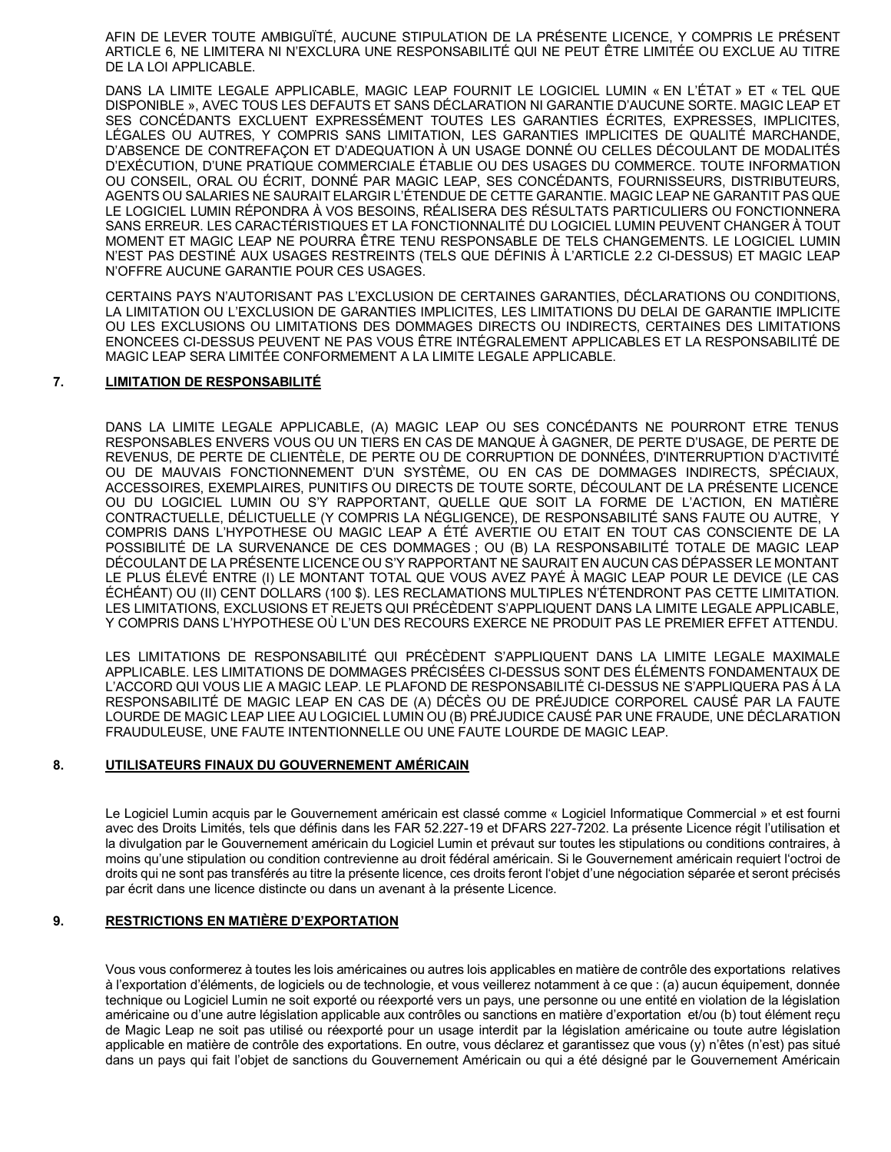AFIN DE LEVER TOUTE AMBIGUÏTÉ, AUCUNE STIPULATION DE LA PRÉSENTE LICENCE, Y COMPRIS LE PRÉSENT ARTICLE 6, NE LIMITERA NI N'EXCLURA UNE RESPONSABILITÉ QUI NE PEUT ÊTRE LIMITÉE OU EXCLUE AU TITRE DE LA LOI APPLICABLE.

DANS LA LIMITE LEGALE APPLICABLE, MAGIC LEAP FOURNIT LE LOGICIEL LUMIN « EN L'ÉTAT » ET « TEL QUE DISPONIBLE », AVEC TOUS LES DEFAUTS ET SANS DÉCLARATION NI GARANTIE D'AUCUNE SORTE. MAGIC LEAP ET SES CONCÉDANTS EXCLUENT EXPRESSÉMENT TOUTES LES GARANTIES ÉCRITES, EXPRESSES, IMPLICITES, LÉGALES OU AUTRES, Y COMPRIS SANS LIMITATION, LES GARANTIES IMPLICITES DE QUALITÉ MARCHANDE, D'ABSENCE DE CONTREFAÇON ET D'ADEQUATION À UN USAGE DONNÉ OU CELLES DÉCOULANT DE MODALITÉS D'EXÉCUTION, D'UNE PRATIQUE COMMERCIALE ÉTABLIE OU DES USAGES DU COMMERCE. TOUTE INFORMATION OU CONSEIL, ORAL OU ÉCRIT, DONNÉ PAR MAGIC LEAP, SES CONCÉDANTS, FOURNISSEURS, DISTRIBUTEURS, AGENTS OU SALARIES NE SAURAIT ELARGIR L'ÉTENDUE DE CETTE GARANTIE. MAGIC LEAP NE GARANTIT PAS QUE LE LOGICIEL LUMIN RÉPONDRA À VOS BESOINS. RÉALISERA DES RÉSULTATS PARTICULIERS OU FONCTIONNERA SANS ERREUR. LES CARACTÉRISTIQUES ET LA FONCTIONNALITÉ DU LOGICIEL LUMIN PEUVENT CHANGER À TOUT MOMENT ET MAGIC LEAP NE POURRA ÊTRE TENU RESPONSABLE DE TELS CHANGEMENTS. LE LOGICIEL LUMIN N'EST PAS DESTINÉ AUX USAGES RESTREINTS (TELS QUE DÉFINIS À L'ARTICLE 2.2 CI-DESSUS) ET MAGIC LEAP N'OFFRE AUCUNE GARANTIE POUR CES USAGES.

CERTAINS PAYS N'AUTORISANT PAS L'EXCLUSION DE CERTAINES GARANTIES, DÉCLARATIONS OU CONDITIONS, LA LIMITATION OU L'EXCLUSION DE GARANTIES IMPLICITES, LES LIMITATIONS DU DELAI DE GARANTIE IMPLICITE OU LES EXCLUSIONS OU LIMITATIONS DES DOMMAGES DIRECTS OU INDIRECTS, CERTAINES DES LIMITATIONS ENONCEES CI-DESSUS PEUVENT NE PAS VOUS ÊTRE INTÉGRALEMENT APPLICABLES ET LA RESPONSABILITÉ DE MAGIC LEAP SERA LIMITÉE CONFORMEMENT A LA LIMITE LEGALE APPLICABLE.

#### $\overline{7}$ . **LIMITATION DE RESPONSABILITÉ**

DANS LA LIMITE LEGALE APPLICABLE. (A) MAGIC LEAP OU SES CONCÉDANTS NE POURRONT ETRE TENUS RESPONSABLES ENVERS VOUS OU UN TIERS EN CAS DE MANQUE À GAGNER. DE PERTE D'USAGE. DE PERTE DE REVENUS, DE PERTE DE CLIENTÈLE, DE PERTE OU DE CORRUPTION DE DONNÉES, D'INTERRUPTION D'ACTIVITÉ OU DE MAUVAIS FONCTIONNEMENT D'UN SYSTÈME, OU EN CAS DE DOMMAGES INDIRECTS, SPÉCIAUX, ACCESSOIRES, EXEMPLAIRES, PUNITIFS OU DIRECTS DE TOUTE SORTE, DÉCOULANT DE LA PRÉSENTE LICENCE OU DU LOGICIEL LUMIN OU S'Y RAPPORTANT, QUELLE QUE SOIT LA FORME DE L'ACTION, EN MATIÈRE CONTRACTUELLE, DÉLICTUELLE (Y COMPRIS LA NÉGLIGENCE), DE RESPONSABILITÉ SANS FAUTE OU AUTRE, Y COMPRIS DANS L'HYPOTHESE OU MAGIC LEAP A ÉTÉ AVERTIE OU ETAIT EN TOUT CAS CONSCIENTE DE LA POSSIBILITÉ DE LA SURVENANCE DE CES DOMMAGES ; OU (B) LA RESPONSABILITÉ TOTALE DE MAGIC LEAP DÉCOULANT DE LA PRÉSENTE LICENCE OU S'Y RAPPORTANT NE SAURAIT EN AUCUN CAS DÉPASSER LE MONTANT LE PLUS ÉLEVÉ ENTRE (I) LE MONTANT TOTAL QUE VOUS AVEZ PAYÉ À MAGIC LEAP POUR LE DEVICE (LE CAS ÉCHÉANT) OU (II) CENT DOLLARS (100 \$). LES RECLAMATIONS MULTIPLES N'ÉTENDRONT PAS CETTE LIMITATION. LES LIMITATIONS, EXCLUSIONS ET REJETS QUI PRÉCÈDENT S'APPLIQUENT DANS LA LIMITE LEGALE APPLICABLE, Y COMPRIS DANS L'HYPOTHESE OÙ L'UN DES RECOURS EXERCE NE PRODUIT PAS LE PREMIER EFFET ATTENDU.

LES LIMITATIONS DE RESPONSABILITÉ QUI PRÉCÈDENT S'APPLIQUENT DANS LA LIMITE LEGALE MAXIMALE APPLICABLE. LES LIMITATIONS DE DOMMAGES PRÉCISÉES CI-DESSUS SONT DES ÉLÉMENTS FONDAMENTAUX DE L'ACCORD QUI VOUS LIE A MAGIC LEAP. LE PLAFOND DE RESPONSABILITÉ CI-DESSUS NE S'APPLIQUERA PAS À LA RESPONSABILITÉ DE MAGIC LEAP EN CAS DE (A) DÉCÈS OU DE PRÉJUDICE CORPOREL CAUSÉ PAR LA FAUTE LOURDE DE MAGIC LEAP LIEE AU LOGICIEL LUMIN OU (B) PRÉJUDICE CAUSÉ PAR UNE FRAUDE, UNE DÉCLARATION FRAUDULEUSE, UNE FAUTE INTENTIONNELLE OU UNE FAUTE LOURDE DE MAGIC LEAP.

#### 8. UTILISATEURS FINAUX DU GOUVERNEMENT AMÉRICAIN

Le Logiciel Lumin acquis par le Gouvernement américain est classé comme « Logiciel Informatique Commercial » et est fourni avec des Droits Limités, tels que définis dans les FAR 52.227-19 et DFARS 227-7202. La présente Licence régit l'utilisation et la divulgation par le Gouvernement américain du Logiciel Lumin et prévaut sur toutes les stipulations ou conditions contraires, à moins qu'une stipulation ou condition contrevienne au droit fédéral américain. Si le Gouvernement américain requiert l'octroi de droits qui ne sont pas transférés au titre la présente licence, ces droits feront l'objet d'une négociation séparée et seront précisés par écrit dans une licence distincte ou dans un avenant à la présente Licence.

#### 9. **RESTRICTIONS EN MATIÈRE D'EXPORTATION**

Vous vous conformerez à toutes les lois américaines ou autres lois applicables en matière de contrôle des exportations relatives à l'exportation d'éléments, de logiciels ou de technologie, et vous veillerez notamment à ce que : (a) aucun équipement, donnée technique ou Logiciel Lumin ne soit exporté ou réexporté vers un pays, une personne ou une entité en violation de la législation américaine ou d'une autre législation applicable aux contrôles ou sanctions en matière d'exportation et/ou (b) tout élément reçu de Magic Leap ne soit pas utilisé ou réexporté pour un usage interdit par la législation américaine ou toute autre législation applicable en matière de contrôle des exportations. En outre, vous déclarez et garantissez que vous (y) n'êtes (n'est) pas situé dans un pays qui fait l'objet de sanctions du Gouvernement Américain ou qui a été désigné par le Gouvernement Américain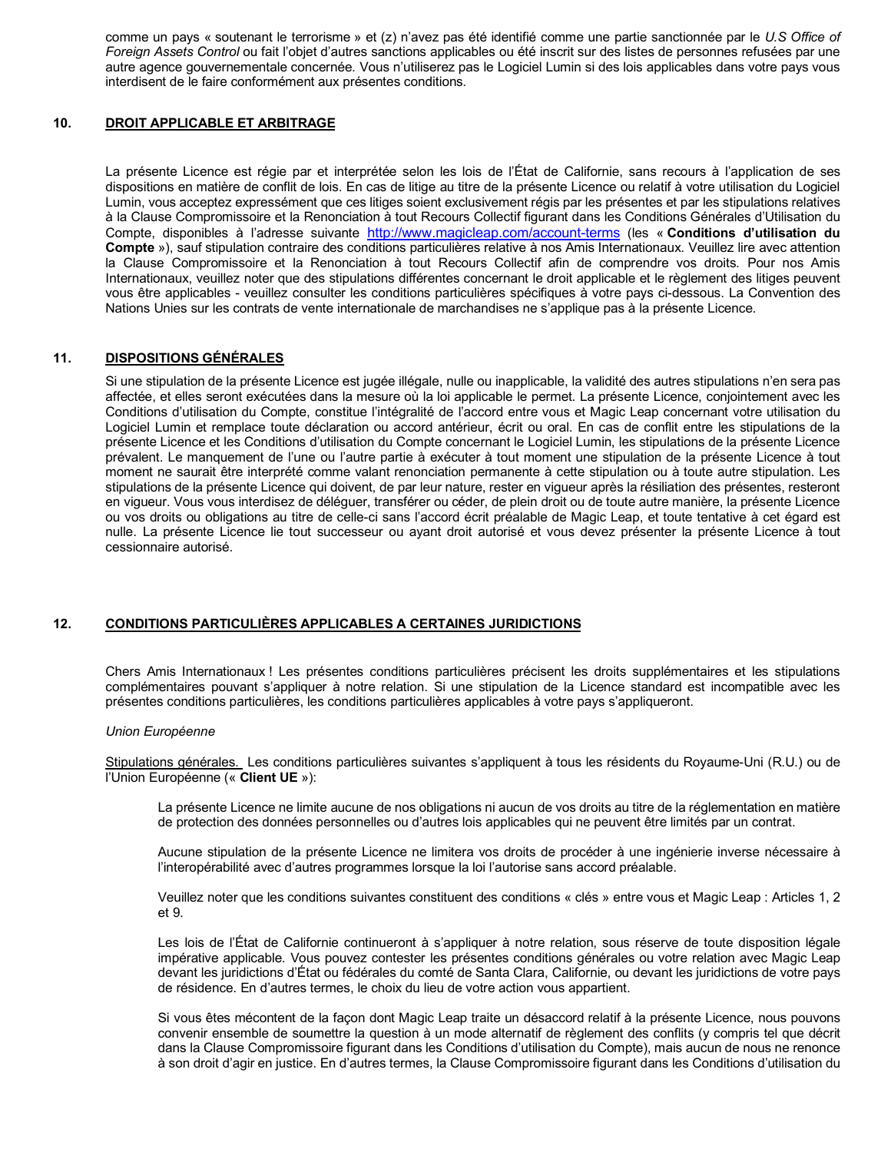comme un pays « soutenant le terrorisme » et (z) n'avez pas été identifié comme une partie sanctionnée par le *U.S Office of*  Foreign Assets Control ou fait l'objet d'autres sanctions applicables ou été inscrit sur des listes de personnes refusées par une autre agence gouvernementale concernée. Vous n'utiliserez pas le Logiciel Lumin si des lois applicables dans votre pays vous interdisent de le faire conformément aux présentes conditions.

#### **DROIT APPLICABLE ET ARBITRAGE 10.**

 La présente Licence est régie par et interprétée selon les lois de l'État de Californie, sans recours à l'application de ses dispositions en matière de conflit de lois. En cas de litige au titre de la présente Licence ou relatif à votre utilisation du Logiciel Lumin, vous acceptez expressément que ces litiges soient exclusivement régis par les présentes et par les stipulations relatives à la Clause Compromissoire et la Renonciation à tout Recours Collectif figurant dans les Conditions Générales d'Utilisation du Compte, disponibles à l'adresse suivante <http://www.magicleap.com/account-terms> (les « **Conditions d'utilisation du Compte** »), sauf stipulation contraire des conditions particulières relative à nos Amis Internationaux. Veuillez lire avec attention la Clause Compromissoire et la Renonciation à tout Recours Collectif afin de comprendre vos droits. Pour nos Amis Internationaux, veuillez noter que des stipulations différentes concernant le droit applicable et le règlement des litiges peuvent vous être applicables - veuillez consulter les conditions particulières spécifiques à votre pays ci-dessous. La Convention des Nations Unies sur les contrats de vente internationale de marchandises ne s'applique pas à la présente Licence.

#### **11. DISPOSITIONS GÉNÉRALES**

 Si une stipulation de la présente Licence est jugée illégale, nulle ou inapplicable, la validité des autres stipulations n'en sera pas affectée, et elles seront exécutées dans la mesure où la loi applicable le permet. La présente Licence, conjointement avec les Conditions d'utilisation du Compte, constitue l'intégralité de l'accord entre vous et Magic Leap concernant votre utilisation du Logiciel Lumin et remplace toute déclaration ou accord antérieur, écrit ou oral. En cas de conflit entre les stipulations de la présente Licence et les Conditions d'utilisation du Compte concernant le Logiciel Lumin, les stipulations de la présente Licence prévalent. Le manquement de l'une ou l'autre partie à exécuter à tout moment une stipulation de la présente Licence à tout moment ne saurait être interprété comme valant renonciation permanente à cette stipulation ou à toute autre stipulation. Les stipulations de la présente Licence qui doivent, de par leur nature, rester en vigueur après la résiliation des présentes, resteront en vigueur. Vous vous interdisez de déléguer, transférer ou céder, de plein droit ou de toute autre manière, la présente Licence ou vos droits ou obligations au titre de celle-ci sans l'accord écrit préalable de Magic Leap, et toute tentative à cet égard est nulle. La présente Licence lie tout successeur ou ayant droit autorisé et vous devez présenter la présente Licence à tout cessionnaire autorisé.

### **CONDITIONS PARTICULIÈRES APPLICABLES A CERTAINES JURIDICTIONS 12.**

 Chers Amis Internationaux ! Les présentes conditions particulières précisent les droits supplémentaires et les stipulations complémentaires pouvant s'appliquer à notre relation. Si une stipulation de la Licence standard est incompatible avec les présentes conditions particulières, les conditions particulières applicables à votre pays s'appliqueront.

### *Union Européenne*

Stipulations générales. Les conditions particulières suivantes s'appliquent à tous les résidents du Royaume-Uni (R.U.) ou de l'Union Européenne (« **Client UE** »):

 La présente Licence ne limite aucune de nos obligations ni aucun de vos droits au titre de la réglementation en matière de protection des données personnelles ou d'autres lois applicables qui ne peuvent être limités par un contrat.

 Aucune stipulation de la présente Licence ne limitera vos droits de procéder à une ingénierie inverse nécessaire à l'interopérabilité avec d'autres programmes lorsque la loi l'autorise sans accord préalable.

 Veuillez noter que les conditions suivantes constituent des conditions « clés » entre vous et Magic Leap : Articles 1, 2 et 9.

 Les lois de l'État de Californie continueront à s'appliquer à notre relation, sous réserve de toute disposition légale impérative applicable. Vous pouvez contester les présentes conditions générales ou votre relation avec Magic Leap devant les juridictions d'État ou fédérales du comté de Santa Clara, Californie, ou devant les juridictions de votre pays de résidence. En d'autres termes, le choix du lieu de votre action vous appartient.

 Si vous êtes mécontent de la façon dont Magic Leap traite un désaccord relatif à la présente Licence, nous pouvons convenir ensemble de soumettre la question à un mode alternatif de règlement des conflits (y compris tel que décrit dans la Clause Compromissoire figurant dans les Conditions d'utilisation du Compte), mais aucun de nous ne renonce à son droit d'agir en justice. En d'autres termes, la Clause Compromissoire figurant dans les Conditions d'utilisation du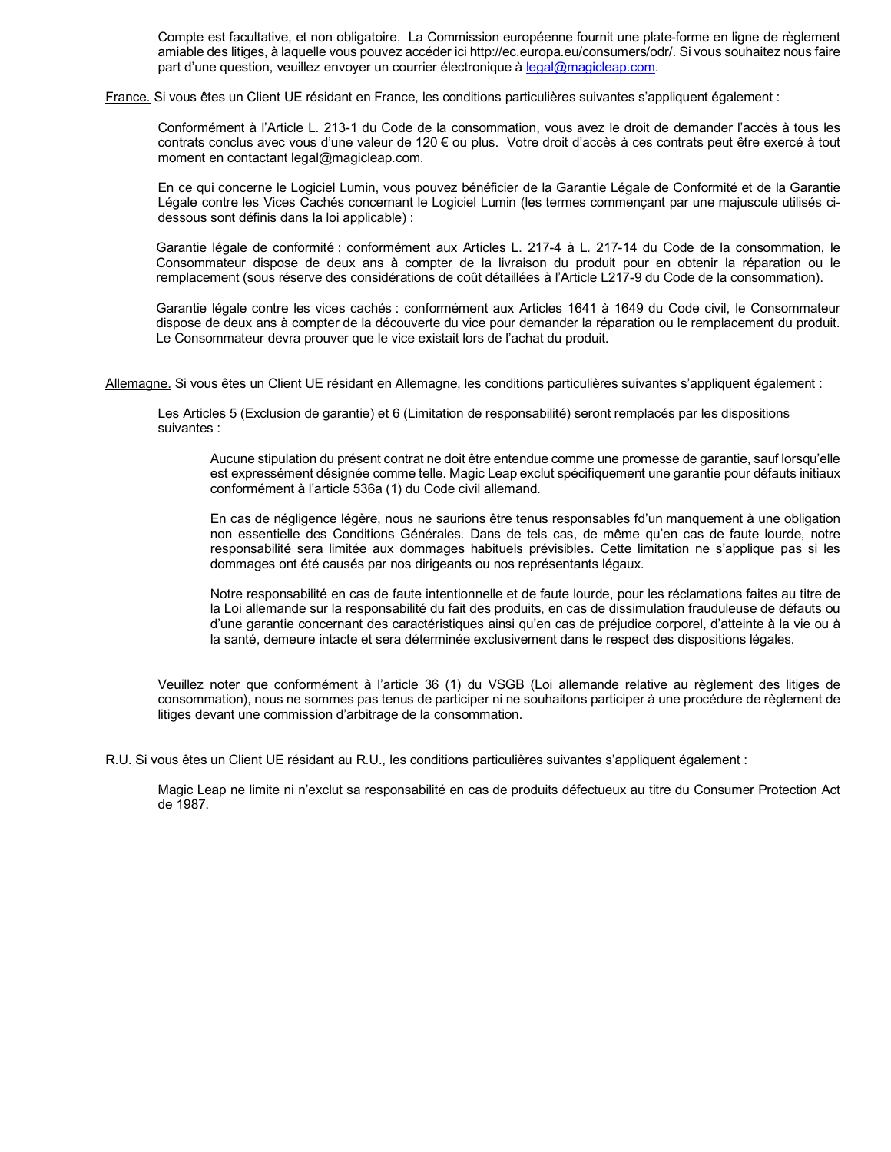Compte est facultative, et non obligatoire. La Commission européenne fournit une plate-forme en ligne de règlement amiable des litiges, à laquelle vous pouvez accéder ici [http://ec.europa.eu/consumers/odr/](http://ec.europa.eu/consumers/odr). Si vous souhaitez nous faire part d'une question, veuillez envoyer un courrier électronique à [legal@magicleap.com](mailto:legal@magicleap.com).

France. Si vous êtes un Client UE résidant en France, les conditions particulières suivantes s'appliquent également :

 Conformément à l'Article L. 213-1 du Code de la consommation, vous avez le droit de demander l'accès à tous les contrats conclus avec vous d'une valeur de 120 € ou plus. Votre droit d'accès à ces contrats peut être exercé à tout moment en contactant [legal@magicleap.com.](mailto:legal@magicleap.com)

 En ce qui concerne le Logiciel Lumin, vous pouvez bénéficier de la Garantie Légale de Conformité et de la Garantie Légale contre les Vices Cachés concernant le Logiciel Lumin (les termes commençant par une majuscule utilisés ci-dessous sont définis dans la loi applicable) :

 Garantie légale de conformité : conformément aux Articles L. 217-4 à L. 217-14 du Code de la consommation, le Consommateur dispose de deux ans à compter de la livraison du produit pour en obtenir la réparation ou le remplacement (sous réserve des considérations de coût détaillées à l'Article L217-9 du Code de la consommation).

 Garantie légale contre les vices cachés : conformément aux Articles 1641 à 1649 du Code civil, le Consommateur dispose de deux ans à compter de la découverte du vice pour demander la réparation ou le remplacement du produit. Le Consommateur devra prouver que le vice existait lors de l'achat du produit.

Allemagne. Si vous êtes un Client UE résidant en Allemagne, les conditions particulières suivantes s'appliquent également :

 Les Articles 5 (Exclusion de garantie) et 6 (Limitation de responsabilité) seront remplacés par les dispositions suivantes :

 Aucune stipulation du présent contrat ne doit être entendue comme une promesse de garantie, sauf lorsqu'elle est expressément désignée comme telle. Magic Leap exclut spécifiquement une garantie pour défauts initiaux conformément à l'article 536a (1) du Code civil allemand.

 En cas de négligence légère, nous ne saurions être tenus responsables fd'un manquement à une obligation non essentielle des Conditions Générales. Dans de tels cas, de même qu'en cas de faute lourde, notre responsabilité sera limitée aux dommages habituels prévisibles. Cette limitation ne s'applique pas si les dommages ont été causés par nos dirigeants ou nos représentants légaux.

 Notre responsabilité en cas de faute intentionnelle et de faute lourde, pour les réclamations faites au titre de la Loi allemande sur la responsabilité du fait des produits, en cas de dissimulation frauduleuse de défauts ou d'une garantie concernant des caractéristiques ainsi qu'en cas de préjudice corporel, d'atteinte à la vie ou à la santé, demeure intacte et sera déterminée exclusivement dans le respect des dispositions légales.

 Veuillez noter que conformément à l'article 36 (1) du VSGB (Loi allemande relative au règlement des litiges de consommation), nous ne sommes pas tenus de participer ni ne souhaitons participer à une procédure de règlement de litiges devant une commission d'arbitrage de la consommation.

R.U. Si vous êtes un Client UE résidant au R.U., les conditions particulières suivantes s'appliquent également :

 Magic Leap ne limite ni n'exclut sa responsabilité en cas de produits défectueux au titre du Consumer Protection Act de 1987.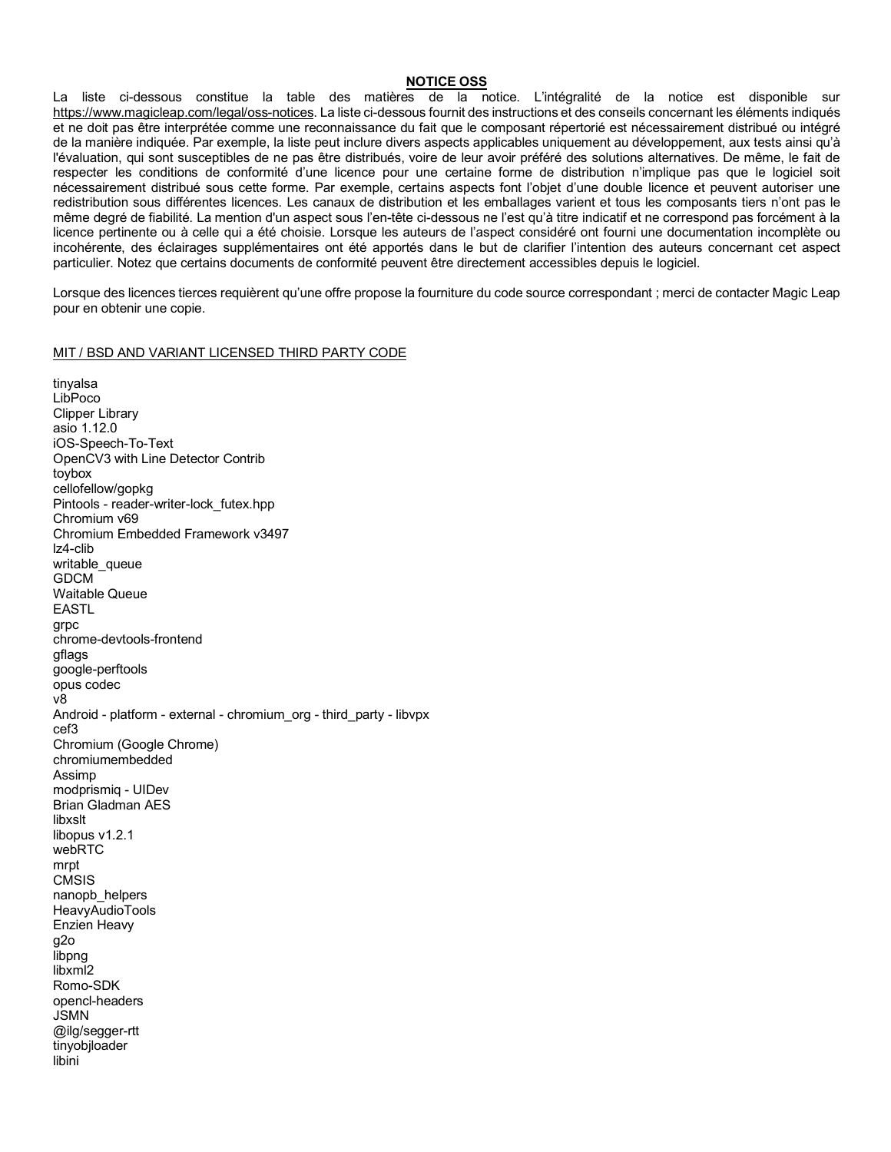### **NOTICE OSS**

 La liste ci-dessous constitue la table des matières de la notice. L'intégralité de la notice est disponible sur [https://www.magicleap.com/legal/oss-notices.](https://www.magicleap.com/legal/oss-notices) La liste ci-dessous fournit des instructions et des conseils concernant les éléments indiqués et ne doit pas être interprétée comme une reconnaissance du fait que le composant répertorié est nécessairement distribué ou intégré de la manière indiquée. Par exemple, la liste peut inclure divers aspects applicables uniquement au développement, aux tests ainsi qu'à l'évaluation, qui sont susceptibles de ne pas être distribués, voire de leur avoir préféré des solutions alternatives. De même, le fait de respecter les conditions de conformité d'une licence pour une certaine forme de distribution n'implique pas que le logiciel soit nécessairement distribué sous cette forme. Par exemple, certains aspects font l'objet d'une double licence et peuvent autoriser une redistribution sous différentes licences. Les canaux de distribution et les emballages varient et tous les composants tiers n'ont pas le même degré de fiabilité. La mention d'un aspect sous l'en-tête ci-dessous ne l'est qu'à titre indicatif et ne correspond pas forcément à la licence pertinente ou à celle qui a été choisie. Lorsque les auteurs de l'aspect considéré ont fourni une documentation incomplète ou incohérente, des éclairages supplémentaires ont été apportés dans le but de clarifier l'intention des auteurs concernant cet aspect particulier. Notez que certains documents de conformité peuvent être directement accessibles depuis le logiciel.

 Lorsque des licences tierces requièrent qu'une offre propose la fourniture du code source correspondant ; merci de contacter Magic Leap pour en obtenir une copie.

### MIT / BSD AND VARIANT LICENSED THIRD PARTY CODE

 asio 1.12.0 OpenCV3 with Line Detector Contrib Chromium v69 Chromium Embedded Framework v3497 Android - platform - external - chromium\_org - third\_party - libvpx Chromium (Google Chrome) modprismiq - UIDev Brian Gladman AES Enzien Heavy tinyalsa LibPoco Clipper Library iOS-Speech-To-Text toybox cellofellow/gopkg Pintools - reader-writer-lock\_futex.hpp lz4-clib writable queue GDCM Waitable Queue EASTL grpc chrome-devtools-frontend gflags google-perftools opus codec v8 cef3 chromiumembedded Assimp libxslt libopus v1.2.1 webRTC mrpt **CMSIS** nanopb\_helpers HeavyAudioTools g2o libpng libxml2 Romo-SDK opencl-headers JSMN @ilg/segger-rtt tinyobjloader libini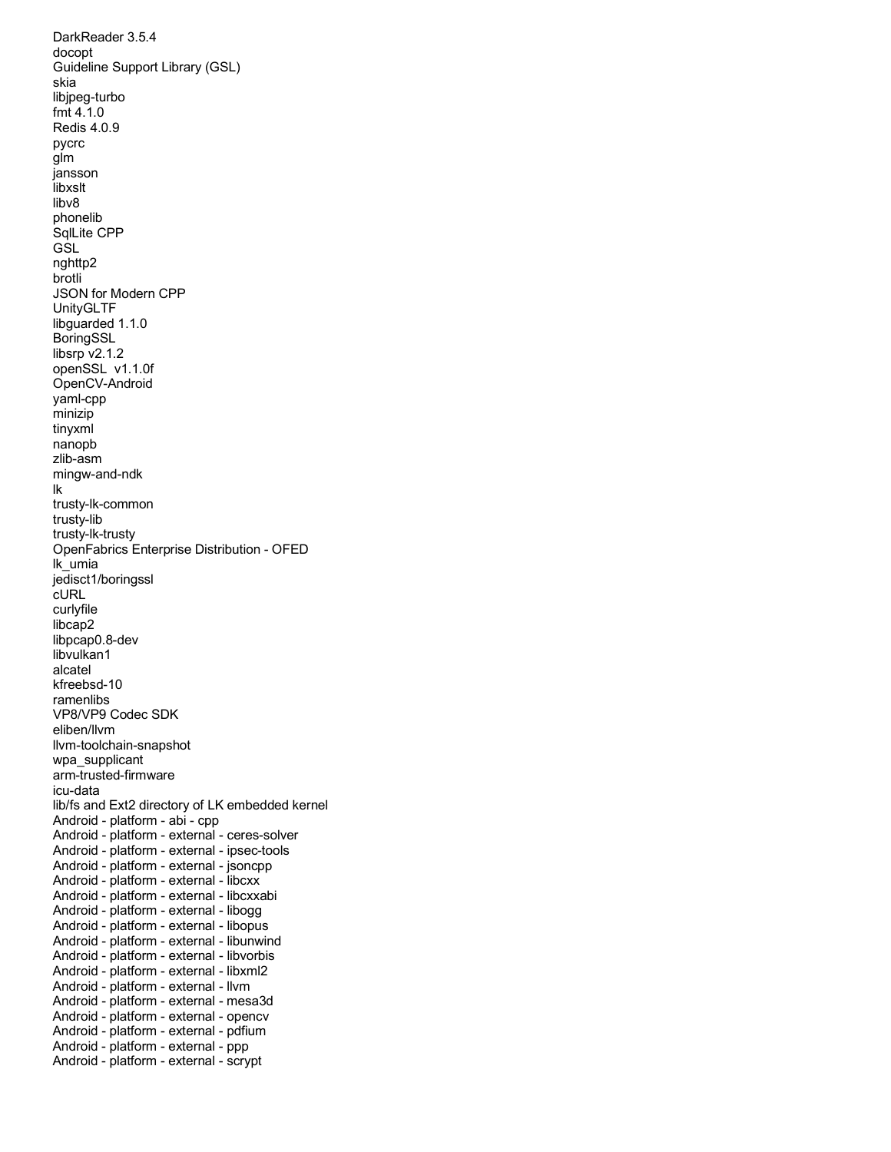DarkReader 3.5.4 Guideline Support Library (GSL) JSON for Modern CPP libsrp v2.1.2 openSSL v1.1.0f OpenFabrics Enterprise Distribution - OFED VP8/VP9 Codec SDK lib/fs and Ext2 directory of LK embedded kernel Android - platform - abi - cpp Android - platform - external - ipsec-tools Android - platform - external - jsoncpp Android - platform - external - libcxx Android - platform - external - libcxxabi Android - platform - external - libogg Android - platform - external - libopus Android - platform - external - libunwind Android - platform - external - libvorbis Android - platform - external - libxml2 Android - platform - external - llvm Android - platform - external - mesa3d Android - platform - external - opencv Android - platform - external - pdfium Android - platform - external - ppp Android - platform - external - scrypt docopt skia libjpeg-turbo fmt 4.1.0 Redis 4.0.9 pycrc glm jansson libxslt libv8 phonelib SqlLite CPP GSL nghttp2 brotli UnityGLTF libguarded 1.1.0 BoringSSL OpenCV-Android yaml-cpp minizip tinyxml nanopb zlib-asm mingw-and-ndk lk trusty-lk-common trusty-lib trusty-lk-trusty lk\_umia jedisct1/boringssl cURL curlyfile libcap2 libpcap0.8-dev libvulkan1 alcatel kfreebsd-10 ramenlibs eliben/llvm llvm-toolchain-snapshot wpa\_supplicant arm-trusted-firmware icu-data Android - platform - external - ceres-solver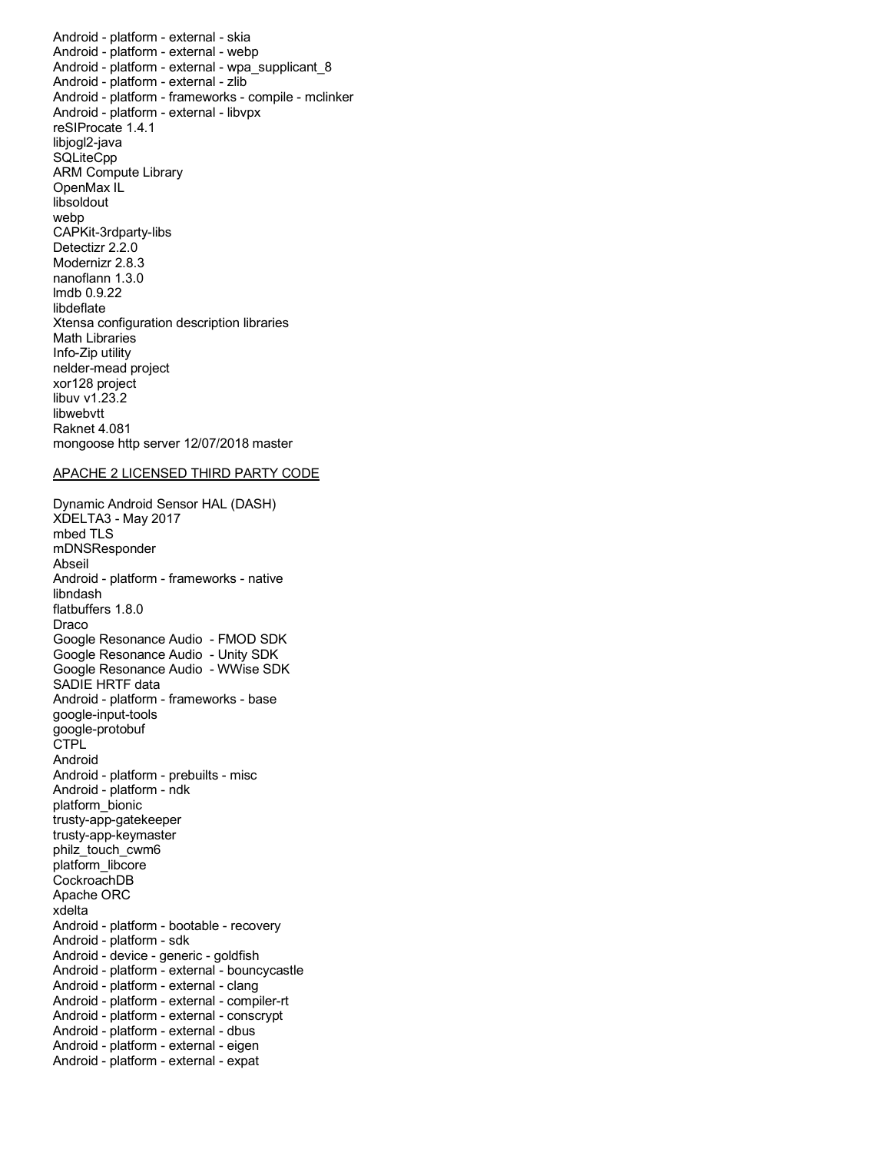Android - platform - external - skia Android - platform - external - webp Android - platform - external - zlib Android - platform - frameworks - compile - mclinker Android - platform - external - libvpx reSIProcate 1.4.1 ARM Compute Library Detectizr 2.2.0 Modernizr 2.8.3 nanoflann 1.3.0 Xtensa configuration description libraries xor128 project Raknet 4.081 mongoose http server 12/07/2018 master Android - platform - external - wpa\_supplicant\_8 libjogl2-java **SQLiteCpp** OpenMax IL libsoldout webp CAPKit-3rdparty-libs lmdb 0.9.22 libdeflate Math Libraries Info-Zip utility nelder-mead project libuv v1.23.2 libwebvtt

### APACHE 2 LICENSED THIRD PARTY CODE

 Dynamic Android Sensor HAL (DASH) Android - platform - frameworks - native Google Resonance Audio - FMOD SDK Google Resonance Audio - Unity SDK Google Resonance Audio - WWise SDK Android - platform - frameworks - base Android - platform - prebuilts - misc Android - platform - ndk Apache ORC Android - platform - bootable - recovery Android - platform - sdk Android - device - generic - goldfish Android - platform - external - clang Android - platform - external - compiler-rt Android - platform - external - conscrypt Android - platform - external - dbus Android - platform - external - eigen Android - platform - external - expat XDELTA3 - May 2017 mbed TLS mDNSResponder Abseil libndash flatbuffers 1.8.0 Draco SADIE HRTF data google-input-tools google-protobuf **CTPL** Android platform\_bionic trusty-app-gatekeeper trusty-app-keymaster philz\_touch\_cwm6 platform\_libcore CockroachDB xdelta Android - platform - external - bouncycastle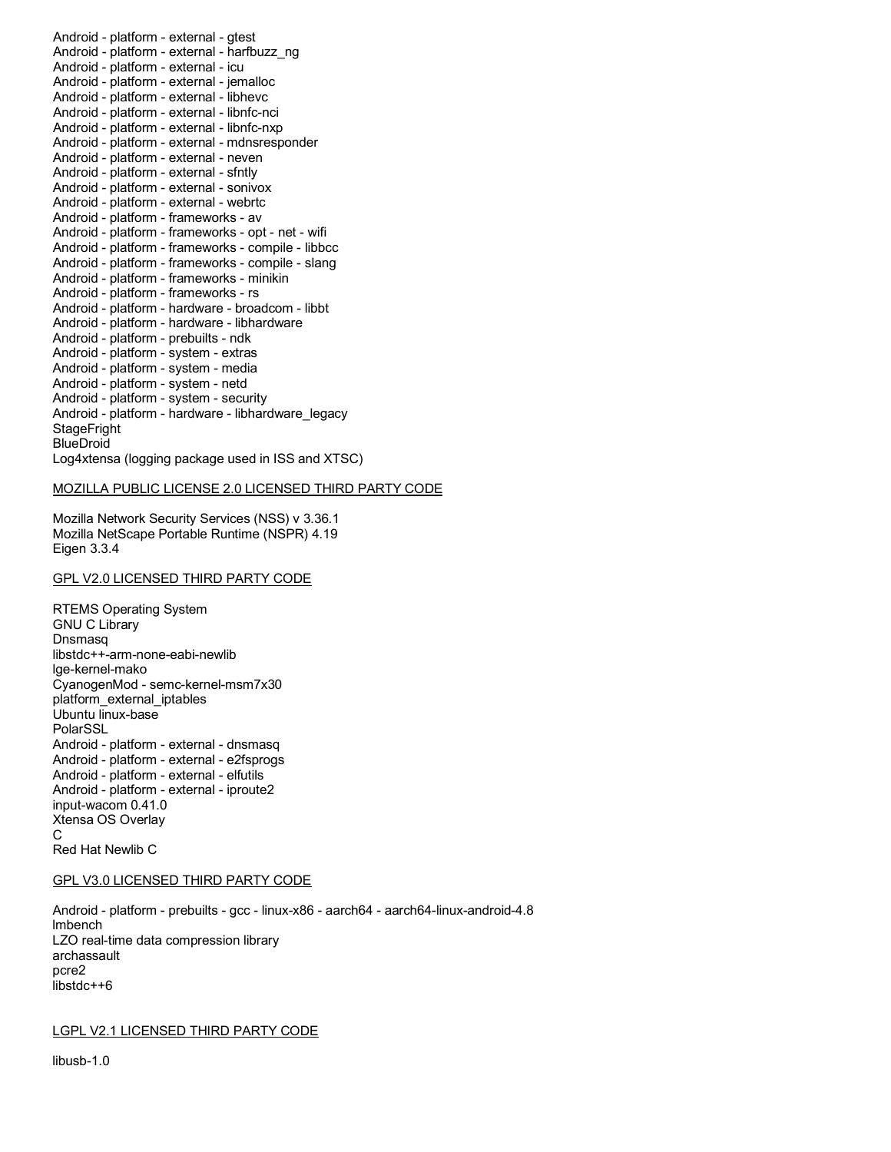Android - platform - external - gtest Android - platform - external - icu Android - platform - external - jemalloc Android - platform - external - libhevc Android - platform - external - libnfc-nci Android - platform - external - libnfc-nxp Android - platform - external - neven Android - platform - external - sfntly Android - platform - external - sonivox Android - platform - external - webrtc Android - platform - frameworks - av Android - platform - frameworks - opt - net - wifi Android - platform - frameworks - compile - libbcc Android - platform - frameworks - compile - slang Android - platform - frameworks - minikin Android - platform - frameworks - rs Android - platform - hardware - broadcom - libbt Android - platform - prebuilts - ndk Android - platform - system - extras Android - platform - system - media Android - platform - system - netd Android - platform - system - security Log4xtensa (logging package used in ISS and XTSC) Android - platform - external - harfbuzz\_ng Android - platform - external - mdnsresponder Android - platform - hardware - libhardware Android - platform - hardware - libhardware\_legacy **StageFright BlueDroid** 

### MOZILLA PUBLIC LICENSE 2.0 LICENSED THIRD PARTY CODE

 Mozilla Network Security Services (NSS) v 3.36.1 Mozilla NetScape Portable Runtime (NSPR) 4.19 Eigen 3.3.4

## GPL V2.0 LICENSED THIRD PARTY CODE

 RTEMS Operating System CyanogenMod - semc-kernel-msm7x30 Android - platform - external - dnsmasq Android - platform - external - e2fsprogs Android - platform - external - elfutils Android - platform - external - iproute2 input-wacom 0.41.0 Xtensa OS Overlay Red Hat Newlib C GNU C Library Dnsmasq libstdc++-arm-none-eabi-newlib lge-kernel-mako platform\_external\_iptables Ubuntu linux-base PolarSSL C

### GPL V3.0 LICENSED THIRD PARTY CODE

 Android - platform - prebuilts - gcc - linux-x86 - aarch64 - aarch64-linux-android-4.8 LZO real-time data compression library lmbench archassault pcre2 libstdc++6

LGPL V2.1 LICENSED THIRD PARTY CODE

libusb-1.0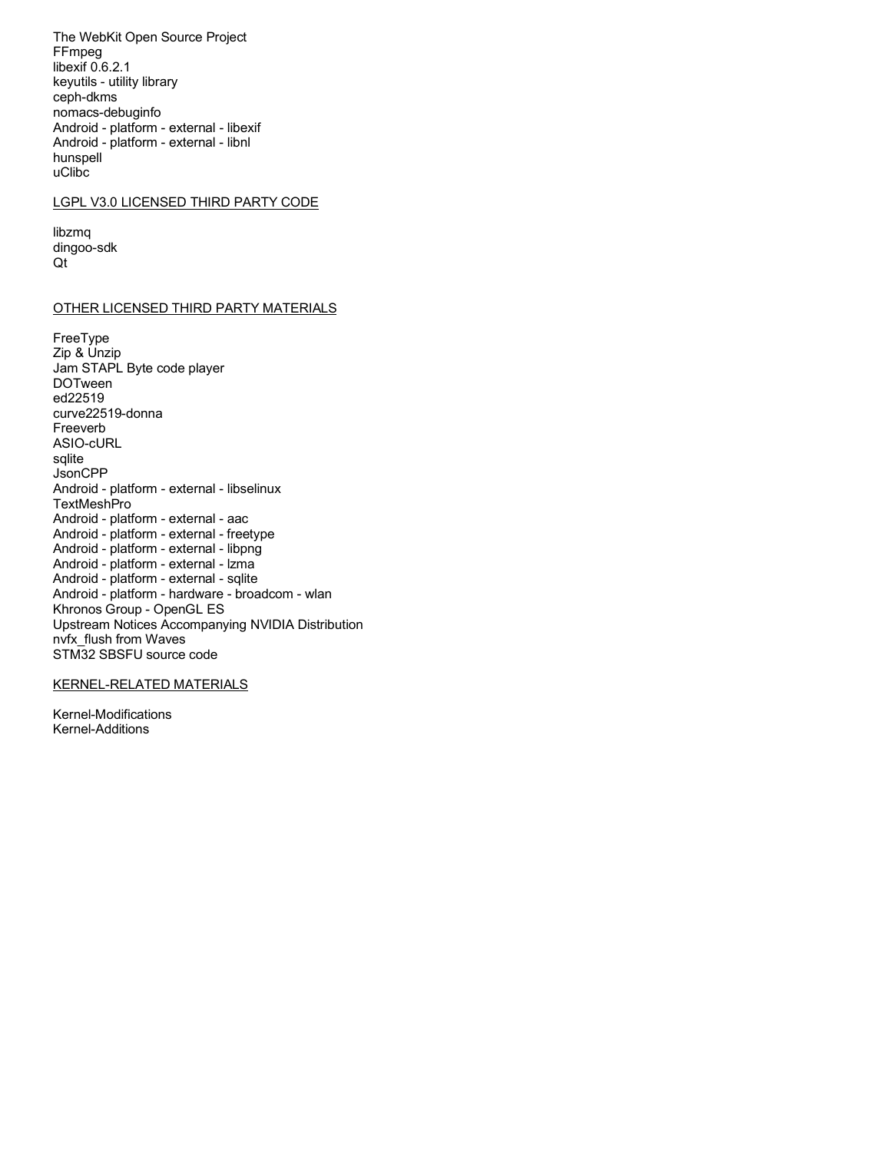The WebKit Open Source Project FFmpeg libexif 0.6.2.1 keyutils - utility library ceph-dkms nomacs-debuginfo Android - platform - external - libexif Android - platform - external - libnl hunspell uClibc

## LGPL V3.0 LICENSED THIRD PARTY CODE

libzmq dingoo-sdk  $Qt$ 

## **OTHER LICENSED THIRD PARTY MATERIALS**

FreeType Zip & Unzip Jam STAPL Byte code player **DOTween** ed22519 curve22519-donna Freeverb ASIO-cURL sqlite JsonCPP Android - platform - external - libselinux **TextMeshPro** Android - platform - external - aac Android - platform - external - freetype Android - platform - external - libpng Android - platform - external - Izma Android - platform - external - sqlite Android - platform - hardware - broadcom - wlan Khronos Group - OpenGL ES Upstream Notices Accompanying NVIDIA Distribution nvfx flush from Waves STM32 SBSFU source code

# **KERNEL-RELATED MATERIALS**

Kernel-Modifications Kernel-Additions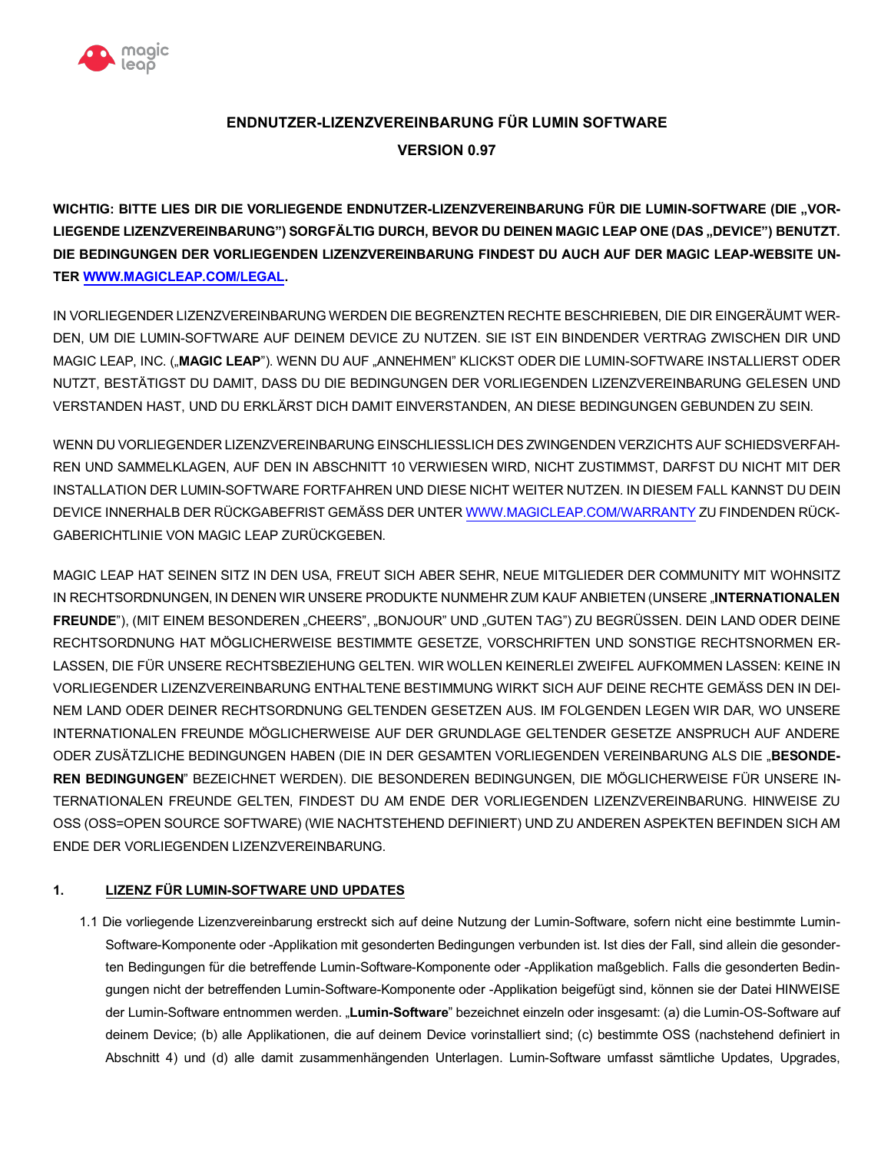

# **ENDNUTZER-LIZENZVEREINBARUNG FÜR LUMIN SOFTWARE VERSION 0.97**

WICHTIG: BITTE LIES DIR DIE VORLIEGENDE ENDNUTZER-LIZENZVEREINBARUNG FÜR DIE LUMIN-SOFTWARE (DIE "VOR-LIEGENDE LIZENZVEREINBARUNG") SORGFÄLTIG DURCH, BEVOR DU DEINEN MAGIC LEAP ONE (DAS "DEVICE") BENUTZT.  **DIE BEDINGUNGEN DER VORLIEGENDEN LIZENZVEREINBARUNG FINDEST DU AUCH AUF DER MAGIC LEAP-WEBSITE UN-TER [WWW.MAGICLEAP.COM/LEGAL.](WWW.MAGICLEAP.COM/LEGAL)** 

 IN VORLIEGENDER LIZENZVEREINBARUNG WERDEN DIE BEGRENZTEN RECHTE BESCHRIEBEN, DIE DIR EINGERÄUMT WER- DEN, UM DIE LUMIN-SOFTWARE AUF DEINEM DEVICE ZU NUTZEN. SIE IST EIN BINDENDER VERTRAG ZWISCHEN DIR UND MAGIC LEAP, INC. ("**MAGIC LEAP**"). WENN DU AUF "ANNEHMEN" KLICKST ODER DIE LUMIN-SOFTWARE INSTALLIERST ODER NUTZT, BESTÄTIGST DU DAMIT, DASS DU DIE BEDINGUNGEN DER VORLIEGENDEN LIZENZVEREINBARUNG GELESEN UND VERSTANDEN HAST, UND DU ERKLÄRST DICH DAMIT EINVERSTANDEN, AN DIESE BEDINGUNGEN GEBUNDEN ZU SEIN.

 WENN DU VORLIEGENDER LIZENZVEREINBARUNG EINSCHLIESSLICH DES ZWINGENDEN VERZICHTS AUF SCHIEDSVERFAH- REN UND SAMMELKLAGEN, AUF DEN IN ABSCHNITT 10 VERWIESEN WIRD, NICHT ZUSTIMMST, DARFST DU NICHT MIT DER INSTALLATION DER LUMIN-SOFTWARE FORTFAHREN UND DIESE NICHT WEITER NUTZEN. IN DIESEM FALL KANNST DU DEIN DEVICE INNERHALB DER RÜCKGABEFRIST GEMÄSS DER UNTER<WWW.MAGICLEAP.COM/WARRANTY> ZU FINDENDEN RÜCK-GABERICHTLINIE VON MAGIC LEAP ZURÜCKGEBEN.

 MAGIC LEAP HAT SEINEN SITZ IN DEN USA, FREUT SICH ABER SEHR, NEUE MITGLIEDER DER COMMUNITY MIT WOHNSITZ IN RECHTSORDNUNGEN, IN DENEN WIR UNSERE PRODUKTE NUNMEHR ZUM KAUF ANBIETEN (UNSERE "**INTERNATIONALEN FREUNDE**"), (MIT EINEM BESONDEREN "CHEERS", "BONJOUR" UND "GUTEN TAG") ZU BEGRÜSSEN. DEIN LAND ODER DEINE RECHTSORDNUNG HAT MÖGLICHERWEISE BESTIMMTE GESETZE, VORSCHRIFTEN UND SONSTIGE RECHTSNORMEN ER- LASSEN, DIE FÜR UNSERE RECHTSBEZIEHUNG GELTEN. WIR WOLLEN KEINERLEI ZWEIFEL AUFKOMMEN LASSEN: KEINE IN VORLIEGENDER LIZENZVEREINBARUNG ENTHALTENE BESTIMMUNG WIRKT SICH AUF DEINE RECHTE GEMÄSS DEN IN DEI- NEM LAND ODER DEINER RECHTSORDNUNG GELTENDEN GESETZEN AUS. IM FOLGENDEN LEGEN WIR DAR, WO UNSERE INTERNATIONALEN FREUNDE MÖGLICHERWEISE AUF DER GRUNDLAGE GELTENDER GESETZE ANSPRUCH AUF ANDERE ODER ZUSÄTZLICHE BEDINGUNGEN HABEN (DIE IN DER GESAMTEN VORLIEGENDEN VEREINBARUNG ALS DIE "**BESONDE- REN BEDINGUNGEN**" BEZEICHNET WERDEN). DIE BESONDEREN BEDINGUNGEN, DIE MÖGLICHERWEISE FÜR UNSERE IN- TERNATIONALEN FREUNDE GELTEN, FINDEST DU AM ENDE DER VORLIEGENDEN LIZENZVEREINBARUNG. HINWEISE ZU OSS (OSS=OPEN SOURCE SOFTWARE) (WIE NACHTSTEHEND DEFINIERT) UND ZU ANDEREN ASPEKTEN BEFINDEN SICH AM ENDE DER VORLIEGENDEN LIZENZVEREINBARUNG.

# **1. LIZENZ FÜR LUMIN-SOFTWARE UND UPDATES**

 1.1 Die vorliegende Lizenzvereinbarung erstreckt sich auf deine Nutzung der Lumin-Software, sofern nicht eine bestimmte Lumin- Software-Komponente oder -Applikation mit gesonderten Bedingungen verbunden ist. Ist dies der Fall, sind allein die gesonder- ten Bedingungen für die betreffende Lumin-Software-Komponente oder -Applikation maßgeblich. Falls die gesonderten Bedin- gungen nicht der betreffenden Lumin-Software-Komponente oder -Applikation beigefügt sind, können sie der Datei HINWEISE der Lumin-Software entnommen werden. "**Lumin-Software**" bezeichnet einzeln oder insgesamt: (a) die Lumin-OS-Software auf deinem Device; (b) alle Applikationen, die auf deinem Device vorinstalliert sind; (c) bestimmte OSS (nachstehend definiert in Abschnitt 4) und (d) alle damit zusammenhängenden Unterlagen. Lumin-Software umfasst sämtliche Updates, Upgrades,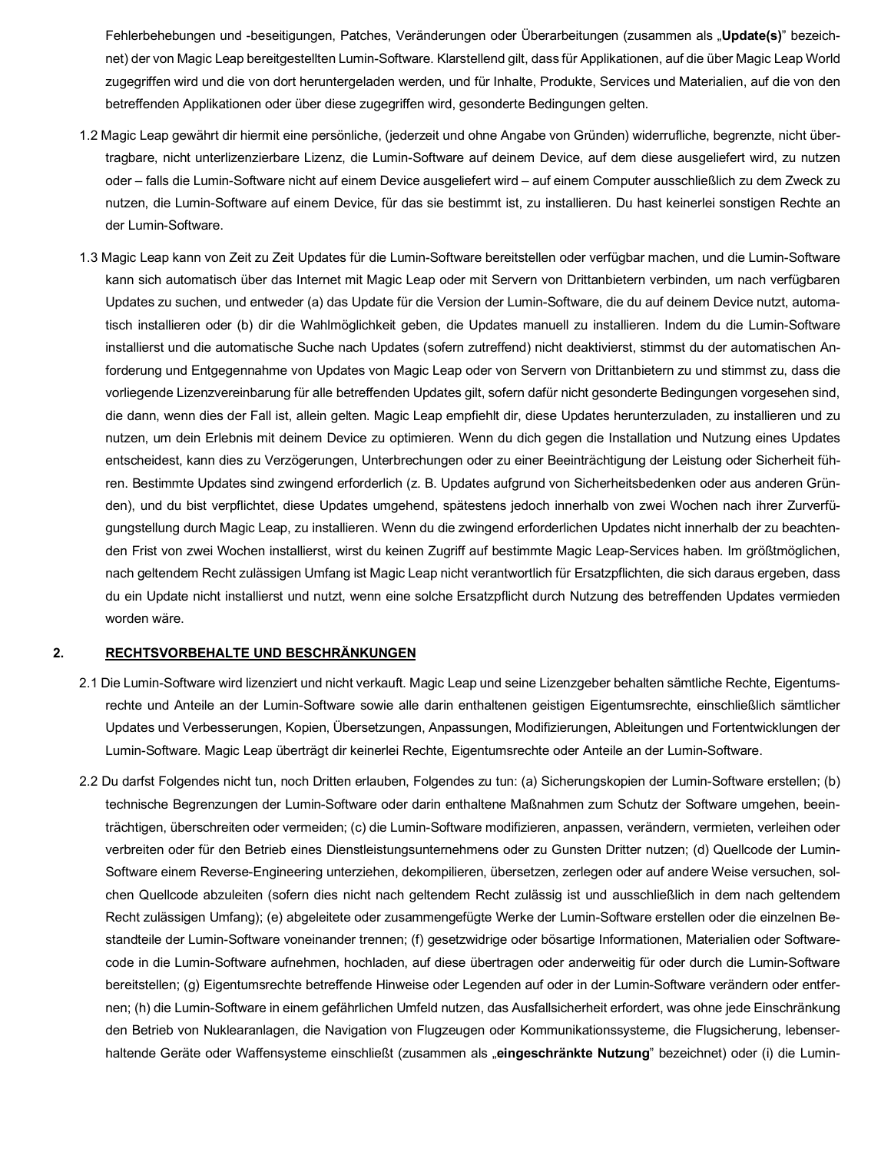Fehlerbehebungen und -beseitigungen, Patches, Veränderungen oder Überarbeitungen (zusammen als "**Update(s)**" bezeich- net) der von Magic Leap bereitgestellten Lumin-Software. Klarstellend gilt, dass für Applikationen, auf die über Magic Leap World zugegriffen wird und die von dort heruntergeladen werden, und für Inhalte, Produkte, Services und Materialien, auf die von den betreffenden Applikationen oder über diese zugegriffen wird, gesonderte Bedingungen gelten.

- 1.2 Magic Leap gewährt dir hiermit eine persönliche, (jederzeit und ohne Angabe von Gründen) widerrufliche, begrenzte, nicht über- tragbare, nicht unterlizenzierbare Lizenz, die Lumin-Software auf deinem Device, auf dem diese ausgeliefert wird, zu nutzen oder – falls die Lumin-Software nicht auf einem Device ausgeliefert wird – auf einem Computer ausschließlich zu dem Zweck zu nutzen, die Lumin-Software auf einem Device, für das sie bestimmt ist, zu installieren. Du hast keinerlei sonstigen Rechte an der Lumin-Software.
- 1.3 Magic Leap kann von Zeit zu Zeit Updates für die Lumin-Software bereitstellen oder verfügbar machen, und die Lumin-Software kann sich automatisch über das Internet mit Magic Leap oder mit Servern von Drittanbietern verbinden, um nach verfügbaren Updates zu suchen, und entweder (a) das Update für die Version der Lumin-Software, die du auf deinem Device nutzt, automa- tisch installieren oder (b) dir die Wahlmöglichkeit geben, die Updates manuell zu installieren. Indem du die Lumin-Software installierst und die automatische Suche nach Updates (sofern zutreffend) nicht deaktivierst, stimmst du der automatischen An- forderung und Entgegennahme von Updates von Magic Leap oder von Servern von Drittanbietern zu und stimmst zu, dass die vorliegende Lizenzvereinbarung für alle betreffenden Updates gilt, sofern dafür nicht gesonderte Bedingungen vorgesehen sind, die dann, wenn dies der Fall ist, allein gelten. Magic Leap empfiehlt dir, diese Updates herunterzuladen, zu installieren und zu nutzen, um dein Erlebnis mit deinem Device zu optimieren. Wenn du dich gegen die Installation und Nutzung eines Updates entscheidest, kann dies zu Verzögerungen, Unterbrechungen oder zu einer Beeinträchtigung der Leistung oder Sicherheit füh- ren. Bestimmte Updates sind zwingend erforderlich (z. B. Updates aufgrund von Sicherheitsbedenken oder aus anderen Grün- den), und du bist verpflichtet, diese Updates umgehend, spätestens jedoch innerhalb von zwei Wochen nach ihrer Zurverfü- gungstellung durch Magic Leap, zu installieren. Wenn du die zwingend erforderlichen Updates nicht innerhalb der zu beachten- den Frist von zwei Wochen installierst, wirst du keinen Zugriff auf bestimmte Magic Leap-Services haben. Im größtmöglichen, nach geltendem Recht zulässigen Umfang ist Magic Leap nicht verantwortlich für Ersatzpflichten, die sich daraus ergeben, dass du ein Update nicht installierst und nutzt, wenn eine solche Ersatzpflicht durch Nutzung des betreffenden Updates vermieden worden wäre.

## **2. RECHTSVORBEHALTE UND BESCHRÄNKUNGEN**

- 2.1 Die Lumin-Software wird lizenziert und nicht verkauft. Magic Leap und seine Lizenzgeber behalten sämtliche Rechte, Eigentums- rechte und Anteile an der Lumin-Software sowie alle darin enthaltenen geistigen Eigentumsrechte, einschließlich sämtlicher Updates und Verbesserungen, Kopien, Übersetzungen, Anpassungen, Modifizierungen, Ableitungen und Fortentwicklungen der Lumin-Software. Magic Leap überträgt dir keinerlei Rechte, Eigentumsrechte oder Anteile an der Lumin-Software.
- 2.2 Du darfst Folgendes nicht tun, noch Dritten erlauben, Folgendes zu tun: (a) Sicherungskopien der Lumin-Software erstellen; (b) technische Begrenzungen der Lumin-Software oder darin enthaltene Maßnahmen zum Schutz der Software umgehen, beein- trächtigen, überschreiten oder vermeiden; (c) die Lumin-Software modifizieren, anpassen, verändern, vermieten, verleihen oder verbreiten oder für den Betrieb eines Dienstleistungsunternehmens oder zu Gunsten Dritter nutzen; (d) Quellcode der Lumin- Software einem Reverse-Engineering unterziehen, dekompilieren, übersetzen, zerlegen oder auf andere Weise versuchen, sol- chen Quellcode abzuleiten (sofern dies nicht nach geltendem Recht zulässig ist und ausschließlich in dem nach geltendem Recht zulässigen Umfang); (e) abgeleitete oder zusammengefügte Werke der Lumin-Software erstellen oder die einzelnen Be- standteile der Lumin-Software voneinander trennen; (f) gesetzwidrige oder bösartige Informationen, Materialien oder Software- code in die Lumin-Software aufnehmen, hochladen, auf diese übertragen oder anderweitig für oder durch die Lumin-Software bereitstellen; (g) Eigentumsrechte betreffende Hinweise oder Legenden auf oder in der Lumin-Software verändern oder entfer- nen; (h) die Lumin-Software in einem gefährlichen Umfeld nutzen, das Ausfallsicherheit erfordert, was ohne jede Einschränkung den Betrieb von Nuklearanlagen, die Navigation von Flugzeugen oder Kommunikationssysteme, die Flugsicherung, lebenserhaltende Geräte oder Waffensysteme einschließt (zusammen als "**eingeschränkte Nutzung**" bezeichnet) oder (i) die Lumin-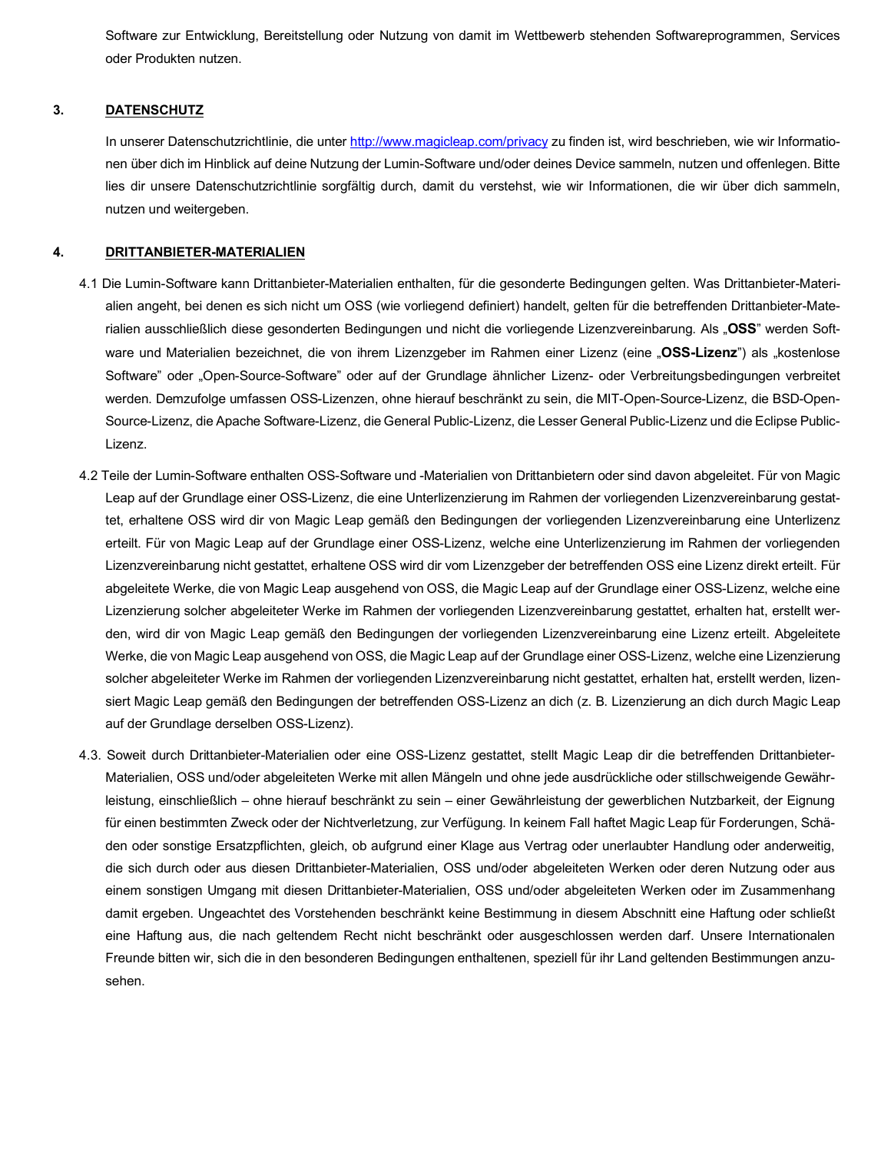Software zur Entwicklung, Bereitstellung oder Nutzung von damit im Wettbewerb stehenden Softwareprogrammen, Services oder Produkten nutzen.

# **3. DATENSCHUTZ**

In unserer Datenschutzrichtlinie, die unter <http://www.magicleap.com/privacy>zu finden ist, wird beschrieben, wie wir Informatio- nen über dich im Hinblick auf deine Nutzung der Lumin-Software und/oder deines Device sammeln, nutzen und offenlegen. Bitte lies dir unsere Datenschutzrichtlinie sorgfältig durch, damit du verstehst, wie wir Informationen, die wir über dich sammeln, nutzen und weitergeben.

# **4. DRITTANBIETER-MATERIALIEN**

- 4.1 Die Lumin-Software kann Drittanbieter-Materialien enthalten, für die gesonderte Bedingungen gelten. Was Drittanbieter-Materi- alien angeht, bei denen es sich nicht um OSS (wie vorliegend definiert) handelt, gelten für die betreffenden Drittanbieter-Materialien ausschließlich diese gesonderten Bedingungen und nicht die vorliegende Lizenzvereinbarung. Als "**OSS**" werden Software und Materialien bezeichnet, die von ihrem Lizenzgeber im Rahmen einer Lizenz (eine "**OSS-Lizenz**") als "kostenlose Software" oder "Open-Source-Software" oder auf der Grundlage ähnlicher Lizenz- oder Verbreitungsbedingungen verbreitet werden. Demzufolge umfassen OSS-Lizenzen, ohne hierauf beschränkt zu sein, die MIT-Open-Source-Lizenz, die BSD-Open- Source-Lizenz, die Apache Software-Lizenz, die General Public-Lizenz, die Lesser General Public-Lizenz und die Eclipse Public-Lizenz.
- 4.2 Teile der Lumin-Software enthalten OSS-Software und -Materialien von Drittanbietern oder sind davon abgeleitet. Für von Magic Leap auf der Grundlage einer OSS-Lizenz, die eine Unterlizenzierung im Rahmen der vorliegenden Lizenzvereinbarung gestat- tet, erhaltene OSS wird dir von Magic Leap gemäß den Bedingungen der vorliegenden Lizenzvereinbarung eine Unterlizenz erteilt. Für von Magic Leap auf der Grundlage einer OSS-Lizenz, welche eine Unterlizenzierung im Rahmen der vorliegenden Lizenzvereinbarung nicht gestattet, erhaltene OSS wird dir vom Lizenzgeber der betreffenden OSS eine Lizenz direkt erteilt. Für abgeleitete Werke, die von Magic Leap ausgehend von OSS, die Magic Leap auf der Grundlage einer OSS-Lizenz, welche eine Lizenzierung solcher abgeleiteter Werke im Rahmen der vorliegenden Lizenzvereinbarung gestattet, erhalten hat, erstellt wer- den, wird dir von Magic Leap gemäß den Bedingungen der vorliegenden Lizenzvereinbarung eine Lizenz erteilt. Abgeleitete Werke, die von Magic Leap ausgehend von OSS, die Magic Leap auf der Grundlage einer OSS-Lizenz, welche eine Lizenzierung solcher abgeleiteter Werke im Rahmen der vorliegenden Lizenzvereinbarung nicht gestattet, erhalten hat, erstellt werden, lizen- siert Magic Leap gemäß den Bedingungen der betreffenden OSS-Lizenz an dich (z. B. Lizenzierung an dich durch Magic Leap auf der Grundlage derselben OSS-Lizenz).
- 4.3. Soweit durch Drittanbieter-Materialien oder eine OSS-Lizenz gestattet, stellt Magic Leap dir die betreffenden Drittanbieter- Materialien, OSS und/oder abgeleiteten Werke mit allen Mängeln und ohne jede ausdrückliche oder stillschweigende Gewähr- leistung, einschließlich – ohne hierauf beschränkt zu sein – einer Gewährleistung der gewerblichen Nutzbarkeit, der Eignung für einen bestimmten Zweck oder der Nichtverletzung, zur Verfügung. In keinem Fall haftet Magic Leap für Forderungen, Schä- den oder sonstige Ersatzpflichten, gleich, ob aufgrund einer Klage aus Vertrag oder unerlaubter Handlung oder anderweitig, die sich durch oder aus diesen Drittanbieter-Materialien, OSS und/oder abgeleiteten Werken oder deren Nutzung oder aus einem sonstigen Umgang mit diesen Drittanbieter-Materialien, OSS und/oder abgeleiteten Werken oder im Zusammenhang damit ergeben. Ungeachtet des Vorstehenden beschränkt keine Bestimmung in diesem Abschnitt eine Haftung oder schließt eine Haftung aus, die nach geltendem Recht nicht beschränkt oder ausgeschlossen werden darf. Unsere Internationalen Freunde bitten wir, sich die in den besonderen Bedingungen enthaltenen, speziell für ihr Land geltenden Bestimmungen anzusehen.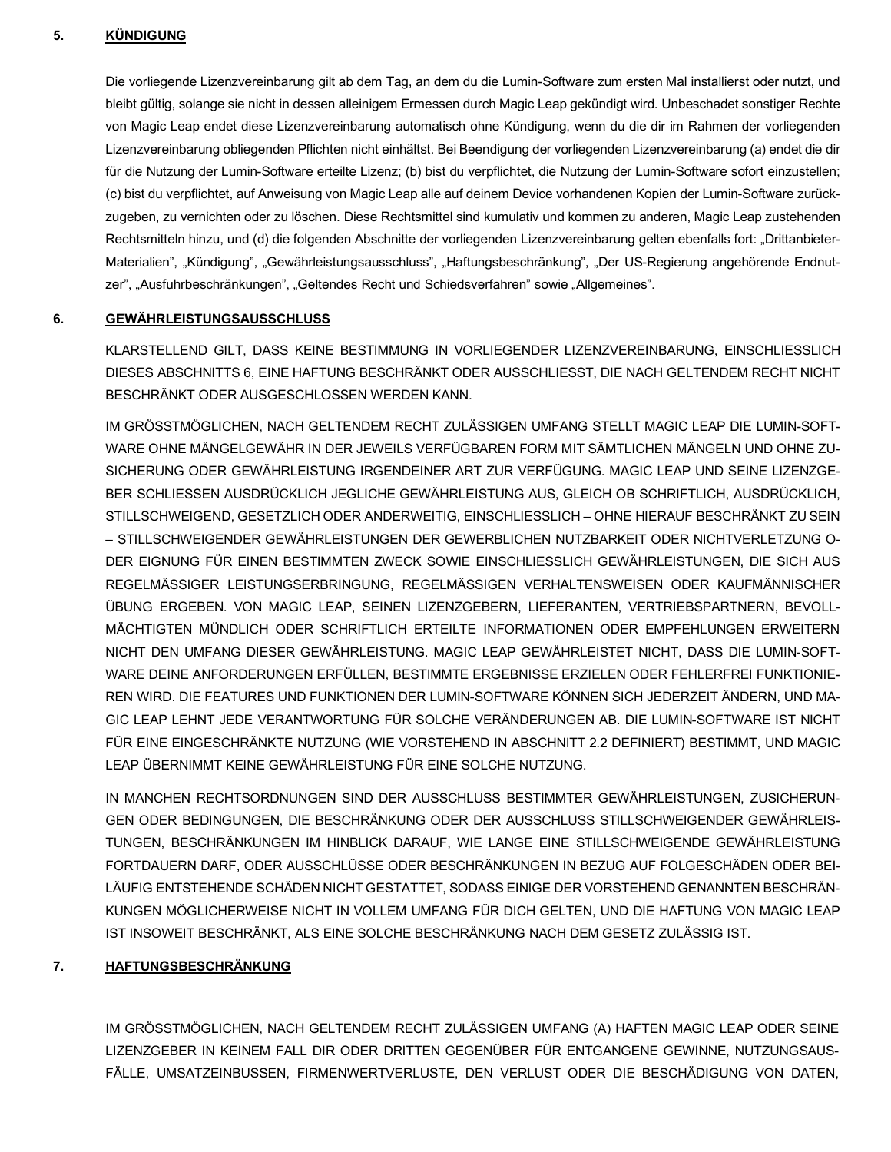### **5. KÜNDIGUNG**

 Die vorliegende Lizenzvereinbarung gilt ab dem Tag, an dem du die Lumin-Software zum ersten Mal installierst oder nutzt, und bleibt gültig, solange sie nicht in dessen alleinigem Ermessen durch Magic Leap gekündigt wird. Unbeschadet sonstiger Rechte von Magic Leap endet diese Lizenzvereinbarung automatisch ohne Kündigung, wenn du die dir im Rahmen der vorliegenden Lizenzvereinbarung obliegenden Pflichten nicht einhältst. Bei Beendigung der vorliegenden Lizenzvereinbarung (a) endet die dir für die Nutzung der Lumin-Software erteilte Lizenz; (b) bist du verpflichtet, die Nutzung der Lumin-Software sofort einzustellen; (c) bist du verpflichtet, auf Anweisung von Magic Leap alle auf deinem Device vorhandenen Kopien der Lumin-Software zurück- zugeben, zu vernichten oder zu löschen. Diese Rechtsmittel sind kumulativ und kommen zu anderen, Magic Leap zustehenden Rechtsmitteln hinzu, und (d) die folgenden Abschnitte der vorliegenden Lizenzvereinbarung gelten ebenfalls fort: "Drittanbieter-Materialien", "Kündigung", "Gewährleistungsausschluss", "Haftungsbeschränkung", "Der US-Regierung angehörende Endnutzer", "Ausfuhrbeschränkungen", "Geltendes Recht und Schiedsverfahren" sowie "Allgemeines".

### **6. GEWÄHRLEISTUNGSAUSSCHLUSS**

 KLARSTELLEND GILT, DASS KEINE BESTIMMUNG IN VORLIEGENDER LIZENZVEREINBARUNG, EINSCHLIESSLICH DIESES ABSCHNITTS 6, EINE HAFTUNG BESCHRÄNKT ODER AUSSCHLIESST, DIE NACH GELTENDEM RECHT NICHT BESCHRÄNKT ODER AUSGESCHLOSSEN WERDEN KANN.

 IM GRÖSSTMÖGLICHEN, NACH GELTENDEM RECHT ZULÄSSIGEN UMFANG STELLT MAGIC LEAP DIE LUMIN-SOFT- WARE OHNE MÄNGELGEWÄHR IN DER JEWEILS VERFÜGBAREN FORM MIT SÄMTLICHEN MÄNGELN UND OHNE ZU- SICHERUNG ODER GEWÄHRLEISTUNG IRGENDEINER ART ZUR VERFÜGUNG. MAGIC LEAP UND SEINE LIZENZGE- BER SCHLIESSEN AUSDRÜCKLICH JEGLICHE GEWÄHRLEISTUNG AUS, GLEICH OB SCHRIFTLICH, AUSDRÜCKLICH, STILLSCHWEIGEND, GESETZLICH ODER ANDERWEITIG, EINSCHLIESSLICH – OHNE HIERAUF BESCHRÄNKT ZU SEIN – STILLSCHWEIGENDER GEWÄHRLEISTUNGEN DER GEWERBLICHEN NUTZBARKEIT ODER NICHTVERLETZUNG O- DER EIGNUNG FÜR EINEN BESTIMMTEN ZWECK SOWIE EINSCHLIESSLICH GEWÄHRLEISTUNGEN, DIE SICH AUS REGELMÄSSIGER LEISTUNGSERBRINGUNG, REGELMÄSSIGEN VERHALTENSWEISEN ODER KAUFMÄNNISCHER ÜBUNG ERGEBEN. VON MAGIC LEAP, SEINEN LIZENZGEBERN, LIEFERANTEN, VERTRIEBSPARTNERN, BEVOLL- MÄCHTIGTEN MÜNDLICH ODER SCHRIFTLICH ERTEILTE INFORMATIONEN ODER EMPFEHLUNGEN ERWEITERN NICHT DEN UMFANG DIESER GEWÄHRLEISTUNG. MAGIC LEAP GEWÄHRLEISTET NICHT, DASS DIE LUMIN-SOFT- WARE DEINE ANFORDERUNGEN ERFÜLLEN, BESTIMMTE ERGEBNISSE ERZIELEN ODER FEHLERFREI FUNKTIONIE- REN WIRD. DIE FEATURES UND FUNKTIONEN DER LUMIN-SOFTWARE KÖNNEN SICH JEDERZEIT ÄNDERN, UND MA- GIC LEAP LEHNT JEDE VERANTWORTUNG FÜR SOLCHE VERÄNDERUNGEN AB. DIE LUMIN-SOFTWARE IST NICHT FÜR EINE EINGESCHRÄNKTE NUTZUNG (WIE VORSTEHEND IN ABSCHNITT 2.2 DEFINIERT) BESTIMMT, UND MAGIC LEAP ÜBERNIMMT KEINE GEWÄHRLEISTUNG FÜR EINE SOLCHE NUTZUNG.

 GEN ODER BEDINGUNGEN, DIE BESCHRÄNKUNG ODER DER AUSSCHLUSS STILLSCHWEIGENDER GEWÄHRLEIS- TUNGEN, BESCHRÄNKUNGEN IM HINBLICK DARAUF, WIE LANGE EINE STILLSCHWEIGENDE GEWÄHRLEISTUNG FORTDAUERN DARF, ODER AUSSCHLÜSSE ODER BESCHRÄNKUNGEN IN BEZUG AUF FOLGESCHÄDEN ODER BEI- LÄUFIG ENTSTEHENDE SCHÄDEN NICHT GESTATTET, SODASS EINIGE DER VORSTEHEND GENANNTEN BESCHRÄN- KUNGEN MÖGLICHERWEISE NICHT IN VOLLEM UMFANG FÜR DICH GELTEN, UND DIE HAFTUNG VON MAGIC LEAP IN MANCHEN RECHTSORDNUNGEN SIND DER AUSSCHLUSS BESTIMMTER GEWÄHRLEISTUNGEN, ZUSICHERUN-IST INSOWEIT BESCHRÄNKT, ALS EINE SOLCHE BESCHRÄNKUNG NACH DEM GESETZ ZULÄSSIG IST.

### **7. HAFTUNGSBESCHRÄNKUNG**

 IM GRÖSSTMÖGLICHEN, NACH GELTENDEM RECHT ZULÄSSIGEN UMFANG (A) HAFTEN MAGIC LEAP ODER SEINE LIZENZGEBER IN KEINEM FALL DIR ODER DRITTEN GEGENÜBER FÜR ENTGANGENE GEWINNE, NUTZUNGSAUS-FÄLLE, UMSATZEINBUSSEN, FIRMENWERTVERLUSTE, DEN VERLUST ODER DIE BESCHÄDIGUNG VON DATEN,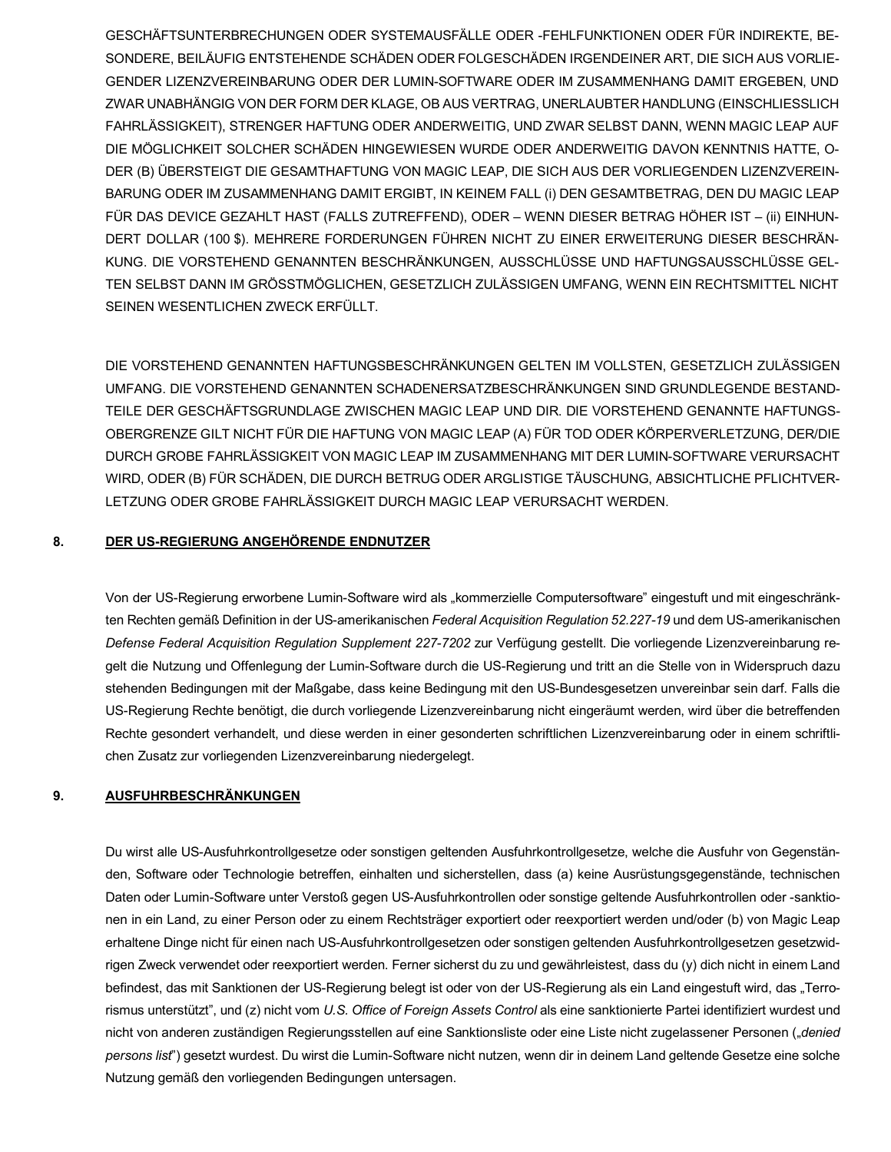GESCHÄFTSUNTERBRECHUNGEN ODER SYSTEMAUSFÄLLE ODER -FEHLFUNKTIONEN ODER FÜR INDIREKTE, BE-SONDERE. BEILÄUFIG ENTSTEHENDE SCHÄDEN ODER FOLGESCHÄDEN IRGENDEINER ART. DIE SICH AUS VORLIE-GENDER LIZENZVEREINBARUNG ODER DER LUMIN-SOFTWARE ODER IM ZUSAMMENHANG DAMIT ERGEBEN, UND ZWAR UNABHÄNGIG VON DER FORM DER KLAGE, OB AUS VERTRAG, UNERLAUBTER HANDLUNG (EINSCHLIESSLICH FAHRLÄSSIGKEIT), STRENGER HAFTUNG ODER ANDERWEITIG, UND ZWAR SELBST DANN, WENN MAGIC LEAP AUF DIE MÖGLICHKEIT SOLCHER SCHÄDEN HINGEWIESEN WURDE ODER ANDERWEITIG DAVON KENNTNIS HATTE. O-DER (B) ÜBERSTEIGT DIE GESAMTHAFTUNG VON MAGIC LEAP, DIE SICH AUS DER VORLIEGENDEN LIZENZVEREIN-BARUNG ODER IM ZUSAMMENHANG DAMIT ERGIBT, IN KEINEM FALL (i) DEN GESAMTBETRAG, DEN DU MAGIC LEAP FÜR DAS DEVICE GEZAHLT HAST (FALLS ZUTREFFEND), ODER - WENN DIESER BETRAG HÖHER IST - (ii) EINHUN-DERT DOLLAR (100 \$). MEHRERE FORDERUNGEN FÜHREN NICHT ZU EINER ERWEITERUNG DIESER BESCHRÄN-KUNG. DIE VORSTEHEND GENANNTEN BESCHRÄNKUNGEN, AUSSCHLÜSSE UND HAFTUNGSAUSSCHLÜSSE GEL-TEN SELBST DANN IM GRÖSSTMÖGLICHEN. GESETZLICH ZULÄSSIGEN UMFANG. WENN EIN RECHTSMITTEL NICHT SEINEN WESENTLICHEN ZWECK ERFÜLLT.

DIE VORSTEHEND GENANNTEN HAFTUNGSBESCHRÄNKUNGEN GELTEN IM VOLLSTEN, GESETZLICH ZULÄSSIGEN UMFANG. DIE VORSTEHEND GENANNTEN SCHADENERSATZBESCHRÄNKUNGEN SIND GRUNDLEGENDE BESTAND-TEILE DER GESCHÄFTSGRUNDLAGE ZWISCHEN MAGIC LEAP UND DIR. DIE VORSTEHEND GENANNTE HAFTUNGS-OBERGRENZE GILT NICHT FÜR DIE HAFTUNG VON MAGIC LEAP (A) FÜR TOD ODER KÖRPERVERLETZUNG, DER/DIE DURCH GROBE FAHRLÄSSIGKEIT VON MAGIC LEAP IM ZUSAMMENHANG MIT DER LUMIN-SOFTWARE VERURSACHT WIRD, ODER (B) FÜR SCHÄDEN, DIE DURCH BETRUG ODER ARGLISTIGE TÄUSCHUNG, ABSICHTLICHE PFLICHTVER-LETZUNG ODER GROBE FAHRLÄSSIGKEIT DURCH MAGIC LEAP VERURSACHT WERDEN.

#### 8. DER US-REGIERUNG ANGEHÖRENDE ENDNUTZER

Von der US-Regierung erworbene Lumin-Software wird als "kommerzielle Computersoftware" eingestuft und mit eingeschränkten Rechten gemäß Definition in der US-amerikanischen Federal Acquisition Regulation 52.227-19 und dem US-amerikanischen Defense Federal Acquisition Regulation Supplement 227-7202 zur Verfügung gestellt. Die vorliegende Lizenzvereinbarung regelt die Nutzung und Offenlegung der Lumin-Software durch die US-Regierung und tritt an die Stelle von in Widerspruch dazu stehenden Bedingungen mit der Maßgabe, dass keine Bedingung mit den US-Bundesgesetzen unvereinbar sein darf. Falls die US-Regierung Rechte benötigt, die durch vorliegende Lizenzvereinbarung nicht eingeräumt werden, wird über die betreffenden Rechte gesondert verhandelt, und diese werden in einer gesonderten schriftlichen Lizenzvereinbarung oder in einem schriftlichen Zusatz zur vorliegenden Lizenzvereinbarung niedergelegt.

#### 9. AUSFUHRBESCHRÄNKUNGEN

Du wirst alle US-Ausfuhrkontrollgesetze oder sonstigen geltenden Ausfuhrkontrollgesetze, welche die Ausfuhr von Gegenständen, Software oder Technologie betreffen, einhalten und sicherstellen, dass (a) keine Ausrüstungsgegenstände, technischen Daten oder Lumin-Software unter Verstoß gegen US-Ausfuhrkontrollen oder sonstige geltende Ausfuhrkontrollen oder -sanktionen in ein Land, zu einer Person oder zu einem Rechtsträger exportiert oder reexportiert werden und/oder (b) von Magic Leap erhaltene Dinge nicht für einen nach US-Ausfuhrkontrollgesetzen oder sonstigen geltenden Ausfuhrkontrollgesetzen gesetzwidrigen Zweck verwendet oder reexportiert werden. Ferner sicherst du zu und gewährleistest, dass du (y) dich nicht in einem Land befindest, das mit Sanktionen der US-Regierung belegt ist oder von der US-Regierung als ein Land eingestuft wird, das "Terrorismus unterstützt", und (z) nicht vom U.S. Office of Foreign Assets Control als eine sanktionierte Partei identifiziert wurdest und nicht von anderen zuständigen Regierungsstellen auf eine Sanktionsliste oder eine Liste nicht zugelassener Personen ("denied persons list") gesetzt wurdest. Du wirst die Lumin-Software nicht nutzen, wenn dir in deinem Land geltende Gesetze eine solche Nutzung gemäß den vorliegenden Bedingungen untersagen.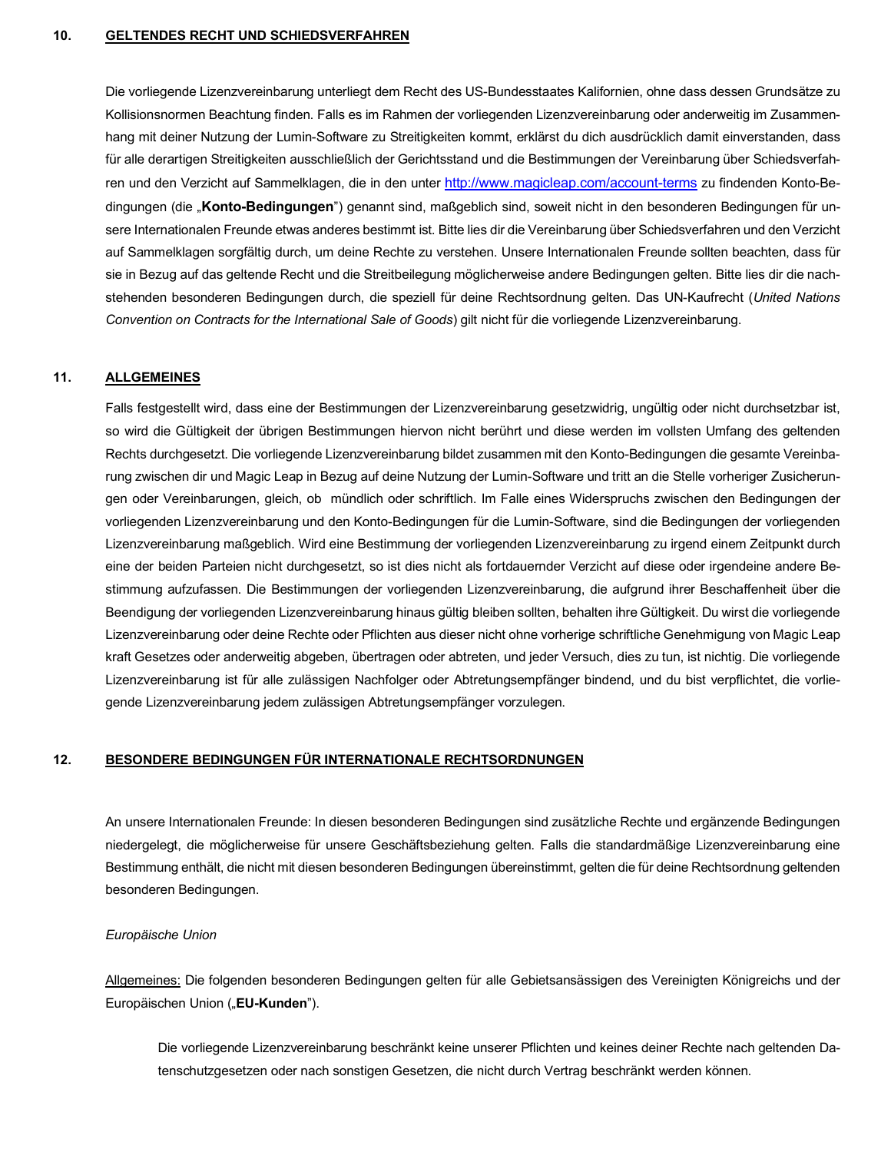#### **10. GELTENDES RECHT UND SCHIEDSVERFAHREN**

 Die vorliegende Lizenzvereinbarung unterliegt dem Recht des US-Bundesstaates Kalifornien, ohne dass dessen Grundsätze zu Kollisionsnormen Beachtung finden. Falls es im Rahmen der vorliegenden Lizenzvereinbarung oder anderweitig im Zusammen- hang mit deiner Nutzung der Lumin-Software zu Streitigkeiten kommt, erklärst du dich ausdrücklich damit einverstanden, dass für alle derartigen Streitigkeiten ausschließlich der Gerichtsstand und die Bestimmungen der Vereinbarung über Schiedsverfahren und den Verzicht auf Sammelklagen, die in den unter <u><http://www.magicleap.com/account-terms></u> zu findenden Konto-Bedingungen (die "**Konto-Bedingungen**") genannt sind, maßgeblich sind, soweit nicht in den besonderen Bedingungen für un- sere Internationalen Freunde etwas anderes bestimmt ist. Bitte lies dir die Vereinbarung über Schiedsverfahren und den Verzicht auf Sammelklagen sorgfältig durch, um deine Rechte zu verstehen. Unsere Internationalen Freunde sollten beachten, dass für sie in Bezug auf das geltende Recht und die Streitbeilegung möglicherweise andere Bedingungen gelten. Bitte lies dir die nach- stehenden besonderen Bedingungen durch, die speziell für deine Rechtsordnung gelten. Das UN-Kaufrecht (*United Nations Convention on Contracts for the International Sale of Goods*) gilt nicht für die vorliegende Lizenzvereinbarung.

#### **11. ALLGEMEINES**

 Falls festgestellt wird, dass eine der Bestimmungen der Lizenzvereinbarung gesetzwidrig, ungültig oder nicht durchsetzbar ist, so wird die Gültigkeit der übrigen Bestimmungen hiervon nicht berührt und diese werden im vollsten Umfang des geltenden Rechts durchgesetzt. Die vorliegende Lizenzvereinbarung bildet zusammen mit den Konto-Bedingungen die gesamte Vereinba- rung zwischen dir und Magic Leap in Bezug auf deine Nutzung der Lumin-Software und tritt an die Stelle vorheriger Zusicherun- gen oder Vereinbarungen, gleich, ob mündlich oder schriftlich. Im Falle eines Widerspruchs zwischen den Bedingungen der vorliegenden Lizenzvereinbarung und den Konto-Bedingungen für die Lumin-Software, sind die Bedingungen der vorliegenden Lizenzvereinbarung maßgeblich. Wird eine Bestimmung der vorliegenden Lizenzvereinbarung zu irgend einem Zeitpunkt durch eine der beiden Parteien nicht durchgesetzt, so ist dies nicht als fortdauernder Verzicht auf diese oder irgendeine andere Be- stimmung aufzufassen. Die Bestimmungen der vorliegenden Lizenzvereinbarung, die aufgrund ihrer Beschaffenheit über die Beendigung der vorliegenden Lizenzvereinbarung hinaus gültig bleiben sollten, behalten ihre Gültigkeit. Du wirst die vorliegende Lizenzvereinbarung oder deine Rechte oder Pflichten aus dieser nicht ohne vorherige schriftliche Genehmigung von Magic Leap kraft Gesetzes oder anderweitig abgeben, übertragen oder abtreten, und jeder Versuch, dies zu tun, ist nichtig. Die vorliegende Lizenzvereinbarung ist für alle zulässigen Nachfolger oder Abtretungsempfänger bindend, und du bist verpflichtet, die vorlie-gende Lizenzvereinbarung jedem zulässigen Abtretungsempfänger vorzulegen.

#### **BESONDERE BEDINGUNGEN FÜR INTERNATIONALE RECHTSORDNUNGEN 12.**

 An unsere Internationalen Freunde: In diesen besonderen Bedingungen sind zusätzliche Rechte und ergänzende Bedingungen niedergelegt, die möglicherweise für unsere Geschäftsbeziehung gelten. Falls die standardmäßige Lizenzvereinbarung eine Bestimmung enthält, die nicht mit diesen besonderen Bedingungen übereinstimmt, gelten die für deine Rechtsordnung geltenden besonderen Bedingungen.

### *Europäische Union*

Allgemeines: Die folgenden besonderen Bedingungen gelten für alle Gebietsansässigen des Vereinigten Königreichs und der Europäischen Union ("**EU-Kunden**").

 Die vorliegende Lizenzvereinbarung beschränkt keine unserer Pflichten und keines deiner Rechte nach geltenden Da-tenschutzgesetzen oder nach sonstigen Gesetzen, die nicht durch Vertrag beschränkt werden können.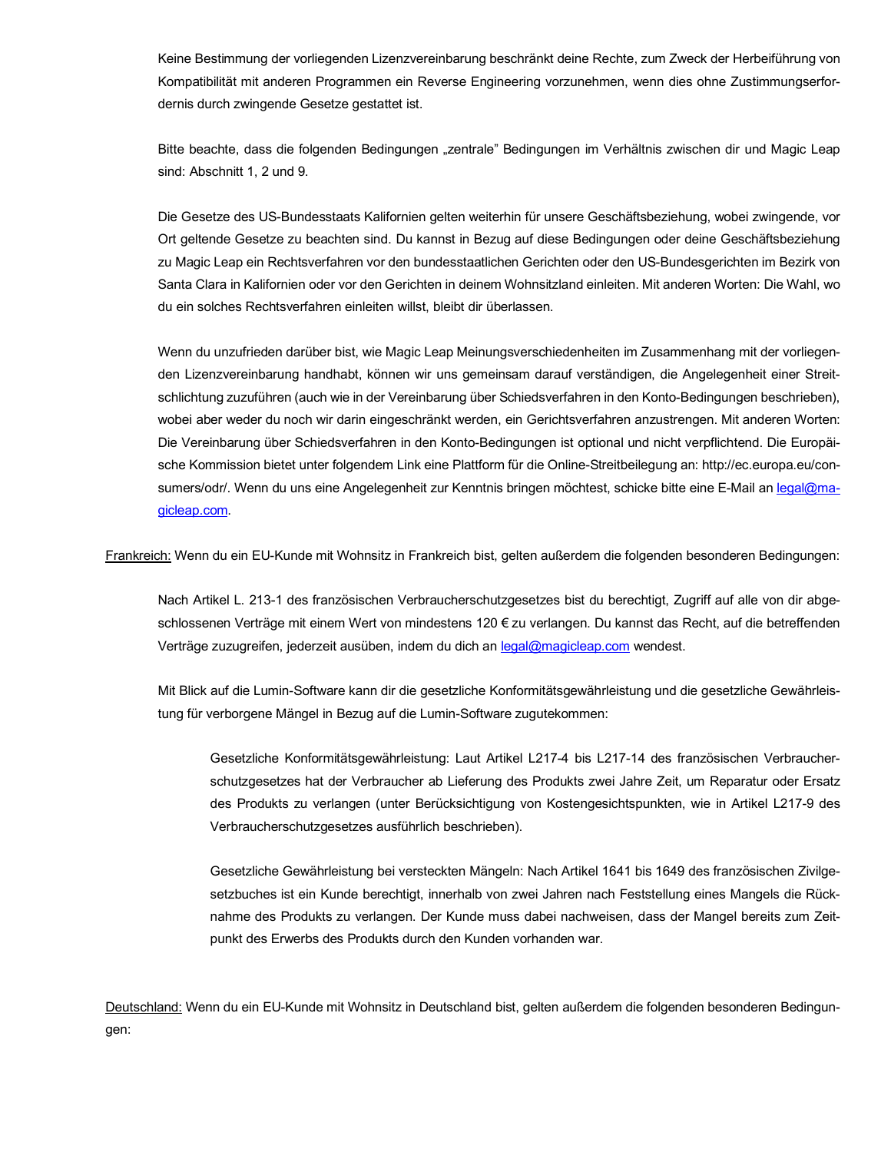Keine Bestimmung der vorliegenden Lizenzvereinbarung beschränkt deine Rechte, zum Zweck der Herbeiführung von Kompatibilität mit anderen Programmen ein Reverse Engineering vorzunehmen, wenn dies ohne Zustimmungserfor-dernis durch zwingende Gesetze gestattet ist.

Bitte beachte, dass die folgenden Bedingungen "zentrale" Bedingungen im Verhältnis zwischen dir und Magic Leap sind: Abschnitt 1, 2 und 9.

 Die Gesetze des US-Bundesstaats Kalifornien gelten weiterhin für unsere Geschäftsbeziehung, wobei zwingende, vor Ort geltende Gesetze zu beachten sind. Du kannst in Bezug auf diese Bedingungen oder deine Geschäftsbeziehung zu Magic Leap ein Rechtsverfahren vor den bundesstaatlichen Gerichten oder den US-Bundesgerichten im Bezirk von Santa Clara in Kalifornien oder vor den Gerichten in deinem Wohnsitzland einleiten. Mit anderen Worten: Die Wahl, wo du ein solches Rechtsverfahren einleiten willst, bleibt dir überlassen.

 Wenn du unzufrieden darüber bist, wie Magic Leap Meinungsverschiedenheiten im Zusammenhang mit der vorliegen- den Lizenzvereinbarung handhabt, können wir uns gemeinsam darauf verständigen, die Angelegenheit einer Streit- schlichtung zuzuführen (auch wie in der Vereinbarung über Schiedsverfahren in den Konto-Bedingungen beschrieben), wobei aber weder du noch wir darin eingeschränkt werden, ein Gerichtsverfahren anzustrengen. Mit anderen Worten: Die Vereinbarung über Schiedsverfahren in den Konto-Bedingungen ist optional und nicht verpflichtend. Die Europäi- sche Kommission bietet unter folgendem Link eine Plattform für die Online-Streitbeilegung an: <http://ec.europa.eu/con>sumers/odr/. Wenn du uns eine Angelegenheit zur Kenntnis bringen möchtest, schicke bitte eine E-Mail an legal@ma[gicleap.com.](https://gicleap.com)

Frankreich: Wenn du ein EU-Kunde mit Wohnsitz in Frankreich bist, gelten außerdem die folgenden besonderen Bedingungen:

 Nach Artikel L. 213-1 des französischen Verbraucherschutzgesetzes bist du berechtigt, Zugriff auf alle von dir abge- schlossenen Verträge mit einem Wert von mindestens 120 € zu verlangen. Du kannst das Recht, auf die betreffenden Verträge zuzugreifen, jederzeit ausüben, indem du dich an [legal@magicleap.com](mailto:legal@magicleap.com) wendest.

 Mit Blick auf die Lumin-Software kann dir die gesetzliche Konformitätsgewährleistung und die gesetzliche Gewährleis-tung für verborgene Mängel in Bezug auf die Lumin-Software zugutekommen:

 Gesetzliche Konformitätsgewährleistung: Laut Artikel L217-4 bis L217-14 des französischen Verbraucher- schutzgesetzes hat der Verbraucher ab Lieferung des Produkts zwei Jahre Zeit, um Reparatur oder Ersatz des Produkts zu verlangen (unter Berücksichtigung von Kostengesichtspunkten, wie in Artikel L217-9 des Verbraucherschutzgesetzes ausführlich beschrieben).

 Gesetzliche Gewährleistung bei versteckten Mängeln: Nach Artikel 1641 bis 1649 des französischen Zivilge- setzbuches ist ein Kunde berechtigt, innerhalb von zwei Jahren nach Feststellung eines Mangels die Rück- nahme des Produkts zu verlangen. Der Kunde muss dabei nachweisen, dass der Mangel bereits zum Zeit-punkt des Erwerbs des Produkts durch den Kunden vorhanden war.

Deutschland: Wenn du ein EU-Kunde mit Wohnsitz in Deutschland bist, gelten außerdem die folgenden besonderen Bedingungen: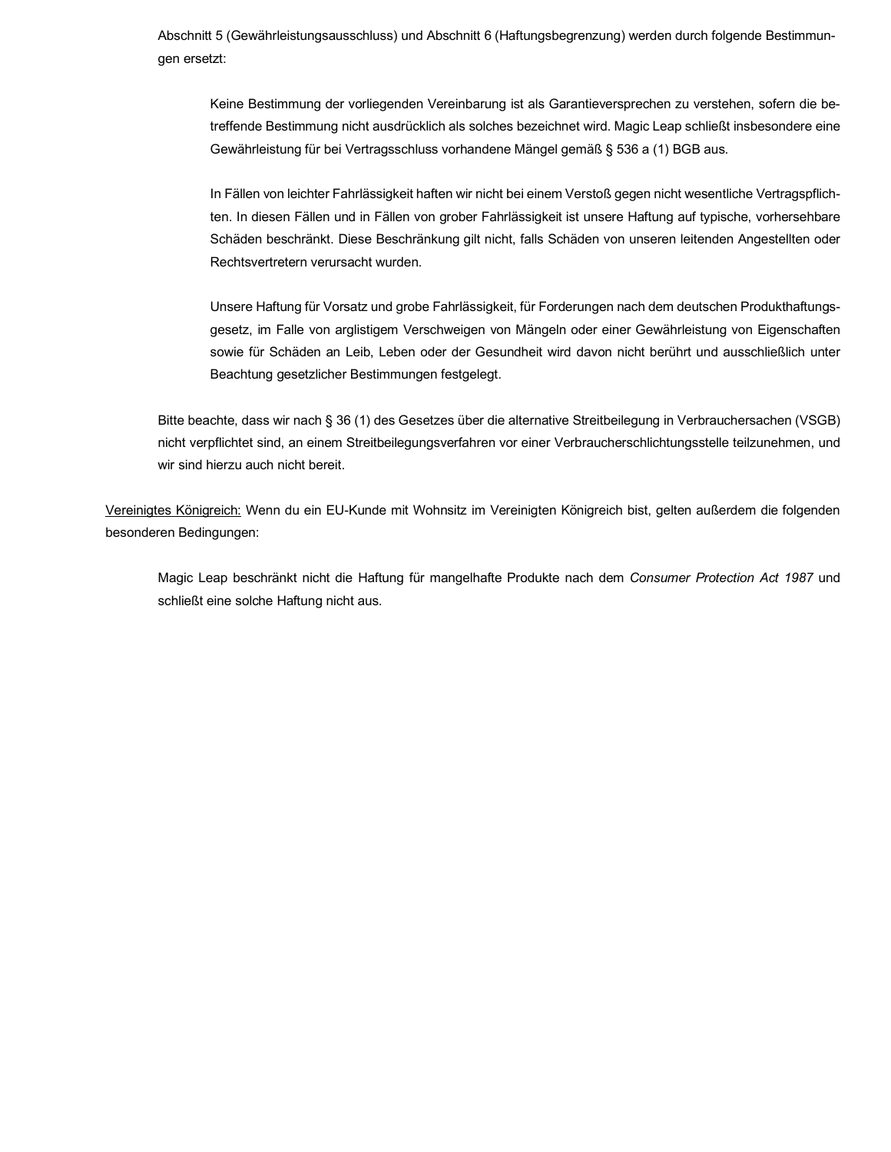Abschnitt 5 (Gewährleistungsausschluss) und Abschnitt 6 (Haftungsbegrenzung) werden durch folgende Bestimmun-gen ersetzt:

 Keine Bestimmung der vorliegenden Vereinbarung ist als Garantieversprechen zu verstehen, sofern die be- treffende Bestimmung nicht ausdrücklich als solches bezeichnet wird. Magic Leap schließt insbesondere eine Gewährleistung für bei Vertragsschluss vorhandene Mängel gemäß § 536 a (1) BGB aus.

 In Fällen von leichter Fahrlässigkeit haften wir nicht bei einem Verstoß gegen nicht wesentliche Vertragspflich- ten. In diesen Fällen und in Fällen von grober Fahrlässigkeit ist unsere Haftung auf typische, vorhersehbare Schäden beschränkt. Diese Beschränkung gilt nicht, falls Schäden von unseren leitenden Angestellten oder Rechtsvertretern verursacht wurden.

 Unsere Haftung für Vorsatz und grobe Fahrlässigkeit, für Forderungen nach dem deutschen Produkthaftungs- gesetz, im Falle von arglistigem Verschweigen von Mängeln oder einer Gewährleistung von Eigenschaften sowie für Schäden an Leib, Leben oder der Gesundheit wird davon nicht berührt und ausschließlich unter Beachtung gesetzlicher Bestimmungen festgelegt.

 Bitte beachte, dass wir nach § 36 (1) des Gesetzes über die alternative Streitbeilegung in Verbrauchersachen (VSGB) nicht verpflichtet sind, an einem Streitbeilegungsverfahren vor einer Verbraucherschlichtungsstelle teilzunehmen, und wir sind hierzu auch nicht bereit.

Vereinigtes Königreich: Wenn du ein EU-Kunde mit Wohnsitz im Vereinigten Königreich bist, gelten außerdem die folgenden besonderen Bedingungen:

 Magic Leap beschränkt nicht die Haftung für mangelhafte Produkte nach dem *Consumer Protection Act 1987* und schließt eine solche Haftung nicht aus.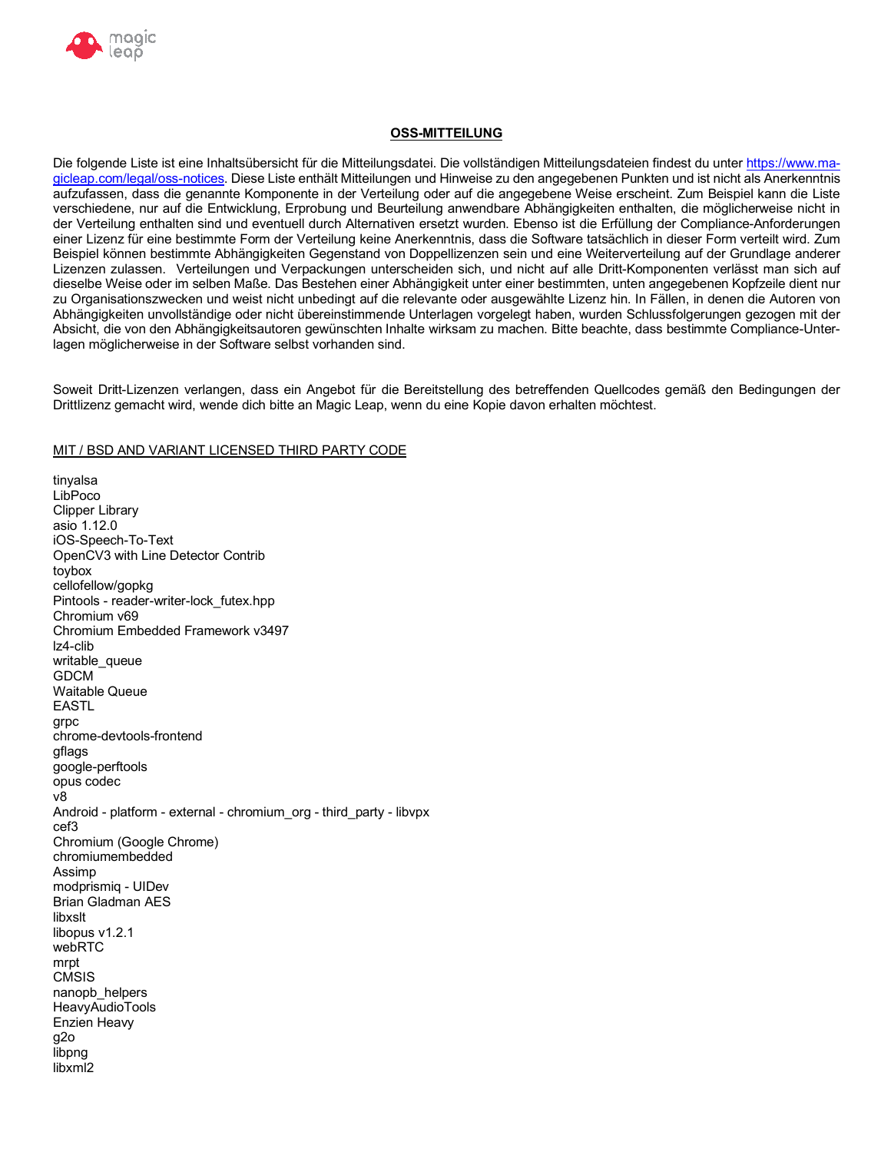

# **OSS-MITTEILUNG**

Die folgende Liste ist eine Inhaltsübersicht für die Mitteilungsdatei. Die vollständigen Mitteilungsdateien findest du unter https://www.magicleap.com/legal/oss-notices. Diese Liste enthält Mitteilungen und Hinweise zu den angegebenen Punkten und ist nicht als Anerkenntnis aufzufassen, dass die genannte Komponente in der Verteilung oder auf die angegebene Weise erscheint. Zum Beispiel kann die Liste verschiedene, nur auf die Entwicklung, Erprobung und Beurteilung anwendbare Abhängigkeiten enthalten, die möglicherweise nicht in der Verteilung enthalten sind und eventuell durch Alternativen ersetzt wurden. Ebenso ist die Erfüllung der Compliance-Anforderungen einer Lizenz für eine bestimmte Form der Verteilung keine Anerkenntnis, dass die Software tatsächlich in dieser Form verteilt wird. Zum Beispiel können bestimmte Abhängigkeiten Gegenstand von Doppellizenzen sein und eine Weiterverteilung auf der Grundlage anderer Lizenzen zulassen. Verteilungen und Verpackungen unterscheiden sich, und nicht auf alle Dritt-Komponenten verlässt man sich auf dieselbe Weise oder im selben Maße. Das Bestehen einer Abhängigkeit unter einer bestimmten, unten angegebenen Kopfzeile dient nur zu Organisationszwecken und weist nicht unbedingt auf die relevante oder ausgewählte Lizenz hin. In Fällen, in denen die Autoren von Abhängigkeiten unvollständige oder nicht übereinstimmende Unterlagen vorgelegt haben, wurden Schlussfolgerungen gezogen mit der Absicht, die von den Abhängigkeitsautoren gewünschten Inhalte wirksam zu machen. Bitte beachte, dass bestimmte Compliance-Unterlagen möglicherweise in der Software selbst vorhanden sind.

Soweit Dritt-Lizenzen verlangen, dass ein Angebot für die Bereitstellung des betreffenden Quellcodes gemäß den Bedingungen der Drittlizenz gemacht wird, wende dich bitte an Magic Leap, wenn du eine Kopie davon erhalten möchtest.

## MIT / BSD AND VARIANT LICENSED THIRD PARTY CODE

tinyalsa LibPoco **Clipper Library** asio 1.12.0 iOS-Speech-To-Text OpenCV3 with Line Detector Contrib toybox cellofellow/gopkg Pintools - reader-writer-lock\_futex.hpp Chromium v69 Chromium Embedded Framework v3497 Iz4-clib writable queue **GDCM Waitable Queue EASTL** grpc chrome-devtools-frontend gflags google-perftools opus codec v8 Android - platform - external - chromium org - third party - libvpx cef3 Chromium (Google Chrome) chromiumembedded Assimp modprismig - UIDev **Brian Gladman AES** libxslt libopus v1.2.1 webRTC mrpt **CMSIS** nanopb\_helpers **HeavyAudioTools** Enzien Heavy  $g2o$ libpna libxml2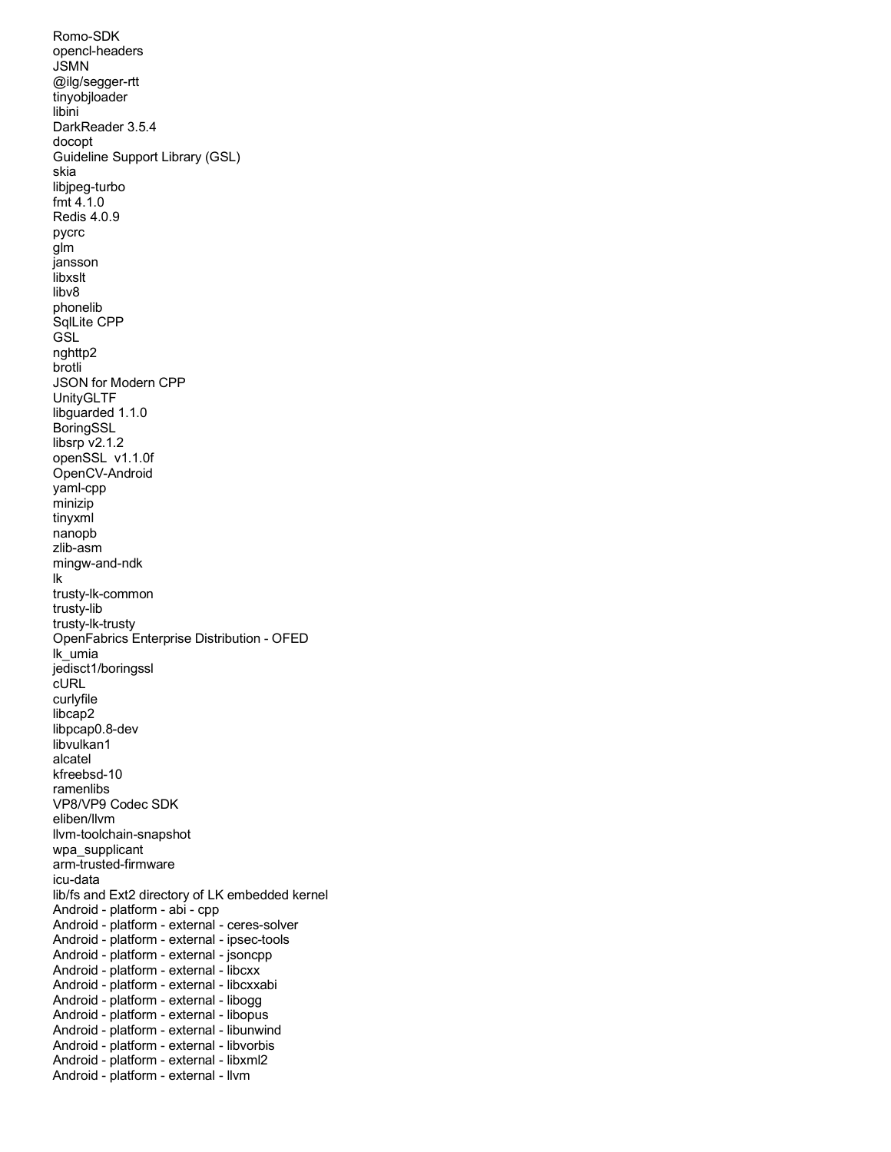DarkReader 3.5.4 Guideline Support Library (GSL) JSON for Modern CPP libsrp v2.1.2 openSSL v1.1.0f OpenFabrics Enterprise Distribution - OFED VP8/VP9 Codec SDK lib/fs and Ext2 directory of LK embedded kernel Android - platform - abi - cpp Android - platform - external - ipsec-tools Android - platform - external - jsoncpp Android - platform - external - libcxx Android - platform - external - libcxxabi Android - platform - external - libogg Android - platform - external - libopus Android - platform - external - libunwind Android - platform - external - libvorbis Android - platform - external - libxml2 Android - platform - external - llvm Romo-SDK opencl-headers JSMN @ilg/segger-rtt tinyobjloader libini docopt skia libjpeg-turbo fmt 4.1.0 Redis 4.0.9 pycrc glm jansson libxslt libv8 phonelib SqlLite CPP **GSL** nghttp2 brotli UnityGLTF libguarded 1.1.0 **BoringSSL** OpenCV-Android yaml-cpp minizip tinyxml nanopb zlib-asm mingw-and-ndk lk trusty-lk-common trusty-lib trusty-lk-trusty lk\_umia jedisct1/boringssl cURL curlyfile libcap2 libpcap0.8-dev libvulkan1 alcatel kfreebsd-10 ramenlibs eliben/llvm llvm-toolchain-snapshot wpa\_supplicant arm-trusted-firmware icu-data Android - platform - external - ceres-solver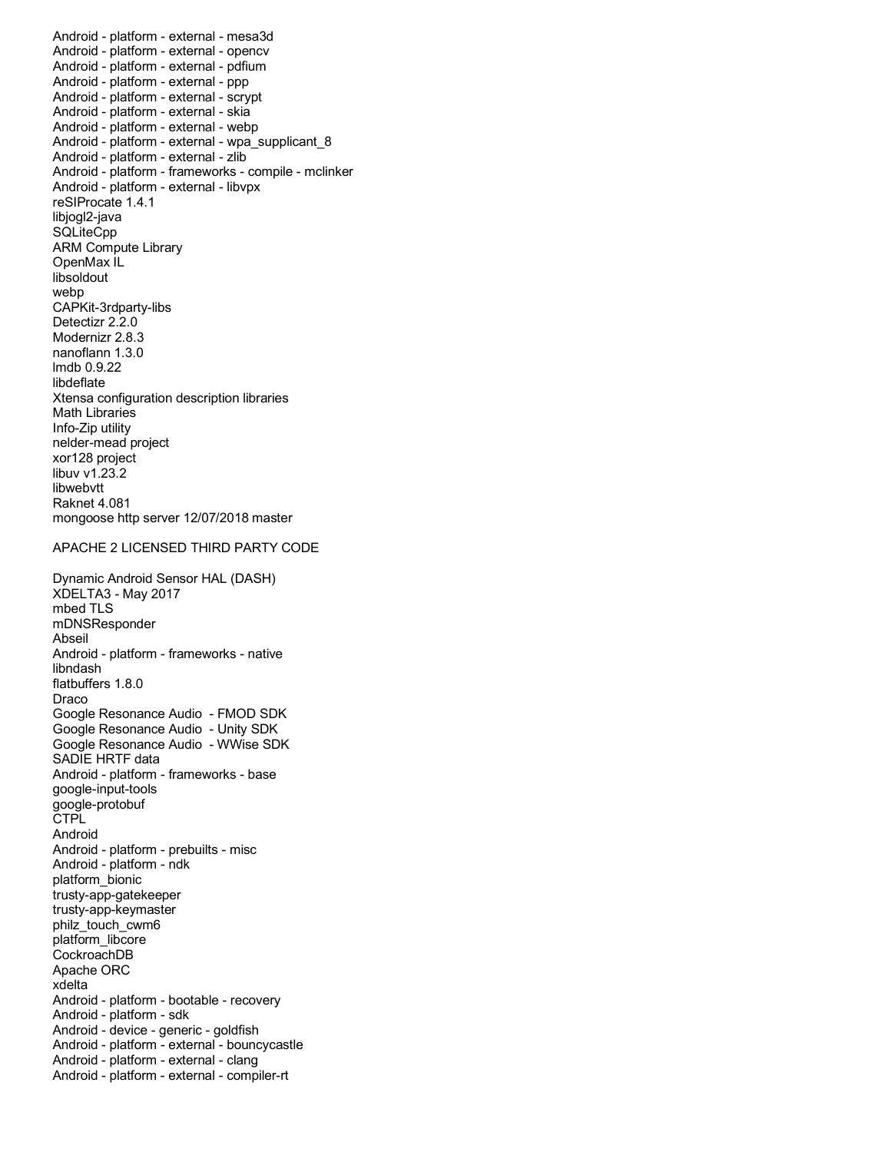Android - platform - external - mesa3d Android - platform - external - opencv Android - platform - external - pdfium Android - platform - external - ppp Android - platform - external - scrypt Android - platform - external - skia Android - platform - external - webp Android - platform - external - zlib Android - platform - frameworks - compile - mclinker Android - platform - external - libvpx reSIProcate 1.4.1 ARM Compute Library Detectizr 2.2.0 Modernizr 2.8.3 Xtensa configuration description libraries xor128 project Raknet 4.081 mongoose http server 12/07/2018 master Android - platform - external - wpa\_supplicant\_8 libjogl2-java **SQLiteCpp** OpenMax IL libsoldout webp CAPKit-3rdparty-libs nanoflann 1.3.0 lmdb 0.9.22 libdeflate Math Libraries Info-Zip utility nelder-mead project libuv v1.23.2 libwebvtt

### APACHE 2 LICENSED THIRD PARTY CODE

 Dynamic Android Sensor HAL (DASH) Android - platform - frameworks - native Google Resonance Audio - FMOD SDK Google Resonance Audio - Unity SDK Google Resonance Audio - WWise SDK Android - platform - frameworks - base Android - platform - prebuilts - misc Android - platform - ndk Apache ORC Android - platform - bootable - recovery Android - platform - sdk Android - device - generic - goldfish Android - platform - external - clang Android - platform - external - compiler-rt XDELTA3 - May 2017 mbed TLS mDNSResponder Abseil libndash flatbuffers 1.8.0 Draco SADIE HRTF data google-input-tools google-protobuf **CTPL** Android platform\_bionic trusty-app-gatekeeper trusty-app-keymaster philz\_touch\_cwm6 platform\_libcore CockroachDB xdelta Android - platform - external - bouncycastle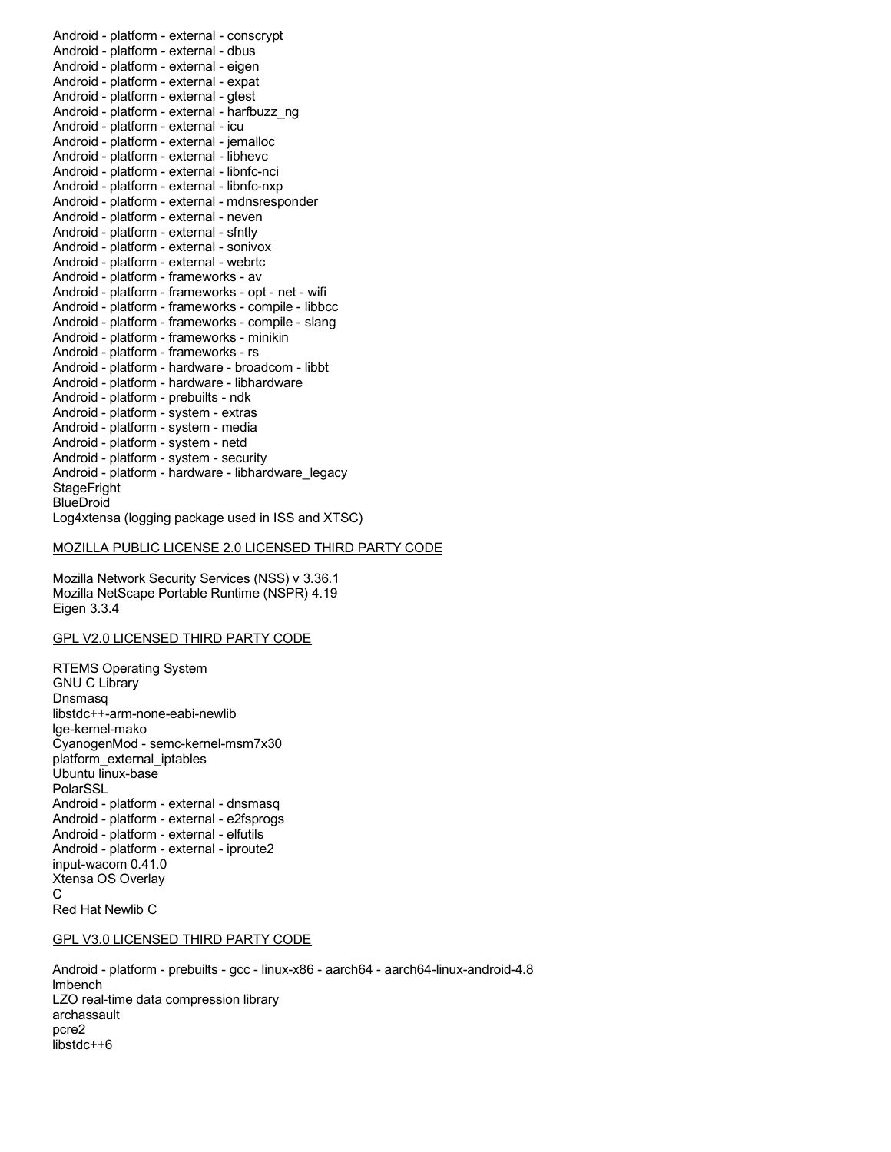Android - platform - external - conscrypt Android - platform - external - dbus Android - platform - external - eigen Android - platform - external - expat Android - platform - external - gtest Android - platform - external - icu Android - platform - external - jemalloc Android - platform - external - libhevc Android - platform - external - libnfc-nci Android - platform - external - libnfc-nxp Android - platform - external - neven Android - platform - external - sfntly Android - platform - external - sonivox Android - platform - external - webrtc Android - platform - frameworks - av Android - platform - frameworks - opt - net - wifi Android - platform - frameworks - compile - libbcc Android - platform - frameworks - compile - slang Android - platform - frameworks - minikin Android - platform - frameworks - rs Android - platform - hardware - broadcom - libbt Android - platform - prebuilts - ndk Android - platform - system - extras Android - platform - system - media Android - platform - system - netd Android - platform - system - security Log4xtensa (logging package used in ISS and XTSC) Android - platform - external - harfbuzz\_ng Android - platform - external - mdnsresponder Android - platform - hardware - libhardware Android - platform - hardware - libhardware\_legacy **StageFright BlueDroid** 

### MOZILLA PUBLIC LICENSE 2.0 LICENSED THIRD PARTY CODE

 Mozilla Network Security Services (NSS) v 3.36.1 Mozilla NetScape Portable Runtime (NSPR) 4.19 Eigen 3.3.4

## GPL V2.0 LICENSED THIRD PARTY CODE

 RTEMS Operating System CyanogenMod - semc-kernel-msm7x30 Android - platform - external - dnsmasq Android - platform - external - e2fsprogs Android - platform - external - elfutils Android - platform - external - iproute2 input-wacom 0.41.0 Xtensa OS Overlay Red Hat Newlib C GNU C Library **Dnsmasq** libstdc++-arm-none-eabi-newlib lge-kernel-mako platform\_external\_iptables Ubuntu linux-base PolarSSL C

### GPL V3.0 LICENSED THIRD PARTY CODE

 Android - platform - prebuilts - gcc - linux-x86 - aarch64 - aarch64-linux-android-4.8 LZO real-time data compression library lmbench archassault pcre2 libstdc++6